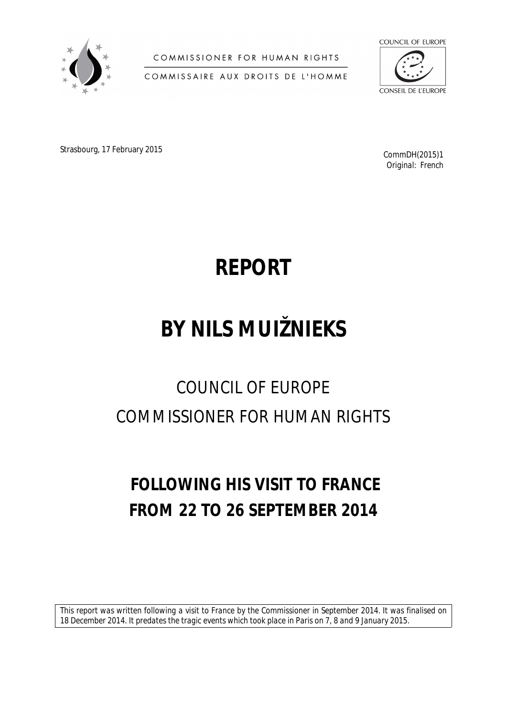

COMMISSIONER FOR HUMAN RIGHTS

COMMISSAIRE AUX DROITS DE L'HOMME



Strasbourg, 17 February 2015 **Command Account 2016** CommDH(2015)1

*Original: French*

# **REPORT**

# **BY NILS MUIŽNIEKS**

# COUNCIL OF EUROPE COMMISSIONER FOR HUMAN RIGHTS

# **FOLLOWING HIS VISIT TO FRANCE FROM 22 TO 26 SEPTEMBER 2014**

*This report was written following a visit to France by the Commissioner in September 2014. It was finalised on 18 December 2014. It predates the tragic events which took place in Paris on 7, 8 and 9 January 2015.*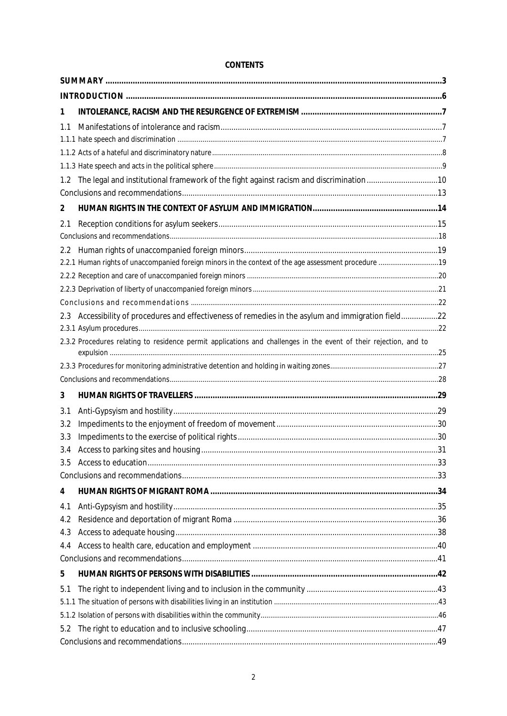| <b>CONTENTS</b> |
|-----------------|
|-----------------|

| 1   |                                                                                                                   |  |
|-----|-------------------------------------------------------------------------------------------------------------------|--|
| 1.1 |                                                                                                                   |  |
|     |                                                                                                                   |  |
|     |                                                                                                                   |  |
|     |                                                                                                                   |  |
| 1.2 | The legal and institutional framework of the fight against racism and discrimination10                            |  |
|     |                                                                                                                   |  |
| 2   |                                                                                                                   |  |
| 2.1 |                                                                                                                   |  |
|     |                                                                                                                   |  |
| 2.2 |                                                                                                                   |  |
|     |                                                                                                                   |  |
|     |                                                                                                                   |  |
|     |                                                                                                                   |  |
|     |                                                                                                                   |  |
| 2.3 | Accessibility of procedures and effectiveness of remedies in the asylum and immigration field22                   |  |
|     |                                                                                                                   |  |
|     | 2.3.2 Procedures relating to residence permit applications and challenges in the event of their rejection, and to |  |
|     |                                                                                                                   |  |
|     |                                                                                                                   |  |
| 3   |                                                                                                                   |  |
| 3.1 |                                                                                                                   |  |
| 3.2 |                                                                                                                   |  |
| 3.3 |                                                                                                                   |  |
| 3.4 |                                                                                                                   |  |
| 3.5 |                                                                                                                   |  |
|     |                                                                                                                   |  |
| 4   |                                                                                                                   |  |
| 4.1 |                                                                                                                   |  |
| 4.2 |                                                                                                                   |  |
| 4.3 |                                                                                                                   |  |
| 4.4 |                                                                                                                   |  |
|     |                                                                                                                   |  |
| 5   |                                                                                                                   |  |
| 5.1 |                                                                                                                   |  |
|     |                                                                                                                   |  |
|     |                                                                                                                   |  |
| 5.2 |                                                                                                                   |  |
|     |                                                                                                                   |  |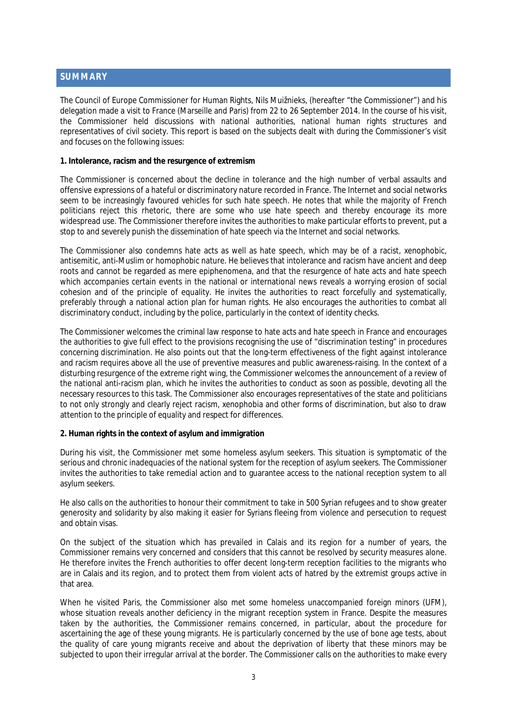## <span id="page-2-0"></span>**SUMMARY**

The Council of Europe Commissioner for Human Rights, Nils Muižnieks, (hereafter "the Commissioner") and his delegation made a visit to France (Marseille and Paris) from 22 to 26 September 2014. In the course of his visit, the Commissioner held discussions with national authorities, national human rights structures and representatives of civil society. This report is based on the subjects dealt with during the Commissioner's visit and focuses on the following issues:

**1. Intolerance, racism and the resurgence of extremism**

The Commissioner is concerned about the decline in tolerance and the high number of verbal assaults and offensive expressions of a hateful or discriminatory nature recorded in France. The Internet and social networks seem to be increasingly favoured vehicles for such hate speech. He notes that while the majority of French politicians reject this rhetoric, there are some who use hate speech and thereby encourage its more widespread use. The Commissioner therefore invites the authorities to make particular efforts to prevent, put a stop to and severely punish the dissemination of hate speech via the Internet and social networks.

The Commissioner also condemns hate acts as well as hate speech, which may be of a racist, xenophobic, antisemitic, anti-Muslim or homophobic nature. He believes that intolerance and racism have ancient and deep roots and cannot be regarded as mere epiphenomena, and that the resurgence of hate acts and hate speech which accompanies certain events in the national or international news reveals a worrying erosion of social cohesion and of the principle of equality. He invites the authorities to react forcefully and systematically, preferably through a national action plan for human rights. He also encourages the authorities to combat all discriminatory conduct, including by the police, particularly in the context of identity checks.

The Commissioner welcomes the criminal law response to hate acts and hate speech in France and encourages the authorities to give full effect to the provisions recognising the use of "discrimination testing" in procedures concerning discrimination. He also points out that the long-term effectiveness of the fight against intolerance and racism requires above all the use of preventive measures and public awareness-raising. In the context of a disturbing resurgence of the extreme right wing, the Commissioner welcomes the announcement of a review of the national anti-racism plan, which he invites the authorities to conduct as soon as possible, devoting all the necessary resources to this task. The Commissioner also encourages representatives of the state and politicians to not only strongly and clearly reject racism, xenophobia and other forms of discrimination, but also to draw attention to the principle of equality and respect for differences.

#### **2. Human rights in the context of asylum and immigration**

During his visit, the Commissioner met some homeless asylum seekers. This situation is symptomatic of the serious and chronic inadequacies of the national system for the reception of asylum seekers. The Commissioner invites the authorities to take remedial action and to guarantee access to the national reception system to all asylum seekers.

He also calls on the authorities to honour their commitment to take in 500 Syrian refugees and to show greater generosity and solidarity by also making it easier for Syrians fleeing from violence and persecution to request and obtain visas.

On the subject of the situation which has prevailed in Calais and its region for a number of years, the Commissioner remains very concerned and considers that this cannot be resolved by security measures alone. He therefore invites the French authorities to offer decent long-term reception facilities to the migrants who are in Calais and its region, and to protect them from violent acts of hatred by the extremist groups active in that area.

When he visited Paris, the Commissioner also met some homeless unaccompanied foreign minors (UFM), whose situation reveals another deficiency in the migrant reception system in France. Despite the measures taken by the authorities, the Commissioner remains concerned, in particular, about the procedure for ascertaining the age of these young migrants. He is particularly concerned by the use of bone age tests, about the quality of care young migrants receive and about the deprivation of liberty that these minors may be subjected to upon their irregular arrival at the border. The Commissioner calls on the authorities to make every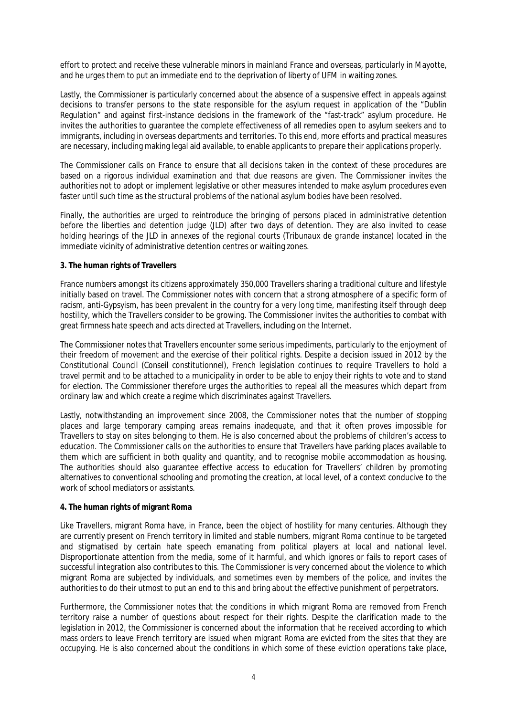effort to protect and receive these vulnerable minors in mainland France and overseas, particularly in Mayotte, and he urges them to put an immediate end to the deprivation of liberty of UFM in waiting zones.

Lastly, the Commissioner is particularly concerned about the absence of a suspensive effect in appeals against decisions to transfer persons to the state responsible for the asylum request in application of the "Dublin Regulation" and against first-instance decisions in the framework of the "fast-track" asylum procedure. He invites the authorities to guarantee the complete effectiveness of all remedies open to asylum seekers and to immigrants, including in overseas departments and territories. To this end, more efforts and practical measures are necessary, including making legal aid available, to enable applicants to prepare their applications properly.

The Commissioner calls on France to ensure that all decisions taken in the context of these procedures are based on a rigorous individual examination and that due reasons are given. The Commissioner invites the authorities not to adopt or implement legislative or other measures intended to make asylum procedures even faster until such time as the structural problems of the national asylum bodies have been resolved.

Finally, the authorities are urged to reintroduce the bringing of persons placed in administrative detention before the liberties and detention judge (JLD) after two days of detention. They are also invited to cease holding hearings of the JLD in annexes of the regional courts (*Tribunaux de grande instance*) located in the immediate vicinity of administrative detention centres or waiting zones.

#### **3. The human rights of Travellers**

France numbers amongst its citizens approximately 350,000 Travellers sharing a traditional culture and lifestyle initially based on travel. The Commissioner notes with concern that a strong atmosphere of a specific form of racism, anti-Gypsyism, has been prevalent in the country for a very long time, manifesting itself through deep hostility, which the Travellers consider to be growing. The Commissioner invites the authorities to combat with great firmness hate speech and acts directed at Travellers, including on the Internet.

The Commissioner notes that Travellers encounter some serious impediments, particularly to the enjoyment of their freedom of movement and the exercise of their political rights. Despite a decision issued in 2012 by the Constitutional Council (*Conseil constitutionnel*), French legislation continues to require Travellers to hold a travel permit and to be attached to a municipality in order to be able to enjoy their rights to vote and to stand for election. The Commissioner therefore urges the authorities to repeal all the measures which depart from ordinary law and which create a regime which discriminates against Travellers.

Lastly, notwithstanding an improvement since 2008, the Commissioner notes that the number of stopping places and large temporary camping areas remains inadequate, and that it often proves impossible for Travellers to stay on sites belonging to them. He is also concerned about the problems of children's access to education. The Commissioner calls on the authorities to ensure that Travellers have parking places available to them which are sufficient in both quality and quantity, and to recognise mobile accommodation as housing. The authorities should also guarantee effective access to education for Travellers' children by promoting alternatives to conventional schooling and promoting the creation, at local level, of a context conducive to the work of school mediators or assistants.

#### **4. The human rights of migrant Roma**

Like Travellers, migrant Roma have, in France, been the object of hostility for many centuries. Although they are currently present on French territory in limited and stable numbers, migrant Roma continue to be targeted and stigmatised by certain hate speech emanating from political players at local and national level. Disproportionate attention from the media, some of it harmful, and which ignores or fails to report cases of successful integration also contributes to this. The Commissioner is very concerned about the violence to which migrant Roma are subjected by individuals, and sometimes even by members of the police, and invites the authorities to do their utmost to put an end to this and bring about the effective punishment of perpetrators.

Furthermore, the Commissioner notes that the conditions in which migrant Roma are removed from French territory raise a number of questions about respect for their rights. Despite the clarification made to the legislation in 2012, the Commissioner is concerned about the information that he received according to which mass orders to leave French territory are issued when migrant Roma are evicted from the sites that they are occupying. He is also concerned about the conditions in which some of these eviction operations take place,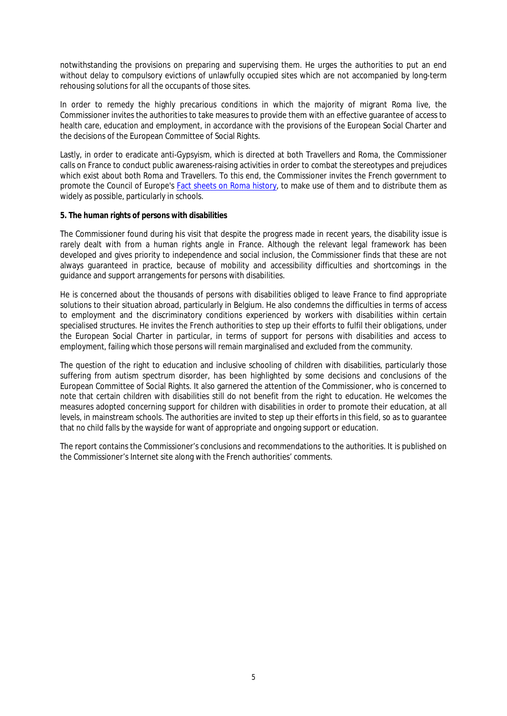notwithstanding the provisions on preparing and supervising them. He urges the authorities to put an end without delay to compulsory evictions of unlawfully occupied sites which are not accompanied by long-term rehousing solutions for all the occupants of those sites.

In order to remedy the highly precarious conditions in which the majority of migrant Roma live, the Commissioner invites the authorities to take measures to provide them with an effective guarantee of access to health care, education and employment, in accordance with the provisions of the European Social Charter and the decisions of the European Committee of Social Rights.

Lastly, in order to eradicate anti-Gypsyism, which is directed at both Travellers and Roma, the Commissioner calls on France to conduct public awareness-raising activities in order to combat the stereotypes and prejudices which exist about both Roma and Travellers. To this end, the Commissioner invites the French government to promote the Council of Europe's [Fact sheets on Roma history,](http://romafacts.uni-graz.at/index.php/history/general-introduction/general-introduction) to make use of them and to distribute them as widely as possible, particularly in schools.

#### **5. The human rights of persons with disabilities**

The Commissioner found during his visit that despite the progress made in recent years, the disability issue is rarely dealt with from a human rights angle in France. Although the relevant legal framework has been developed and gives priority to independence and social inclusion, the Commissioner finds that these are not always guaranteed in practice, because of mobility and accessibility difficulties and shortcomings in the guidance and support arrangements for persons with disabilities.

He is concerned about the thousands of persons with disabilities obliged to leave France to find appropriate solutions to their situation abroad, particularly in Belgium. He also condemns the difficulties in terms of access to employment and the discriminatory conditions experienced by workers with disabilities within certain specialised structures. He invites the French authorities to step up their efforts to fulfil their obligations, under the European Social Charter in particular, in terms of support for persons with disabilities and access to employment, failing which those persons will remain marginalised and excluded from the community.

The question of the right to education and inclusive schooling of children with disabilities, particularly those suffering from autism spectrum disorder, has been highlighted by some decisions and conclusions of the European Committee of Social Rights. It also garnered the attention of the Commissioner, who is concerned to note that certain children with disabilities still do not benefit from the right to education. He welcomes the measures adopted concerning support for children with disabilities in order to promote their education, at all levels, in mainstream schools. The authorities are invited to step up their efforts in this field, so as to guarantee that no child falls by the wayside for want of appropriate and ongoing support or education.

The report contains the Commissioner's conclusions and recommendations to the authorities. It is published on the Commissioner's Internet site along with the French authorities' comments.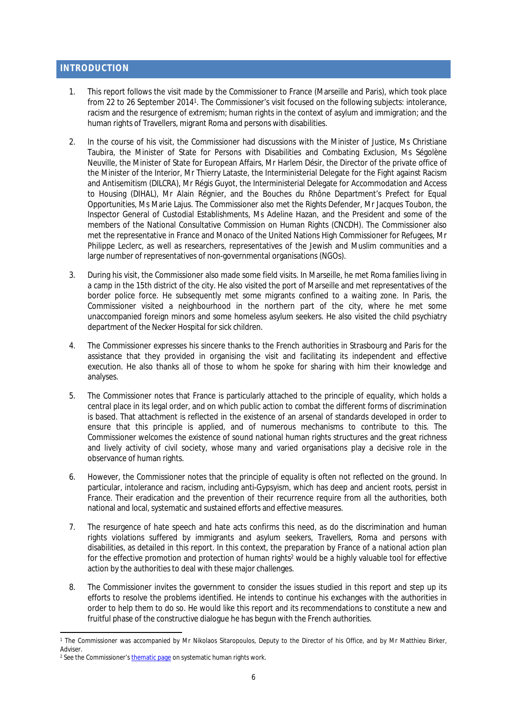## <span id="page-5-0"></span>**INTRODUCTION**

- 1. This report follows the visit made by the Commissioner to France (Marseille and Paris), which took place from 22 to 26 September 2014<sup>1</sup>. The Commissioner's visit focused on the following subjects: intolerance, racism and the resurgence of extremism; human rights in the context of asylum and immigration; and the human rights of Travellers, migrant Roma and persons with disabilities.
- 2. In the course of his visit, the Commissioner had discussions with the Minister of Justice, Ms Christiane Taubira, the Minister of State for Persons with Disabilities and Combating Exclusion, Ms Ségolène Neuville, the Minister of State for European Affairs, Mr Harlem Désir, the Director of the private office of the Minister of the Interior, Mr Thierry Lataste, the Interministerial Delegate for the Fight against Racism and Antisemitism (DILCRA), Mr Régis Guyot, the Interministerial Delegate for Accommodation and Access to Housing (DIHAL), Mr Alain Régnier, and the Bouches du Rhône Department's Prefect for Equal Opportunities, Ms Marie Lajus. The Commissioner also met the Rights Defender, Mr Jacques Toubon, the Inspector General of Custodial Establishments, Ms Adeline Hazan, and the President and some of the members of the National Consultative Commission on Human Rights (CNCDH). The Commissioner also met the representative in France and Monaco of the United Nations High Commissioner for Refugees, Mr Philippe Leclerc, as well as researchers, representatives of the Jewish and Muslim communities and a large number of representatives of non-governmental organisations (NGOs).
- 3. During his visit, the Commissioner also made some field visits. In Marseille, he met Roma families living in a camp in the 15th district of the city. He also visited the port of Marseille and met representatives of the border police force. He subsequently met some migrants confined to a waiting zone. In Paris, the Commissioner visited a neighbourhood in the northern part of the city, where he met some unaccompanied foreign minors and some homeless asylum seekers. He also visited the child psychiatry department of the Necker Hospital for sick children.
- 4. The Commissioner expresses his sincere thanks to the French authorities in Strasbourg and Paris for the assistance that they provided in organising the visit and facilitating its independent and effective execution. He also thanks all of those to whom he spoke for sharing with him their knowledge and analyses.
- 5. The Commissioner notes that France is particularly attached to the principle of equality, which holds a central place in its legal order, and on which public action to combat the different forms of discrimination is based. That attachment is reflected in the existence of an arsenal of standards developed in order to ensure that this principle is applied, and of numerous mechanisms to contribute to this. The Commissioner welcomes the existence of sound national human rights structures and the great richness and lively activity of civil society, whose many and varied organisations play a decisive role in the observance of human rights.
- 6. However, the Commissioner notes that the principle of equality is often not reflected on the ground. In particular, intolerance and racism, including anti-Gypsyism, which has deep and ancient roots, persist in France. Their eradication and the prevention of their recurrence require from all the authorities, both national and local, systematic and sustained efforts and effective measures.
- 7. The resurgence of hate speech and hate acts confirms this need, as do the discrimination and human rights violations suffered by immigrants and asylum seekers, Travellers, Roma and persons with disabilities, as detailed in this report. In this context, the preparation by France of a national action plan for the effective promotion and protection of human rights<sup>2</sup> would be a highly valuable tool for effective action by the authorities to deal with these major challenges.
- 8. The Commissioner invites the government to consider the issues studied in this report and step up its efforts to resolve the problems identified. He intends to continue his exchanges with the authorities in order to help them to do so. He would like this report and its recommendations to constitute a new and fruitful phase of the constructive dialogue he has begun with the French authorities.

<sup>1</sup> The Commissioner was accompanied by Mr Nikolaos Sitaropoulos, Deputy to the Director of his Office, and by Mr Matthieu Birker, Adviser.

<sup>&</sup>lt;sup>2</sup> See the Commissioner's <u>thematic page</u> on systematic human rights work.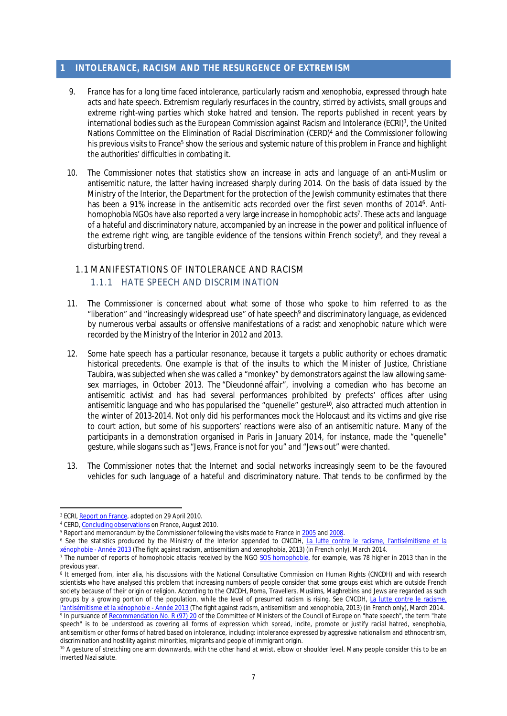# <span id="page-6-0"></span>**1 INTOLERANCE, RACISM AND THE RESURGENCE OF EXTREMISM**

- 9. France has for a long time faced intolerance, particularly racism and xenophobia, expressed through hate acts and hate speech. Extremism regularly resurfaces in the country, stirred by activists, small groups and extreme right-wing parties which stoke hatred and tension. The reports published in recent years by international bodies such as the European Commission against Racism and Intolerance (ECRI)<sup>3</sup> , the United Nations Committee on the Elimination of Racial Discrimination (CERD)<sup>4</sup> and the Commissioner following his previous visits to France<sup>5</sup> show the serious and systemic nature of this problem in France and highlight the authorities' difficulties in combating it.
- 10. The Commissioner notes that statistics show an increase in acts and language of an anti-Muslim or antisemitic nature, the latter having increased sharply during 2014. On the basis of data issued by the Ministry of the Interior, the Department for the protection of the Jewish community estimates that there has been a 91% increase in the antisemitic acts recorded over the first seven months of 2014<sup>6</sup>. Antihomophobia NGOs have also reported a very large increase in homophobic acts<sup>7</sup>. These acts and language of a hateful and discriminatory nature, accompanied by an increase in the power and political influence of the extreme right wing, are tangible evidence of the tensions within French society<sup>8</sup>, and they reveal a disturbing trend.

## <span id="page-6-2"></span><span id="page-6-1"></span>1.1 MANIFESTATIONS OF INTOLERANCE AND RACISM 1.1.1 HATE SPEECH AND DISCRIMINATION

- <span id="page-6-3"></span>11. The Commissioner is concerned about what some of those who spoke to him referred to as the "liberation" and "increasingly widespread use" of hate speech<sup>9</sup> and discriminatory language, as evidenced by numerous verbal assaults or offensive manifestations of a racist and xenophobic nature which were recorded by the Ministry of the Interior in 2012 and 2013.
- 12. Some hate speech has a particular resonance, because it targets a public authority or echoes dramatic historical precedents. One example is that of the insults to which the Minister of Justice, Christiane Taubira, was subjected when she was called a "monkey" by demonstrators against the law allowing samesex marriages, in October 2013. The "Dieudonné affair", involving a comedian who has become an antisemitic activist and has had several performances prohibited by prefects' offices after using antisemitic language and who has popularised the "quenelle" gesture<sup>10</sup>, also attracted much attention in the winter of 2013-2014. Not only did his performances mock the Holocaust and its victims and give rise to court action, but some of his supporters' reactions were also of an antisemitic nature. Many of the participants in a demonstration organised in Paris in January 2014, for instance, made the "quenelle" gesture, while slogans such as "Jews, France is not for you" and "Jews out" were chanted.
- 13. The Commissioner notes that the Internet and social networks increasingly seem to be the favoured vehicles for such language of a hateful and discriminatory nature. That tends to be confirmed by the

<sup>&</sup>lt;sup>3</sup> ECRI, <u>Report on France</u>, adopted on 29 April 2010.

<sup>&</sup>lt;sup>4</sup> CERD, [Concluding observations](http://docstore.ohchr.org/SelfServices/FilesHandler.ashx?enc=6QkG1d%2fPPRiCAqhKb7yhsrYJhxxpxgI0H2gkhVJfP3P%2bv5wSFi%2fWcrGM27f1Fogo4o4P0R7U0m4b34yod%2bJvMaLCUWYDcRvB1k3eVuLl4YY2FnndVTs%2buIDPBXN3Y4%2fanK5KbWE%2f1p7mT7bBUoRtxA%3d%3d) on France, August 2010.

 $^{\rm 5}$  Report and memorandum by the Commissioner following the visits made to France in  $2005$  and  $2008.$ 

<sup>&</sup>lt;sup>6</sup> See the statistics produced by the Ministry of the Interior appended to CNCDH, <u>La lutte contre le racisme, l'antisémitisme et la</u> <u>[xénophobie - Année 2013](http://www.ladocumentationfrancaise.fr/var/storage/rapports-publics/144000199/0000.pdf)</u> (The fight against racism, antisemitism and xenophobia, 2013) (in French only), March 2014.<br><sup>7</sup> The number of reports of homophobic attacks received by the NGO <u>[SOS homophobie](http://www.sos-homophobie.org/sites/default/files/rapport_annuel_2014.pdf)</u>, for example, was 7

previous year.

<sup>8</sup> It emerged from, inter alia, his discussions with the National Consultative Commission on Human Rights (CNCDH) and with research scientists who have analysed this problem that increasing numbers of people consider that some groups exist which are outside French society because of their origin or religion. According to the CNCDH, Roma, Travellers, Muslims, Maghrebins and Jews are regarded as such groups by a growing portion of the population, while the level of presumed racism is rising. See CNCDH, La lutte contre le racisme, [l'antisémitisme et la xénophobie - Année 2013](http://www.ladocumentationfrancaise.fr/var/storage/rapports-publics/144000199/0000.pdf) (The fight against racism, antisemitism and xenophobia, 2013) (in French only), March 2014. <sup>9</sup> In pursuance of [Recommendation No. R \(97\) 20](http://www.coe.int/t/dghl/standardsetting/hrpolicy/Other_Committees/DH-LGBT_docs/CM_Rec%2897%2920_en.pdf) of the Committee of Ministers of the Council of Europe on "hate speech", the term "hate speech" is to be understood as covering all forms of expression which spread, incite, promote or justify racial hatred, xenophobia, antisemitism or other forms of hatred based on intolerance, including: intolerance expressed by aggressive nationalism and ethnocentrism, discrimination and hostility against minorities, migrants and people of immigrant origin.

<sup>10</sup> A gesture of stretching one arm downwards, with the other hand at wrist, elbow or shoulder level. Many people consider this to be an inverted Nazi salute.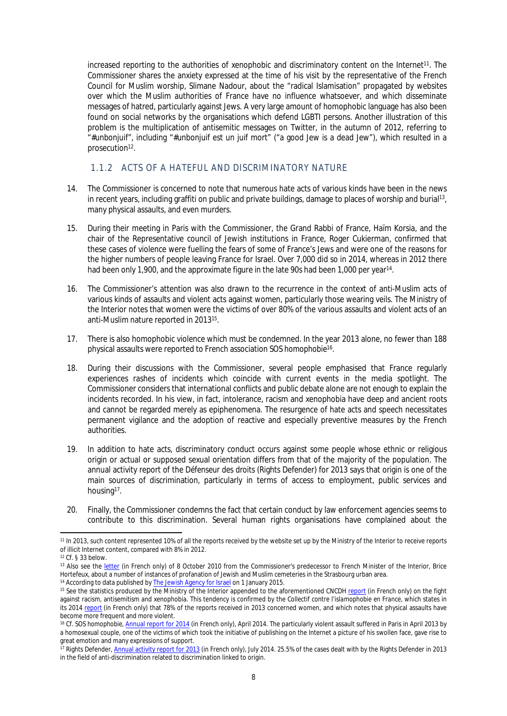increased reporting to the authorities of xenophobic and discriminatory content on the Internet<sup>11</sup>. The Commissioner shares the anxiety expressed at the time of his visit by the representative of the French Council for Muslim worship, Slimane Nadour, about the "radical Islamisation" propagated by websites over which the Muslim authorities of France have no influence whatsoever, and which disseminate messages of hatred, particularly against Jews. A very large amount of homophobic language has also been found on social networks by the organisations which defend LGBTI persons. Another illustration of this problem is the multiplication of antisemitic messages on Twitter, in the autumn of 2012, referring to "#unbonjuif", including "#unbonjuif est un juif mort" ("a good Jew is a dead Jew"), which resulted in a prosecution<sup>12</sup>.

#### <span id="page-7-0"></span>1.1.2 ACTS OF A HATEFUL AND DISCRIMINATORY NATURE

- 14. The Commissioner is concerned to note that numerous hate acts of various kinds have been in the news in recent years, including graffiti on public and private buildings, damage to places of worship and burial<sup>13</sup> , many physical assaults, and even murders.
- 15. During their meeting in Paris with the Commissioner, the Grand Rabbi of France, Haïm Korsia, and the chair of the Representative council of Jewish institutions in France, Roger Cukierman, confirmed that these cases of violence were fuelling the fears of some of France's Jews and were one of the reasons for the higher numbers of people leaving France for Israel. Over 7,000 did so in 2014, whereas in 2012 there had been only 1,900, and the approximate figure in the late 90s had been 1,000 per year<sup>14</sup>.
- 16. The Commissioner's attention was also drawn to the recurrence in the context of anti-Muslim acts of various kinds of assaults and violent acts against women, particularly those wearing veils. The Ministry of the Interior notes that women were the victims of over 80% of the various assaults and violent acts of an anti-Muslim nature reported in 2013<sup>15</sup> .
- 17. There is also homophobic violence which must be condemned. In the year 2013 alone, no fewer than 188 physical assaults were reported to French association *SOS homophobie*<sup>16</sup> .
- <span id="page-7-1"></span>18. During their discussions with the Commissioner, several people emphasised that France regularly experiences rashes of incidents which coincide with current events in the media spotlight. The Commissioner considers that international conflicts and public debate alone are not enough to explain the incidents recorded. In his view, in fact, intolerance, racism and xenophobia have deep and ancient roots and cannot be regarded merely as epiphenomena. The resurgence of hate acts and speech necessitates permanent vigilance and the adoption of reactive and especially preventive measures by the French authorities.
- 19. In addition to hate acts, discriminatory conduct occurs against some people whose ethnic or religious origin or actual or supposed sexual orientation differs from that of the majority of the population. The annual activity report of the *Défenseur des droits* (Rights Defender) for 2013 says that origin is one of the main sources of discrimination, particularly in terms of access to employment, public services and housing<sup>17</sup>.
- 20. Finally, the Commissioner condemns the fact that certain conduct by law enforcement agencies seems to contribute to this discrimination. Several human rights organisations have complained about the

<sup>11</sup> In 2013, such content represented 10% of all the reports received by the website set up by the Ministry of the Interior to receive reports of illicit Internet content, compared with 8% in 2012.

<sup>12</sup> Cf. § [33](#page-10-0) below.

<sup>13</sup> Also see the [letter](https://wcd.coe.int/com.instranet.InstraServlet?command=com.instranet.CmdBlobGet&InstranetImage=1964755&SecMode=1&DocId=1648720&Usage=2) (in French only) of 8 October 2010 from the Commissioner's predecessor to French Minister of the Interior, Brice Hortefeux, about a number of instances of profanation of Jewish and Muslim cemeteries in the Strasbourg urban area. <sup>14</sup> According to data published by [The Jewish Agency for Israel](http://www.jewishagency.org/) on 1 January 2015.

<sup>&</sup>lt;sup>15</sup> See the statistics produced by the Ministry of the Interior appended to the aforementioned CNCDH [report](file:///C:/Users/Matthieu/AppData/Local/Temp/La%20lutte%20contre%20le%20racisme,%20l) (in French only) on the fight against racism, antisemitism and xenophobia. This tendency is confirmed by the *Collectif contre l'islamophobie en France*, which states in its 2014 [report](http://www.islamophobie.net/sites/default/files/CCIF-RAPPORT-2014.pdf) (in French only) that 78% of the reports received in 2013 concerned women, and which notes that physical assaults have become more frequent and more violent.

<sup>&</sup>lt;sup>16</sup> Cf. *SOS homophobie*, [Annual report for 2014](http://www.sos-homophobie.org/sites/default/files/rapport_annuel_2014.pdf) (in French only), April 2014. The particularly violent assault suffered in Paris in April 2013 by a homosexual couple, one of the victims of which took the initiative of publishing on the Internet a picture of his swollen face, gave rise to great emotion and many expressions of support.

<sup>17</sup> Rights Defender, [Annual activity report for 2013](http://www.defenseurdesdroits.fr/sites/default/files/upload/rapport_annuel_2013.pdf) (in French only), July 2014. 25.5% of the cases dealt with by the Rights Defender in 2013 in the field of anti-discrimination related to discrimination linked to origin.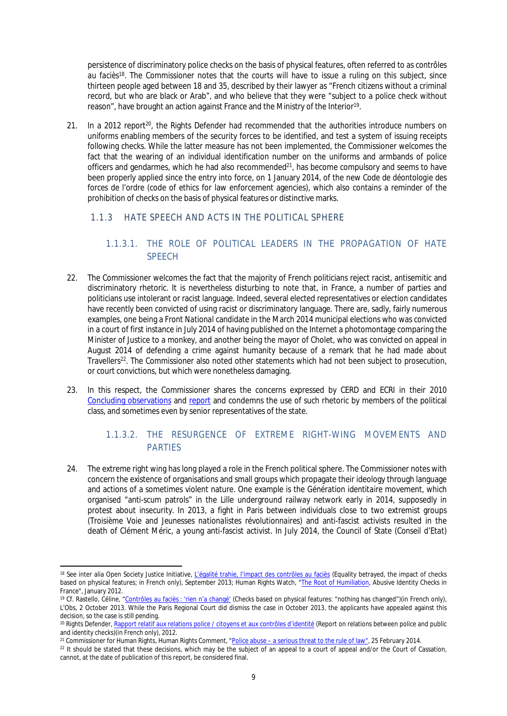persistence of discriminatory police checks on the basis of physical features, often referred to as *contrôles au faciès*<sup>18</sup>. The Commissioner notes that the courts will have to issue a ruling on this subject, since thirteen people aged between 18 and 35, described by their lawyer as "French citizens without a criminal record, but who are black or Arab", and who believe that they were "subject to a police check without reason", have brought an action against France and the Ministry of the Interior<sup>19</sup>.

21. In a 2012 report<sup>20</sup>, the Rights Defender had recommended that the authorities introduce numbers on uniforms enabling members of the security forces to be identified, and test a system of issuing receipts following checks. While the latter measure has not been implemented, the Commissioner welcomes the fact that the wearing of an individual identification number on the uniforms and armbands of police officers and gendarmes, which he had also recommended<sup>21</sup>, has become compulsory and seems to have been properly applied since the entry into force, on 1 January 2014, of the new *Code de déontologie des forces de l'ordre* (code of ethics for law enforcement agencies), which also contains a reminder of the prohibition of checks on the basis of physical features or distinctive marks.

## 1.1.3 HATE SPEECH AND ACTS IN THE POLITICAL SPHERE

# <span id="page-8-1"></span><span id="page-8-0"></span>1.1.3.1. THE ROLE OF POLITICAL LEADERS IN THE PROPAGATION OF HATE **SPFFCH**

- 22. The Commissioner welcomes the fact that the majority of French politicians reject racist, antisemitic and discriminatory rhetoric. It is nevertheless disturbing to note that, in France, a number of parties and politicians use intolerant or racist language. Indeed, several elected representatives or election candidates have recently been convicted of using racist or discriminatory language. There are, sadly, fairly numerous examples, one being a *Front National* candidate in the March 2014 municipal elections who was convicted in a court of first instance in July 2014 of having published on the Internet a photomontage comparing the Minister of Justice to a monkey, and another being the mayor of Cholet, who was convicted on appeal in August 2014 of defending a crime against humanity because of a remark that he had made about Travellers<sup>22</sup>. The Commissioner also noted other statements which had not been subject to prosecution, or court convictions, but which were nonetheless damaging.
- 23. In this respect, the Commissioner shares the concerns expressed by CERD and ECRI in their 2010 [Concluding observations](http://docstore.ohchr.org/SelfServices/FilesHandler.ashx?enc=6QkG1d%2fPPRiCAqhKb7yhsrYJhxxpxgI0H2gkhVJfP3P%2bv5wSFi%2fWcrGM27f1Fogo4o4P0R7U0m4b34yod%2bJvMaLCUWYDcRvB1k3eVuLl4YY2FnndVTs%2buIDPBXN3Y4%2fanK5KbWE%2f1p7mT7bBUoRtxA%3d%3d) and [report](http://www.coe.int/t/dghl/monitoring/ecri/Country-by-country/France/FRA-CbC-IV-2010-016-ENG.pdf) and condemns the use of such rhetoric by members of the political class, and sometimes even by senior representatives of the state.

## <span id="page-8-2"></span>1.1.3.2. THE RESURGENCE OF EXTREME RIGHT-WING MOVEMENTS AND **PARTIES**

24. The extreme right wing has long played a role in the French political sphere. The Commissioner notes with concern the existence of organisations and small groups which propagate their ideology through language and actions of a sometimes violent nature. One example is the *Génération identitaire* movement, which organised "anti-scum patrols" in the Lille underground railway network early in 2014, supposedly in protest about insecurity. In 2013, a fight in Paris between individuals close to two extremist groups (*Troisième Voie* and *Jeunesses nationalistes révolutionnaires*) and anti-fascist activists resulted in the death of Clément Méric, a young anti-fascist activist. In July 2014, the Council of State (*Conseil d'Etat*)

<sup>&</sup>lt;sup>18</sup> See inter alia Open Society Justice Initiative, [L'égalité trahie, l'impact des contrôles au faciès](http://www.opensocietyfoundations.org/sites/default/files/legalite-trahie-impact-controles-au-facies-20130925_5.pdf) (Equality betrayed, the impact of checks based on physical features; in French only), September 2013; Human Rights Watch, "[The Root of Humiliation](http://www.hrw.org/reports/2012/01/26/root-humiliation), Abusive Identity Checks in France", January 2012.

<sup>19</sup> Cf. Rastello, Céline, ["Contrôles au faciès : 'rien n'a changé'](http://tempsreel.nouvelobs.com/societe/20131002.OBS9377/controles-au-facies-rien-n-a-change.html) (Checks based on physical features: "nothing has changed")(in French only), L'Obs, 2 October 2013. While the Paris Regional Court did dismiss the case in October 2013, the applicants have appealed against this decision, so the case is still pending.

<sup>&</sup>lt;sup>20</sup> Rights Defender, [Rapport relatif aux relations police / citoyens et aux contrôles d'identité](http://www.defenseurdesdroits.fr/sites/default/files/upload/rapport_controle-identite-final_0.pdf) (Report on relations between police and public and identity checks)(in French only), 2012.

<sup>&</sup>lt;sup>21</sup> Commissioner for Human Rights, Human Rights Comment, ["Police abuse – a serious threat to the rule of law](http://www.coe.int/en/web/commissioner/-/police-abuse-a-serious-threat-to-the-rule-of-l-1)", 25 February 2014.

<sup>&</sup>lt;sup>22</sup> It should be stated that these decisions, which may be the subject of an appeal to a court of appeal and/or the Court of Cassation, cannot, at the date of publication of this report, be considered final.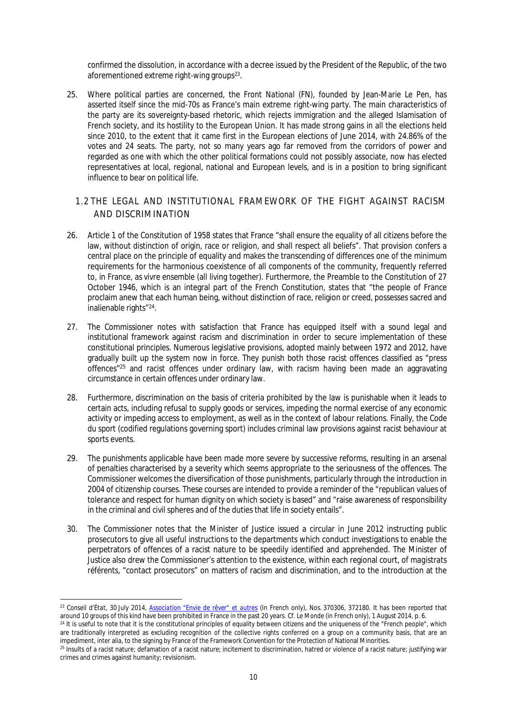confirmed the dissolution, in accordance with a decree issued by the President of the Republic, of the two aforementioned extreme right-wing groups<sup>23</sup>.

25. Where political parties are concerned, the *Front National* (FN), founded by Jean-Marie Le Pen, has asserted itself since the mid-70s as France's main extreme right-wing party. The main characteristics of the party are its sovereignty-based rhetoric, which rejects immigration and the alleged Islamisation of French society, and its hostility to the European Union. It has made strong gains in all the elections held since 2010, to the extent that it came first in the European elections of June 2014, with 24.86% of the votes and 24 seats. The party, not so many years ago far removed from the corridors of power and regarded as one with which the other political formations could not possibly associate, now has elected representatives at local, regional, national and European levels, and is in a position to bring significant influence to bear on political life.

## <span id="page-9-0"></span>1.2 THE LEGAL AND INSTITUTIONAL FRAMEWORK OF THE FIGHT AGAINST RACISM AND DISCRIMINATION

- 26. Article 1 of the Constitution of 1958 states that France "shall ensure the equality of all citizens before the law, without distinction of origin, race or religion, and shall respect all beliefs". That provision confers a central place on the principle of equality and makes the transcending of differences one of the minimum requirements for the harmonious coexistence of all components of the community, frequently referred to, in France, as *vivre ensemble* (all living together). Furthermore, the Preamble to the Constitution of 27 October 1946, which is an integral part of the French Constitution, states that "the people of France proclaim anew that each human being, without distinction of race, religion or creed, possesses sacred and inalienable rights"<sup>24</sup>.
- 27. The Commissioner notes with satisfaction that France has equipped itself with a sound legal and institutional framework against racism and discrimination in order to secure implementation of these constitutional principles. Numerous legislative provisions, adopted mainly between 1972 and 2012, have gradually built up the system now in force. They punish both those racist offences classified as "press offences"<sup>25</sup> and racist offences under ordinary law, with racism having been made an aggravating circumstance in certain offences under ordinary law.
- 28. Furthermore, discrimination on the basis of criteria prohibited by the law is punishable when it leads to certain acts, including refusal to supply goods or services, impeding the normal exercise of any economic activity or impeding access to employment, as well as in the context of labour relations. Finally, the *Code du sport* (codified regulations governing sport) includes criminal law provisions against racist behaviour at sports events.
- 29. The punishments applicable have been made more severe by successive reforms, resulting in an arsenal of penalties characterised by a severity which seems appropriate to the seriousness of the offences. The Commissioner welcomes the diversification of those punishments, particularly through the introduction in 2004 of citizenship courses. These courses are intended to provide a reminder of the "republican values of tolerance and respect for human dignity on which society is based" and "raise awareness of responsibility in the criminal and civil spheres and of the duties that life in society entails".
- 30. The Commissioner notes that the Minister of Justice issued a circular in June 2012 instructing public prosecutors to give all useful instructions to the departments which conduct investigations to enable the perpetrators of offences of a racist nature to be speedily identified and apprehended. The Minister of Justice also drew the Commissioner's attention to the existence, within each regional court, of *magistrats référents*, "contact prosecutors" on matters of racism and discrimination, and to the introduction at the

<sup>23</sup> *Conseil d'État*, 30 July 2014, *[Association "Envie de rêver" et autres](http://www.conseil-etat.fr/Decisions-Avis-Publications/Selection-contentieuse/Selection-des-decisions-faisant-l-objet-d-une-communication-particuliere/CE-30-juillet-2014-Association-Envie-de-rever-et-autres)* (In French only), Nos. 370306, 372180. It has been reported that around 10 groups of this kind have been prohibited in France in the past 20 years. Cf. *Le Monde* (in French only), 1 August 2014, p. 6.

<sup>&</sup>lt;sup>24</sup> It is useful to note that it is the constitutional principles of equality between citizens and the uniqueness of the "French people", which are traditionally interpreted as excluding recognition of the collective rights conferred on a group on a community basis, that are an impediment, inter alia, to the signing by France of the Framework Convention for the Protection of National Minorities.

<sup>25</sup> Insults of a racist nature; defamation of a racist nature; incitement to discrimination, hatred or violence of a racist nature; justifying war crimes and crimes against humanity; revisionism.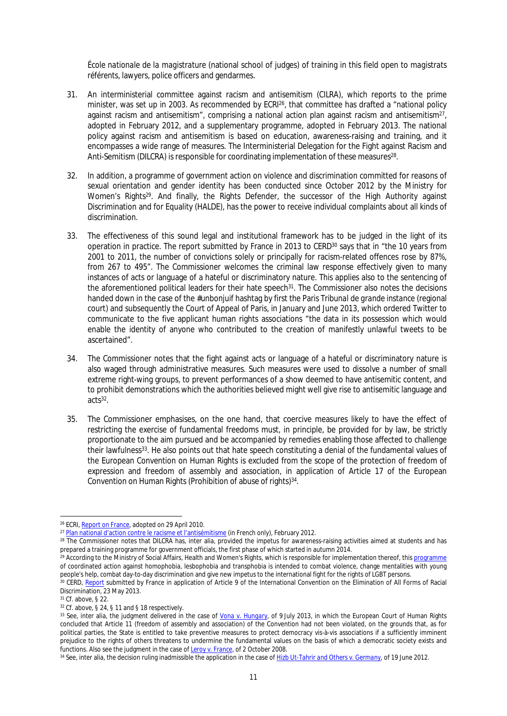*École nationale de la magistrature* (national school of judges) of training in this field open to *magistrats référents*, lawyers, police officers and gendarmes.

- 31. An interministerial committee against racism and antisemitism (CILRA), which reports to the prime minister, was set up in 2003. As recommended by ECRI<sup>26</sup>, that committee has drafted a "national policy against racism and antisemitism", comprising a national action plan against racism and antisemitism<sup>27</sup>, adopted in February 2012, and a supplementary programme, adopted in February 2013. The national policy against racism and antisemitism is based on education, awareness-raising and training, and it encompasses a wide range of measures. The Interministerial Delegation for the Fight against Racism and Anti-Semitism (DILCRA) is responsible for coordinating implementation of these measures<sup>28</sup>.
- 32. In addition, a programme of government action on violence and discrimination committed for reasons of sexual orientation and gender identity has been conducted since October 2012 by the Ministry for Women's Rights<sup>29</sup>. And finally, the Rights Defender, the successor of the High Authority against Discrimination and for Equality (HALDE), has the power to receive individual complaints about all kinds of discrimination.
- <span id="page-10-0"></span>33. The effectiveness of this sound legal and institutional framework has to be judged in the light of its operation in practice. The report submitted by France in 2013 to CERD<sup>30</sup> says that in "the 10 years from 2001 to 2011, the number of convictions solely or principally for racism-related offences rose by 87%, from 267 to 495". The Commissioner welcomes the criminal law response effectively given to many instances of acts or language of a hateful or discriminatory nature. This applies also to the sentencing of the aforementioned political leaders for their hate speech<sup>31</sup>. The Commissioner also notes the decisions handed down in the case of the #unbonjuif hashtag by first the Paris *Tribunal de grande instance* (regional court) and subsequently the Court of Appeal of Paris, in January and June 2013, which ordered Twitter to communicate to the five applicant human rights associations "the data in its possession which would enable the identity of anyone who contributed to the creation of manifestly unlawful tweets to be ascertained".
- 34. The Commissioner notes that the fight against acts or language of a hateful or discriminatory nature is also waged through administrative measures. Such measures were used to dissolve a number of small extreme right-wing groups, to prevent performances of a show deemed to have antisemitic content, and to prohibit demonstrations which the authorities believed might well give rise to antisemitic language and acts<sup>32</sup> .
- 35. The Commissioner emphasises, on the one hand, that coercive measures likely to have the effect of restricting the exercise of fundamental freedoms must, in principle, be provided for by law, be strictly proportionate to the aim pursued and be accompanied by remedies enabling those affected to challenge their lawfulness<sup>33</sup>. He also points out that hate speech constituting a denial of the fundamental values of the European Convention on Human Rights is excluded from the scope of the protection of freedom of expression and freedom of assembly and association, in application of Article 17 of the European Convention on Human Rights (Prohibition of abuse of rights)<sup>34</sup>.

<sup>26</sup> ECRI, [Report on France,](http://www.coe.int/t/dghl/monitoring/ecri/Country-by-country/France/FRA-CbC-IV-2010-016-ENG.pdf) adopted on 29 April 2010.

<sup>&</sup>lt;sup>27</sup> [Plan national d'action contre le racisme et l'antisémitisme](http://www.ambafrance-gq.org/IMG/pdf/Plan_national_d_action_contre_le_racisme_et_l_antisemitisme_2012_2014_-_version_definitive.pdf?539/ec68c4cbb50f4d8b528545efa767db817533ec6f) (in French only), February 2012.

<sup>28</sup> The Commissioner notes that DILCRA has, inter alia, provided the impetus for awareness-raising activities aimed at students and has prepared a training programme for government officials, the first phase of which started in autumn 2014.

<sup>&</sup>lt;sup>29</sup> According to the Ministry of Social Affairs, Health and Women's Rights, which is responsible for implementation thereof, this <u>programme</u> of coordinated action against homophobia, lesbophobia and transphobia is intended to combat violence, change mentalities with young people's help, combat day-to-day discrimination and give new impetus to the international fight for the rights of LGBT persons.

<sup>&</sup>lt;sup>30</sup> CERD, [Report](http://docstore.ohchr.org/SelfServices/FilesHandler.ashx?enc=6QkG1d%2fPPRiCAqhKb7yhsrYJhxxpxgI0H2gkhVJfP3OppclynyY4%2b9fZQPa%2f98eISN3H6XAkWm%2bJXv7%2b89VzXmmMJj8V%2bMA%2fTgMEEmvUzeqwmijhjNFrodeuzBj92%2f6l) submitted by France in application of Article 9 of the International Convention on the Elimination of All Forms of Racial Discrimination, 23 May 2013.

<sup>31</sup> Cf. above, § [22.](#page-8-1)

<sup>32</sup> Cf. above, § [24,](#page-8-2) § [11](#page-6-3) and § [18](#page-7-1) respectively.

<sup>33</sup> See, inter alia, the judgment delivered in the case of *[Vona v. Hungary](http://hudoc.echr.coe.int/sites/eng/Pages/search.aspx#{"docname":["\),* of 9 July 2013, in which the European Court of Human Rights concluded that Article 11 (freedom of assembly and association) of the Convention had not been violated, on the grounds that, as for political parties, the State is entitled to take preventive measures to protect democracy vis-à-vis associations if a sufficiently imminent prejudice to the rights of others threatens to undermine the fundamental values on the basis of which a democratic society exists and functions. Also see the judgment in the case of *[Leroy v. France](http://hudoc.echr.coe.int/sites/eng/pages/search.aspx#{"itemid":["002-1888"]})*, of 2 October 2008.

<sup>34</sup> See, inter alia, the decision ruling inadmissible the application in the case of *[Hizb Ut-Tahrir and Others v. Germany](hhttp://hudoc.echr.coe.int/sites/eng-press/pages/search.aspx#{"itemid":["003-3990319-4641224"]})*, of 19 June 2012.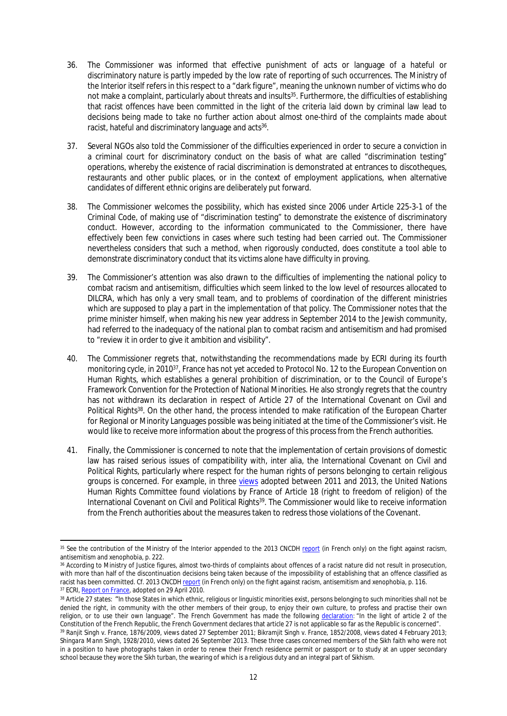- 36. The Commissioner was informed that effective punishment of acts or language of a hateful or discriminatory nature is partly impeded by the low rate of reporting of such occurrences. The Ministry of the Interior itself refers in this respect to a "dark figure", meaning the unknown number of victims who do not make a complaint, particularly about threats and insults<sup>35</sup>. Furthermore, the difficulties of establishing that racist offences have been committed in the light of the criteria laid down by criminal law lead to decisions being made to take no further action about almost one-third of the complaints made about racist, hateful and discriminatory language and acts<sup>36</sup>.
- 37. Several NGOs also told the Commissioner of the difficulties experienced in order to secure a conviction in a criminal court for discriminatory conduct on the basis of what are called "discrimination testing" operations, whereby the existence of racial discrimination is demonstrated at entrances to discotheques, restaurants and other public places, or in the context of employment applications, when alternative candidates of different ethnic origins are deliberately put forward.
- 38. The Commissioner welcomes the possibility, which has existed since 2006 under Article 225-3-1 of the Criminal Code, of making use of "discrimination testing" to demonstrate the existence of discriminatory conduct. However, according to the information communicated to the Commissioner, there have effectively been few convictions in cases where such testing had been carried out. The Commissioner nevertheless considers that such a method, when rigorously conducted, does constitute a tool able to demonstrate discriminatory conduct that its victims alone have difficulty in proving.
- 39. The Commissioner's attention was also drawn to the difficulties of implementing the national policy to combat racism and antisemitism, difficulties which seem linked to the low level of resources allocated to DILCRA, which has only a very small team, and to problems of coordination of the different ministries which are supposed to play a part in the implementation of that policy. The Commissioner notes that the prime minister himself, when making his new year address in September 2014 to the Jewish community, had referred to the inadequacy of the national plan to combat racism and antisemitism and had promised to "review it in order to give it ambition and visibility".
- 40. The Commissioner regrets that, notwithstanding the recommendations made by ECRI during its fourth monitoring cycle, in 2010<sup>37</sup>, France has not yet acceded to Protocol No. 12 to the European Convention on Human Rights, which establishes a general prohibition of discrimination, or to the Council of Europe's Framework Convention for the Protection of National Minorities. He also strongly regrets that the country has not withdrawn its declaration in respect of Article 27 of the International Covenant on Civil and Political Rights<sup>38</sup>. On the other hand, the process intended to make ratification of the European Charter for Regional or Minority Languages possible was being initiated at the time of the Commissioner's visit. He would like to receive more information about the progress of this process from the French authorities.
- 41. Finally, the Commissioner is concerned to note that the implementation of certain provisions of domestic law has raised serious issues of compatibility with, inter alia, the International Covenant on Civil and Political Rights, particularly where respect for the human rights of persons belonging to certain religious groups is concerned. For example, in three [views](http://tbinternet.ohchr.org/_layouts/treatybodyexternal/TBSearch.aspx?Lang=en&TreatyID=8&DocTypeID=17) adopted between 2011 and 2013, the United Nations Human Rights Committee found violations by France of Article 18 (right to freedom of religion) of the International Covenant on Civil and Political Rights<sup>39</sup>. The Commissioner would like to receive information from the French authorities about the measures taken to redress those violations of the Covenant.

<sup>&</sup>lt;sup>35</sup> See the contribution of the Ministry of the Interior appended to the 2013 CNCDH [report](http://www.ladocumentationfrancaise.fr/var/storage/rapports-publics/144000199/0000.pdf) (in French only) on the fight against racism. antisemitism and xenophobia, p. 222.

<sup>36</sup> According to Ministry of Justice figures, almost two-thirds of complaints about offences of a racist nature did not result in prosecution, with more than half of the discontinuation decisions being taken because of the impossibility of establishing that an offence classified as racist has been committed. Cf. 2013 CNCDH [report](http://www.ladocumentationfrancaise.fr/var/storage/rapports-publics/144000199/0000.pdf) (in French only) on the fight against racism, antisemitism and xenophobia, p. 116. 37 ECRI, [Report on France,](http://www.coe.int/t/dghl/monitoring/ecri/Country-by-country/France/FRA-CbC-IV-2010-016-ENG.pdf) adopted on 29 April 2010.

<sup>&</sup>lt;sup>38</sup> Article 27 states: "In those States in which ethnic, religious or linguistic minorities exist, persons belonging to such minorities shall not be denied the right, in community with the other members of their group, to enjoy their own culture, to profess and practise their own religion, or to use their own language". The French Government has made the following [declaration:](https://treaties.un.org/Pages/ViewDetails.aspx?src=TREATY&mtdsg_no=IV-4&chapter=4&lang=en#EndDec) "In the light of article 2 of the Constitution of the French Republic, the French Government declares that article 27 is not applicable so far as the Republic is concerned". <sup>39</sup> *Ranjit Singh v. France*, 1876/2009, views dated 27 September 2011; *Bikramjit Singh v. France*, 1852/2008, views dated 4 February 2013;

*Shingara Mann Singh*, 1928/2010, views dated 26 September 2013. These three cases concerned members of the Sikh faith who were not in a position to have photographs taken in order to renew their French residence permit or passport or to study at an upper secondary school because they wore the Sikh turban, the wearing of which is a religious duty and an integral part of Sikhism.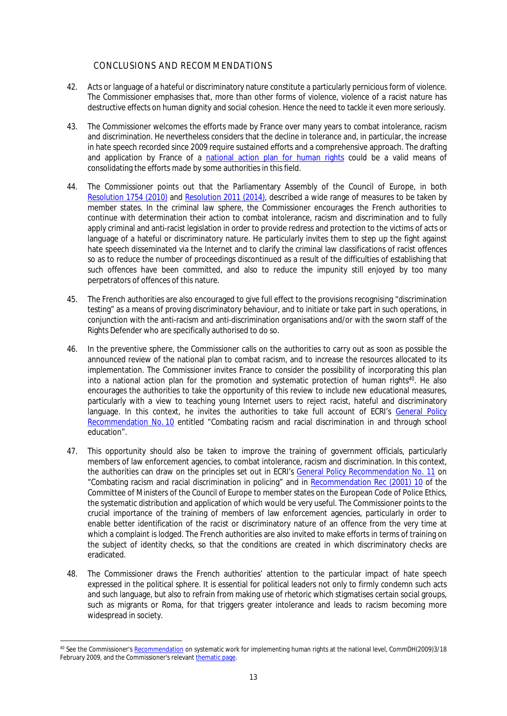## <span id="page-12-0"></span>CONCLUSIONS AND RECOMMENDATIONS

- 42. Acts or language of a hateful or discriminatory nature constitute a particularly pernicious form of violence. The Commissioner emphasises that, more than other forms of violence, violence of a racist nature has destructive effects on human dignity and social cohesion. Hence the need to tackle it even more seriously.
- 43. The Commissioner welcomes the efforts made by France over many years to combat intolerance, racism and discrimination. He nevertheless considers that the decline in tolerance and, in particular, the increase in hate speech recorded since 2009 require sustained efforts and a comprehensive approach. The drafting and application by France of a [national action plan for human rights](http://www.coe.int/en/web/commissioner/systematic-human-rights-work) could be a valid means of consolidating the efforts made by some authorities in this field.
- 44. The Commissioner points out that the Parliamentary Assembly of the Council of Europe, in both [Resolution 1754 \(2010\)](http://www.assembly.coe.int/Main.asp?link=/Documents/AdoptedText/ta10/ERES1754.htm) and [Resolution 2011 \(2014\)](http://assembly.coe.int/nw/xml/XRef/Xref-XML2HTML-EN.asp?fileid=21219&lang=en), described a wide range of measures to be taken by member states. In the criminal law sphere, the Commissioner encourages the French authorities to continue with determination their action to combat intolerance, racism and discrimination and to fully apply criminal and anti-racist legislation in order to provide redress and protection to the victims of acts or language of a hateful or discriminatory nature. He particularly invites them to step up the fight against hate speech disseminated via the Internet and to clarify the criminal law classifications of racist offences so as to reduce the number of proceedings discontinued as a result of the difficulties of establishing that such offences have been committed, and also to reduce the impunity still enjoyed by too many perpetrators of offences of this nature.
- 45. The French authorities are also encouraged to give full effect to the provisions recognising "discrimination testing" as a means of proving discriminatory behaviour, and to initiate or take part in such operations, in conjunction with the anti-racism and anti-discrimination organisations and/or with the sworn staff of the Rights Defender who are specifically authorised to do so.
- 46. In the preventive sphere, the Commissioner calls on the authorities to carry out as soon as possible the announced review of the national plan to combat racism, and to increase the resources allocated to its implementation. The Commissioner invites France to consider the possibility of incorporating this plan into a national action plan for the promotion and systematic protection of human rights<sup>40</sup>. He also encourages the authorities to take the opportunity of this review to include new educational measures, particularly with a view to teaching young Internet users to reject racist, hateful and discriminatory language. In this context, he invites the authorities to take full account of ECRI's General Policy [Recommendation No. 10](http://www.coe.int/t/dghl/monitoring/ecri/activities/gpr/en/recommendation_n10/recommendation_10_EN.asp?) entitled "Combating racism and racial discrimination in and through school education".
- 47. This opportunity should also be taken to improve the training of government officials, particularly members of law enforcement agencies, to combat intolerance, racism and discrimination. In this context, the authorities can draw on the principles set out in ECRI's [General Policy Recommendation No. 11](http://www.coe.int/t/dghl/monitoring/ecri/activities/gpr/en/recommendation_n11/recommendation_11_EN.asp?) on "Combating racism and racial discrimination in policing" and in [Recommendation Rec \(2001\) 10](https://wcd.coe.int/ViewDoc.jsp?Ref=Rec(2001)10&Language=lanEnglish&Ver=original&Site=CM&BackColorInternet=DBDCF2&BackColorIntranet=FDC864&BackColorLogged=FDC864) of the Committee of Ministers of the Council of Europe to member states on the European Code of Police Ethics, the systematic distribution and application of which would be very useful. The Commissioner points to the crucial importance of the training of members of law enforcement agencies, particularly in order to enable better identification of the racist or discriminatory nature of an offence from the very time at which a complaint is lodged. The French authorities are also invited to make efforts in terms of training on the subject of identity checks, so that the conditions are created in which discriminatory checks are eradicated.
- 48. The Commissioner draws the French authorities' attention to the particular impact of hate speech expressed in the political sphere. It is essential for political leaders not only to firmly condemn such acts and such language, but also to refrain from making use of rhetoric which stigmatises certain social groups, such as migrants or Roma, for that triggers greater intolerance and leads to racism becoming more widespread in society.

<sup>40</sup> See the Commissioner's [Recommendation](https://wcd.coe.int/com.instranet.InstraServlet?Index=no&command=com.instranet.CmdBlobGet&InstranetImage=2203969&SecMode=1&DocId=1368016&Usage=2) on systematic work for implementing human rights at the national level, CommDH(2009)3/18 February 2009, and the Commissioner's relevant [thematic page.](http://www.coe.int/en/web/commissioner/systematic-human-rights-work)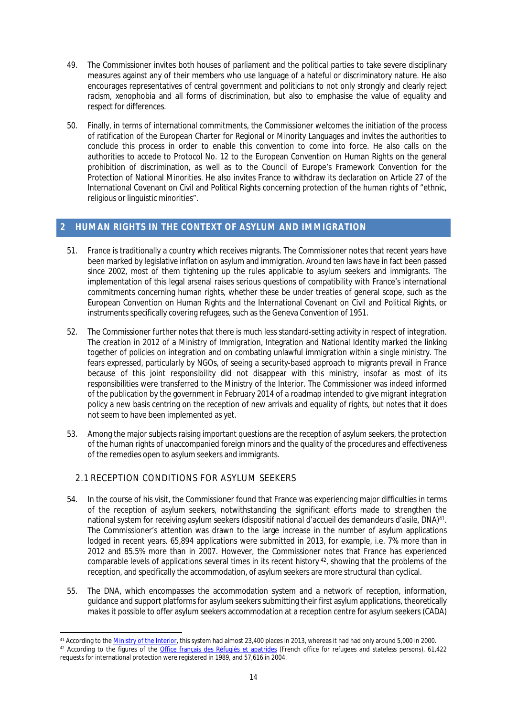- 49. The Commissioner invites both houses of parliament and the political parties to take severe disciplinary measures against any of their members who use language of a hateful or discriminatory nature. He also encourages representatives of central government and politicians to not only strongly and clearly reject racism, xenophobia and all forms of discrimination, but also to emphasise the value of equality and respect for differences.
- 50. Finally, in terms of international commitments, the Commissioner welcomes the initiation of the process of ratification of the European Charter for Regional or Minority Languages and invites the authorities to conclude this process in order to enable this convention to come into force. He also calls on the authorities to accede to Protocol No. 12 to the European Convention on Human Rights on the general prohibition of discrimination, as well as to the Council of Europe's Framework Convention for the Protection of National Minorities. He also invites France to withdraw its declaration on Article 27 of the International Covenant on Civil and Political Rights concerning protection of the human rights of "ethnic, religious or linguistic minorities".

## <span id="page-13-0"></span>**2 HUMAN RIGHTS IN THE CONTEXT OF ASYLUM AND IMMIGRATION**

- 51. France is traditionally a country which receives migrants. The Commissioner notes that recent years have been marked by legislative inflation on asylum and immigration. Around ten laws have in fact been passed since 2002, most of them tightening up the rules applicable to asylum seekers and immigrants. The implementation of this legal arsenal raises serious questions of compatibility with France's international commitments concerning human rights, whether these be under treaties of general scope, such as the European Convention on Human Rights and the International Covenant on Civil and Political Rights, or instruments specifically covering refugees, such as the Geneva Convention of 1951.
- 52. The Commissioner further notes that there is much less standard-setting activity in respect of integration. The creation in 2012 of a Ministry of Immigration, Integration and National Identity marked the linking together of policies on integration and on combating unlawful immigration within a single ministry. The fears expressed, particularly by NGOs, of seeing a security-based approach to migrants prevail in France because of this joint responsibility did not disappear with this ministry, insofar as most of its responsibilities were transferred to the Ministry of the Interior. The Commissioner was indeed informed of the publication by the government in February 2014 of a roadmap intended to give migrant integration policy a new basis centring on the reception of new arrivals and equality of rights, but notes that it does not seem to have been implemented as yet.
- 53. Among the major subjects raising important questions are the reception of asylum seekers, the protection of the human rights of unaccompanied foreign minors and the quality of the procedures and effectiveness of the remedies open to asylum seekers and immigrants.

## <span id="page-13-1"></span>2.1 RECEPTION CONDITIONS FOR ASYLUM SEEKERS

- 54. In the course of his visit, the Commissioner found that France was experiencing major difficulties in terms of the reception of asylum seekers, notwithstanding the significant efforts made to strengthen the national system for receiving asylum seekers (*dispositif national d'accueil des demandeurs d'asile*, DNA)<sup>41</sup> . The Commissioner's attention was drawn to the large increase in the number of asylum applications lodged in recent years. 65,894 applications were submitted in 2013, for example, i.e. 7% more than in 2012 and 85.5% more than in 2007. However, the Commissioner notes that France has experienced comparable levels of applications several times in its recent history<sup>42</sup>, showing that the problems of the reception, and specifically the accommodation, of asylum seekers are more structural than cyclical.
- 55. The DNA, which encompasses the accommodation system and a network of reception, information, guidance and support platforms for asylum seekers submitting their first asylum applications, theoretically makes it possible to offer asylum seekers accommodation at a reception centre for asylum seekers (CADA)

<sup>&</sup>lt;sup>41</sup> According to the *Ministry of the Interior*, this system had almost 23,400 places in 2013, whereas it had had only around 5,000 in 2000. <sup>42</sup> According to the figures of the [Office français des Réfugiés et apatrides](http://www.ofpra.gouv.fr/documents/OfpraRA2012.pdf) (French office for refugees and stateless persons), 61,422 requests for international protection were registered in 1989, and 57,616 in 2004.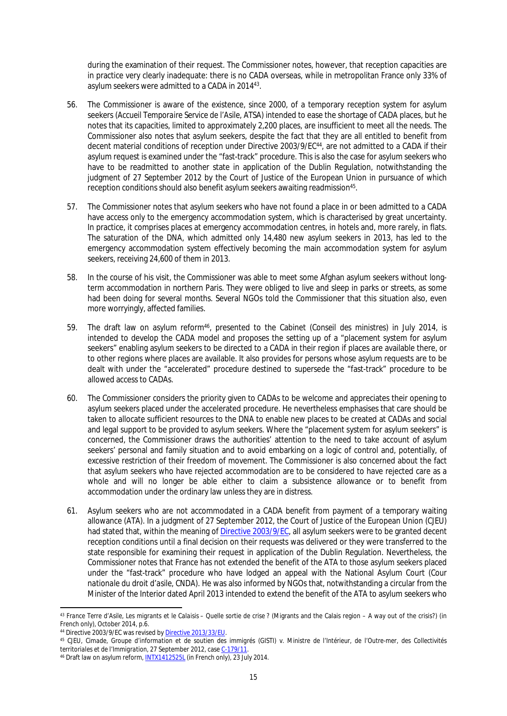during the examination of their request. The Commissioner notes, however, that reception capacities are in practice very clearly inadequate: there is no CADA overseas, while in metropolitan France only 33% of asylum seekers were admitted to a CADA in 2014<sup>43</sup>.

- 56. The Commissioner is aware of the existence, since 2000, of a temporary reception system for asylum seekers (*Accueil Temporaire Service de l'Asile*, ATSA) intended to ease the shortage of CADA places, but he notes that its capacities, limited to approximately 2,200 places, are insufficient to meet all the needs. The Commissioner also notes that asylum seekers, despite the fact that they are all entitled to benefit from decent material conditions of reception under Directive 2003/9/EC<sup>44</sup>, are not admitted to a CADA if their asylum request is examined under the "fast-track" procedure. This is also the case for asylum seekers who have to be readmitted to another state in application of the Dublin Regulation, notwithstanding the judgment of 27 September 2012 by the Court of Justice of the European Union in pursuance of which reception conditions should also benefit asylum seekers awaiting readmission<sup>45</sup>.
- 57. The Commissioner notes that asylum seekers who have not found a place in or been admitted to a CADA have access only to the emergency accommodation system, which is characterised by great uncertainty. In practice, it comprises places at emergency accommodation centres, in hotels and, more rarely, in flats. The saturation of the DNA, which admitted only 14,480 new asylum seekers in 2013, has led to the emergency accommodation system effectively becoming the main accommodation system for asylum seekers, receiving 24,600 of them in 2013.
- 58. In the course of his visit, the Commissioner was able to meet some Afghan asylum seekers without longterm accommodation in northern Paris. They were obliged to live and sleep in parks or streets, as some had been doing for several months. Several NGOs told the Commissioner that this situation also, even more worryingly, affected families.
- 59. The draft law on asylum reform<sup>46</sup>, presented to the Cabinet (*Conseil des ministres*) in July 2014, is intended to develop the CADA model and proposes the setting up of a "placement system for asylum seekers" enabling asylum seekers to be directed to a CADA in their region if places are available there, or to other regions where places are available. It also provides for persons whose asylum requests are to be dealt with under the "accelerated" procedure destined to supersede the "fast-track" procedure to be allowed access to CADAs.
- 60. The Commissioner considers the priority given to CADAs to be welcome and appreciates their opening to asylum seekers placed under the accelerated procedure. He nevertheless emphasises that care should be taken to allocate sufficient resources to the DNA to enable new places to be created at CADAs and social and legal support to be provided to asylum seekers. Where the "placement system for asylum seekers" is concerned, the Commissioner draws the authorities' attention to the need to take account of asylum seekers' personal and family situation and to avoid embarking on a logic of control and, potentially, of excessive restriction of their freedom of movement. The Commissioner is also concerned about the fact that asylum seekers who have rejected accommodation are to be considered to have rejected care as a whole and will no longer be able either to claim a subsistence allowance or to benefit from accommodation under the ordinary law unless they are in distress.
- 61. Asylum seekers who are not accommodated in a CADA benefit from payment of a temporary waiting allowance (ATA). In a judgment of 27 September 2012, the Court of Justice of the European Union (CJEU) had stated that, within the meaning of [Directive 2003/9/EC](http://eur-lex.europa.eu/LexUriServ/LexUriServ.do?uri=OJ:L:2003:031:0018:0025:EN:PDF), all asylum seekers were to be granted decent reception conditions until a final decision on their requests was delivered or they were transferred to the state responsible for examining their request in application of the Dublin Regulation. Nevertheless, the Commissioner notes that France has not extended the benefit of the ATA to those asylum seekers placed under the "fast-track" procedure who have lodged an appeal with the National Asylum Court (*Cour nationale du droit d'asile, CNDA*). He was also informed by NGOs that, notwithstanding a circular from the Minister of the Interior dated April 2013 intended to extend the benefit of the ATA to asylum seekers who

<sup>43</sup> *France Terre d'Asile*, *Les migrants et le Calaisis – Quelle sortie de crise* ? (Migrants and the Calais region – A way out of the crisis?) (in French only), October 2014, p.6.

<sup>44</sup> Directive 2003/9/EC was revised by [Directive 2013/33/EU.](http://eur-lex.europa.eu/LexUriServ/LexUriServ.do?uri=OJ:L:2013:180:0096:0116:EN:PDF)

<sup>45</sup> CJEU, *Cimade, Groupe d'information et de soutien des immigrés (GISTI) v. Ministre de l'Intérieur, de l'Outre-mer, des Collectivités territoriales et de l'Immigration*, 27 September 2012, case [C-179/11](http://curia.europa.eu/juris/document/document.jsf?docid=127563&doclang=EN).

<sup>46</sup> Draft law on asylum reform, [INTX1412525L](http://www.legifrance.gouv.fr/affichLoiPreparation.do;jsessionid=F99AEB73BE7C1A26646B85062E9A9189.tpdjo15v_1?idDocument=JORFDOLE000029287346&type=contenu&id=2&typeLoi=proj&legislature=14) (in French only), 23 July 2014.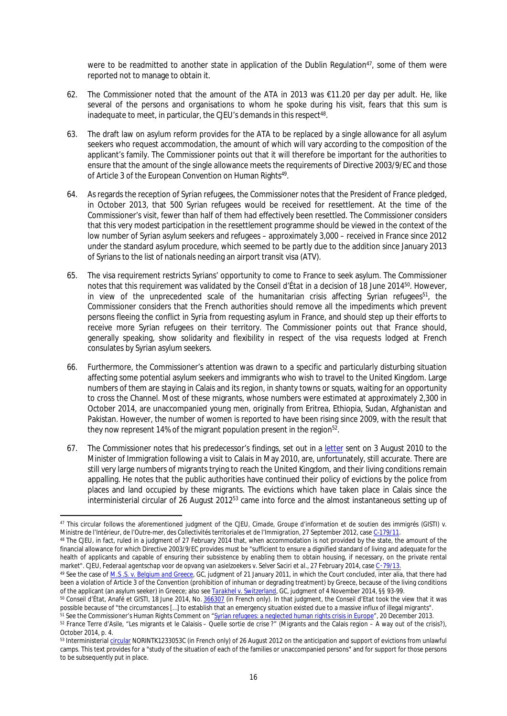were to be readmitted to another state in application of the Dublin Regulation $47$ , some of them were reported not to manage to obtain it.

- 62. The Commissioner noted that the amount of the ATA in 2013 was €11.20 per day per adult. He, like several of the persons and organisations to whom he spoke during his visit, fears that this sum is inadequate to meet, in particular, the CJEU's demands in this respect<sup>48</sup>.
- 63. The draft law on asylum reform provides for the ATA to be replaced by a single allowance for all asylum seekers who request accommodation, the amount of which will vary according to the composition of the applicant's family. The Commissioner points out that it will therefore be important for the authorities to ensure that the amount of the single allowance meets the requirements of Directive 2003/9/EC and those of Article 3 of the European Convention on Human Rights<sup>49</sup>.
- 64. As regards the reception of Syrian refugees, the Commissioner notes that the President of France pledged, in October 2013, that 500 Syrian refugees would be received for resettlement. At the time of the Commissioner's visit, fewer than half of them had effectively been resettled. The Commissioner considers that this very modest participation in the resettlement programme should be viewed in the context of the low number of Syrian asylum seekers and refugees – approximately 3,000 – received in France since 2012 under the standard asylum procedure, which seemed to be partly due to the addition since January 2013 of Syrians to the list of nationals needing an airport transit visa (ATV).
- 65. The visa requirement restricts Syrians' opportunity to come to France to seek asylum. The Commissioner notes that this requirement was validated by the *Conseil d'État* in a decision of 18 June 2014<sup>50</sup>. However, in view of the unprecedented scale of the humanitarian crisis affecting Syrian refugees<sup>51</sup>, the Commissioner considers that the French authorities should remove all the impediments which prevent persons fleeing the conflict in Syria from requesting asylum in France, and should step up their efforts to receive more Syrian refugees on their territory. The Commissioner points out that France should, generally speaking, show solidarity and flexibility in respect of the visa requests lodged at French consulates by Syrian asylum seekers.
- 66. Furthermore, the Commissioner's attention was drawn to a specific and particularly disturbing situation affecting some potential asylum seekers and immigrants who wish to travel to the United Kingdom. Large numbers of them are staying in Calais and its region, in shanty towns or squats, waiting for an opportunity to cross the Channel. Most of these migrants, whose numbers were estimated at approximately 2,300 in October 2014, are unaccompanied young men, originally from Eritrea, Ethiopia, Sudan, Afghanistan and Pakistan. However, the number of women is reported to have been rising since 2009, with the result that they now represent 14% of the migrant population present in the region<sup>52</sup>.
- 67. The Commissioner notes that his predecessor's findings, set out in a [letter](https://wcd.coe.int/com.instranet.InstraServlet?command=com.instranet.CmdBlobGet&InstranetImage=1964767&SecMode=1&DocId=1622312&Usage=2) sent on 3 August 2010 to the Minister of Immigration following a visit to Calais in May 2010, are, unfortunately, still accurate. There are still very large numbers of migrants trying to reach the United Kingdom, and their living conditions remain appalling. He notes that the public authorities have continued their policy of evictions by the police from places and land occupied by these migrants. The evictions which have taken place in Calais since the interministerial circular of 26 August 2012<sup>53</sup> came into force and the almost instantaneous setting up of

<sup>47</sup> This circular follows the aforementioned judgment of the CJEU, *Cimade, Groupe d'information et de soutien des immigrés (GISTI) v. Ministre de l'Intérieur, de l'Outre-mer, des Collectivités territoriales et de l'Immigration*, 27 September 2012, case [C-179/11.](http://curia.europa.eu/juris/document/document.jsf?docid=127563&doclang=EN)

<sup>48</sup> The CJEU, in fact, ruled in a judgment of 27 February 2014 that, when accommodation is not provided by the state, the amount of the financial allowance for which Directive 2003/9/EC provides must be "sufficient to ensure a dignified standard of living and adequate for the health of applicants and capable of ensuring their subsistence by enabling them to obtain housing, if necessary, on the private rental market". CJEU, *Federaal agentschap voor de opvang van asielzoekers v. Selver Saciri et al.*, 27 February 2014, case C‑[79/13](http://curia.europa.eu/juris/document/document.jsf?text=&docid=148395&pageIndex=0&doclang=EN&mode=lst&dir=&occ=first&part=1&cid=275374).

<sup>49</sup> See the case of *[M.S .S. v. Belgium and Greece](http://hudoc.echr.coe.int/sites/fra/pages/search.aspx?i=001-103050)*, GC, judgment of 21 January 2011, in which the Court concluded, inter alia, that there had been a violation of Article 3 of the Convention (prohibition of inhuman or degrading treatment) by Greece, because of the living conditions of the applicant (an asylum seeker) in Greece; also see *[Tarakhel v. Switzerland](http://hudoc.echr.coe.int/sites/eng/pages/search.aspx?i=001-148070)*, GC, judgment of 4 November 2014, §§ 93-99.

<sup>50</sup> *Conseil d'État*, Anafé et GISTI, 18 June 2014, No. [366307](http://www.legifrance.gouv.fr/affichJuriAdmin.do?oldAction=rechJuriAdmin&idTexte=CETATEXT000029103363&fastReqId=1746808682&fastPos=1) (in French only). In that judgment, the *Conseil d'Etat* took the view that it was possible because of "the circumstances […] to establish that an emergency situation existed due to a massive influx of illegal migrants".

<sup>51</sup> See the Commissioner's Human Rights Comment on "[Syrian refugees: a neglected human rights crisis in Europe"](http://www.coe.int/en/web/commissioner/-/syrian-refugees-a-neglected-human-rights-crisis-in-euro-2?redirect=http%3A%2F%2Fwww.coe.int%2Fweb%2Fcommissioner%2Fblog-2013%3Fp_p_id%3D101_INSTANCE_xZ32OPEoxOkq%26p_p_lifecycle%3D0%26p_p_state%3Dnormal%26p_p_mode%253), 20 December 2013.

<sup>52</sup> *France Terre d'Asile*, "Les migrants et le Calaisis – Quelle sortie de crise ?" (Migrants and the Calais region – A way out of the crisis?), October 2014, p. 4.

<sup>53</sup> Interministerial [circular](http://circulaire.legifrance.gouv.fr/pdf/2012/08/cir_35737.pdf) NORINTK1233053C (in French only) of 26 August 2012 on the anticipation and support of evictions from unlawful camps. This text provides for a "study of the situation of each of the families or unaccompanied persons" and for support for those persons to be subsequently put in place.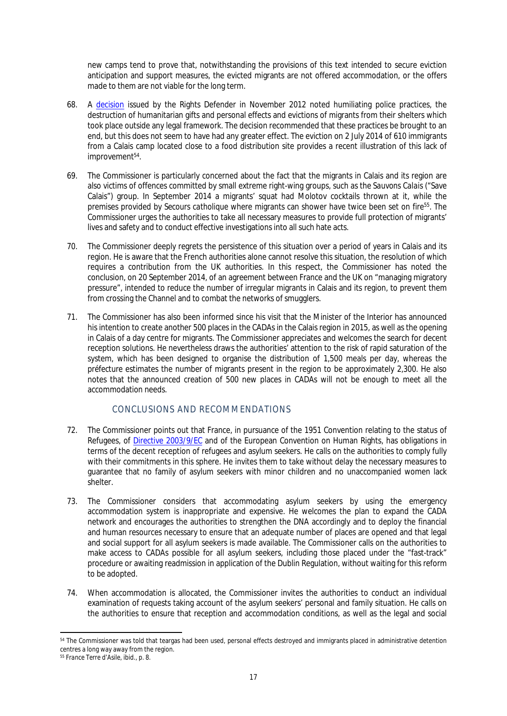new camps tend to prove that, notwithstanding the provisions of this text intended to secure eviction anticipation and support measures, the evicted migrants are not offered accommodation, or the offers made to them are not viable for the long term.

- 68. A [decision](http://www.defenseurdesdroits.fr/decisions/ddd/MDE-2012-158.pdf) issued by the Rights Defender in November 2012 noted humiliating police practices, the destruction of humanitarian gifts and personal effects and evictions of migrants from their shelters which took place outside any legal framework. The decision recommended that these practices be brought to an end, but this does not seem to have had any greater effect. The eviction on 2 July 2014 of 610 immigrants from a Calais camp located close to a food distribution site provides a recent illustration of this lack of improvement<sup>54</sup>.
- 69. The Commissioner is particularly concerned about the fact that the migrants in Calais and its region are also victims of offences committed by small extreme right-wing groups, such as the *Sauvons Calais* ("Save Calais") group. In September 2014 a migrants' squat had Molotov cocktails thrown at it, while the premises provided by *Secours catholique* where migrants can shower have twice been set on fire<sup>55</sup>. The Commissioner urges the authorities to take all necessary measures to provide full protection of migrants' lives and safety and to conduct effective investigations into all such hate acts.
- 70. The Commissioner deeply regrets the persistence of this situation over a period of years in Calais and its region. He is aware that the French authorities alone cannot resolve this situation, the resolution of which requires a contribution from the UK authorities. In this respect, the Commissioner has noted the conclusion, on 20 September 2014, of an agreement between France and the UK on "managing migratory pressure", intended to reduce the number of irregular migrants in Calais and its region, to prevent them from crossing the Channel and to combat the networks of smugglers.
- 71. The Commissioner has also been informed since his visit that the Minister of the Interior has announced his intention to create another 500 places in the CADAs in the Calais region in 2015, as well as the opening in Calais of a day centre for migrants. The Commissioner appreciates and welcomes the search for decent reception solutions. He nevertheless draws the authorities' attention to the risk of rapid saturation of the system, which has been designed to organise the distribution of 1,500 meals per day, whereas the *préfecture* estimates the number of migrants present in the region to be approximately 2,300. He also notes that the announced creation of 500 new places in CADAs will not be enough to meet all the accommodation needs.

## <span id="page-16-0"></span>CONCLUSIONS AND RECOMMENDATIONS

- 72. The Commissioner points out that France, in pursuance of the 1951 Convention relating to the status of Refugees, of [Directive 2003/9/EC](http://eur-lex.europa.eu/LexUriServ/LexUriServ.do?uri=OJ:L:2003:031:0018:0025:EN:PDF) and of the European Convention on Human Rights, has obligations in terms of the decent reception of refugees and asylum seekers. He calls on the authorities to comply fully with their commitments in this sphere. He invites them to take without delay the necessary measures to guarantee that no family of asylum seekers with minor children and no unaccompanied women lack shelter.
- 73. The Commissioner considers that accommodating asylum seekers by using the emergency accommodation system is inappropriate and expensive. He welcomes the plan to expand the CADA network and encourages the authorities to strengthen the DNA accordingly and to deploy the financial and human resources necessary to ensure that an adequate number of places are opened and that legal and social support for all asylum seekers is made available. The Commissioner calls on the authorities to make access to CADAs possible for all asylum seekers, including those placed under the "fast-track" procedure or awaiting readmission in application of the Dublin Regulation, without waiting for this reform to be adopted.
- 74. When accommodation is allocated, the Commissioner invites the authorities to conduct an individual examination of requests taking account of the asylum seekers' personal and family situation. He calls on the authorities to ensure that reception and accommodation conditions, as well as the legal and social

<sup>54</sup> The Commissioner was told that teargas had been used, personal effects destroyed and immigrants placed in administrative detention centres a long way away from the region.

<sup>55</sup> *France Terre d'Asile*, ibid., p. 8.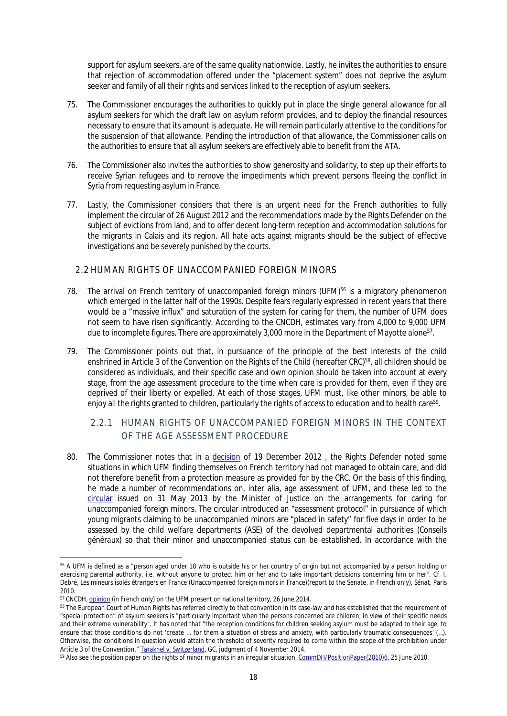support for asylum seekers, are of the same quality nationwide. Lastly, he invites the authorities to ensure that rejection of accommodation offered under the "placement system" does not deprive the asylum seeker and family of all their rights and services linked to the reception of asylum seekers.

- 75. The Commissioner encourages the authorities to quickly put in place the single general allowance for all asylum seekers for which the draft law on asylum reform provides, and to deploy the financial resources necessary to ensure that its amount is adequate. He will remain particularly attentive to the conditions for the suspension of that allowance. Pending the introduction of that allowance, the Commissioner calls on the authorities to ensure that all asylum seekers are effectively able to benefit from the ATA.
- 76. The Commissioner also invites the authorities to show generosity and solidarity, to step up their efforts to receive Syrian refugees and to remove the impediments which prevent persons fleeing the conflict in Syria from requesting asylum in France.
- 77. Lastly, the Commissioner considers that there is an urgent need for the French authorities to fully implement the circular of 26 August 2012 and the recommendations made by the Rights Defender on the subject of evictions from land, and to offer decent long-term reception and accommodation solutions for the migrants in Calais and its region. All hate acts against migrants should be the subject of effective investigations and be severely punished by the courts.

### <span id="page-17-0"></span>2.2 HUMAN RIGHTS OF UNACCOMPANIED FOREIGN MINORS

- 78. The arrival on French territory of unaccompanied foreign minors (UFM)<sup>56</sup> is a migratory phenomenon which emerged in the latter half of the 1990s. Despite fears regularly expressed in recent years that there would be a "massive influx" and saturation of the system for caring for them, the number of UFM does not seem to have risen significantly. According to the CNCDH, estimates vary from 4,000 to 9,000 UFM due to incomplete figures. There are approximately 3,000 more in the Department of Mayotte alone<sup>57</sup>.
- 79. The Commissioner points out that, in pursuance of the principle of the best interests of the child enshrined in Article 3 of the Convention on the Rights of the Child (hereafter CRC)<sup>58</sup>, all children should be considered as individuals, and their specific case and own opinion should be taken into account at every stage, from the age assessment procedure to the time when care is provided for them, even if they are deprived of their liberty or expelled. At each of those stages, UFM must, like other minors, be able to enjoy all the rights granted to children, particularly the rights of access to education and to health care $^{\rm 59}$ .

# <span id="page-17-1"></span>2.2.1 HUMAN RIGHTS OF UNACCOMPANIED FOREIGN MINORS IN THE CONTEXT OF THE AGE ASSESSMENT PROCEDURE

80. The Commissioner notes that in a [decision](http://www.defenseurdesdroits.fr/decisions/ddd/MDE-2012-179.pdf) of 19 December 2012, the Rights Defender noted some situations in which UFM finding themselves on French territory had not managed to obtain care, and did not therefore benefit from a protection measure as provided for by the CRC. On the basis of this finding, he made a number of recommendations on, inter alia, age assessment of UFM, and these led to the [circular](http://circulaire.legifrance.gouv.fr/pdf/2013/06/cir_37174.pdf) issued on 31 May 2013 by the Minister of Justice on the arrangements for caring for unaccompanied foreign minors. The circular introduced an "assessment protocol" in pursuance of which young migrants claiming to be unaccompanied minors are "placed in safety" for five days in order to be assessed by the child welfare departments (ASE) of the devolved departmental authorities (*Conseils généraux*) so that their minor and unaccompanied status can be established. In accordance with the

<sup>56</sup> A UFM is defined as a "person aged under 18 who is outside his or her country of origin but not accompanied by a person holding or exercising parental authority, i.e. without anyone to protect him or her and to take important decisions concerning him or her". Cf. I. Debré, *Les mineurs isolés étrangers en France* (Unaccompanied foreign minors in France)(report to the Senate, in French only), *Sénat*, Paris 2010.

<sup>&</sup>lt;sup>57</sup> CNCDH, [opinion](http://www.cncdh.fr/sites/default/files/14.06.26_avis_situation_des_mie.pdf) (in French only) on the UFM present on national territory, 26 June 2014.

<sup>58</sup> The European Court of Human Rights has referred directly to that convention in its case-law and has established that the requirement of "special protection" of asylum seekers is "particularly important when the persons concerned are children, in view of their specific needs and their extreme vulnerability". It has noted that "the reception conditions for children seeking asylum must be adapted to their age, to ensure that those conditions do not 'create ... for them a situation of stress and anxiety, with particularly traumatic consequences' (...). Otherwise, the conditions in question would attain the threshold of severity required to come within the scope of the prohibition under Article 3 of the Convention." *[Tarakhel v. Switzerland](http://hudoc.echr.coe.int/sites/eng/pages/search.aspx?i=001-148070)*, GC, judgment of 4 November 2014.

<sup>59</sup> Also see the position paper on the rights of minor migrants in an irregular situation, [CommDH/PositionPaper\(2010\)6](https://wcd.coe.int/ViewDoc.jsp?id=1706317), 25 June 2010.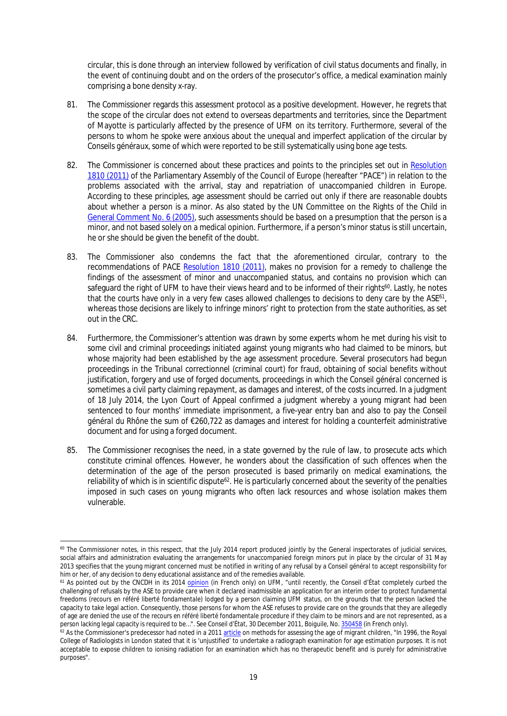circular, this is done through an interview followed by verification of civil status documents and finally, in the event of continuing doubt and on the orders of the prosecutor's office, a medical examination mainly comprising a bone density x-ray.

- 81. The Commissioner regards this assessment protocol as a positive development. However, he regrets that the scope of the circular does not extend to overseas departments and territories, since the Department of Mayotte is particularly affected by the presence of UFM on its territory. Furthermore, several of the persons to whom he spoke were anxious about the unequal and imperfect application of the circular by *Conseils généraux*, some of which were reported to be still systematically using bone age tests.
- 82. The Commissioner is concerned about these practices and points to the principles set out in Resolution [1810 \(2011\)](http://assembly.coe.int/Main.asp?link=/Documents/AdoptedText/ta11/ERES1810.htm) of the Parliamentary Assembly of the Council of Europe (hereafter "PACE") in relation to the problems associated with the arrival, stay and repatriation of unaccompanied children in Europe. According to these principles, age assessment should be carried out only if there are reasonable doubts about whether a person is a minor. As also stated by the UN Committee on the Rights of the Child in [General Comment No. 6 \(2005\)](http://tb.ohchr.org/default.aspx?Symbol=CRC/GC/2005/6), such assessments should be based on a presumption that the person is a minor, and not based solely on a medical opinion. Furthermore, if a person's minor status is still uncertain, he or she should be given the benefit of the doubt.
- 83. The Commissioner also condemns the fact that the aforementioned circular, contrary to the recommendations of PACE [Resolution 1810 \(2011\),](http://assembly.coe.int/Main.asp?link=/Documents/AdoptedText/ta11/ERES1810.htm) makes no provision for a remedy to challenge the findings of the assessment of minor and unaccompanied status, and contains no provision which can safeguard the right of UFM to have their views heard and to be informed of their rights<sup>60</sup>. Lastly, he notes that the courts have only in a very few cases allowed challenges to decisions to deny care by the ASE<sup>61</sup>, whereas those decisions are likely to infringe minors' right to protection from the state authorities, as set out in the CRC.
- 84. Furthermore, the Commissioner's attention was drawn by some experts whom he met during his visit to some civil and criminal proceedings initiated against young migrants who had claimed to be minors, but whose majority had been established by the age assessment procedure. Several prosecutors had begun proceedings in the *Tribunal correctionnel* (criminal court) for fraud, obtaining of social benefits without justification, forgery and use of forged documents, proceedings in which the *Conseil général* concerned is sometimes a civil party claiming repayment, as damages and interest, of the costs incurred. In a judgment of 18 July 2014, the Lyon Court of Appeal confirmed a judgment whereby a young migrant had been sentenced to four months' immediate imprisonment, a five-year entry ban and also to pay the *Conseil général du Rhône* the sum of €260,722 as damages and interest for holding a counterfeit administrative document and for using a forged document.
- 85. The Commissioner recognises the need, in a state governed by the rule of law, to prosecute acts which constitute criminal offences. However, he wonders about the classification of such offences when the determination of the age of the person prosecuted is based primarily on medical examinations, the reliability of which is in scientific dispute<sup>62</sup>. He is particularly concerned about the severity of the penalties imposed in such cases on young migrants who often lack resources and whose isolation makes them vulnerable.

<sup>&</sup>lt;sup>60</sup> The Commissioner notes, in this respect, that the July 2014 report produced jointly by the General inspectorates of judicial services, social affairs and administration evaluating the arrangements for unaccompanied foreign minors put in place by the circular of 31 May 2013 specifies that the young migrant concerned must be notified in writing of any refusal by a *Conseil général* to accept responsibility for him or her, of any decision to deny educational assistance and of the remedies available.

<sup>61</sup> As pointed out by the CNCDH in its 2014 [opinion](http://www.cncdh.fr/sites/default/files/14.06.26_avis_situation_des_mie_0.pdf) (in French only) on UFM, "until recently, the *Conseil d'État* completely curbed the challenging of refusals by the ASE to provide care when it declared inadmissible an application for an interim order to protect fundamental freedoms (*recours en référé liberté fondamentale*) lodged by a person claiming UFM status, on the grounds that the person lacked the capacity to take legal action. Consequently, those persons for whom the ASE refuses to provide care on the grounds that they are allegedly of age are denied the use of the *recours en référé liberté fondamentale* procedure if they claim to be minors and are not represented, as a person lacking legal capacity is required to be…". See *Conseil d'État*, 30 December 2011, *Boiguile*, No. [350458](http://www.legifrance.gouv.fr/affichJuriAdmin.do?oldAction=rechJuriAdmin&idTexte=CETATEXT000025115886&fastReqId=850377674&fastPos=1) (in French only).

<sup>62</sup> As the Commissioner's predecessor had noted in a 2011 [article](http://www.coe.int/en/web/commissioner/-/methods-for-assessing-the-age-of-migrant-children-must-be-improv-1) on methods for assessing the age of migrant children, "In 1996, the Royal College of Radiologists in London stated that it is 'unjustified' to undertake a radiograph examination for age estimation purposes. It is not acceptable to expose children to ionising radiation for an examination which has no therapeutic benefit and is purely for administrative purposes".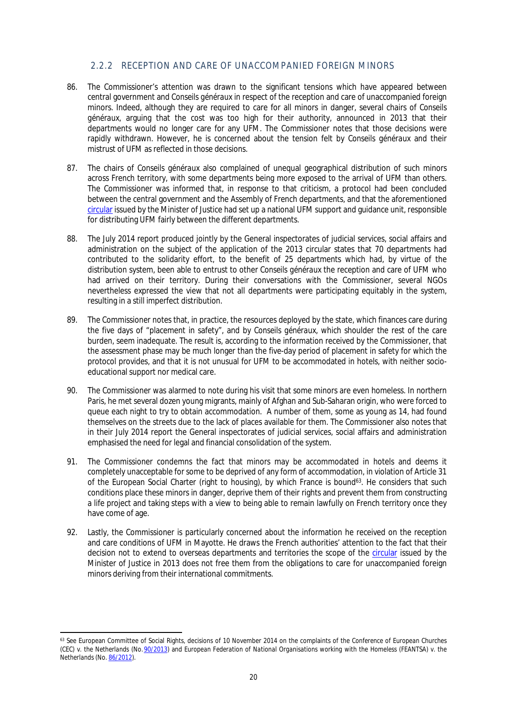## <span id="page-19-0"></span>2.2.2 RECEPTION AND CARE OF UNACCOMPANIED FOREIGN MINORS

- 86. The Commissioner's attention was drawn to the significant tensions which have appeared between central government and *Conseils généraux* in respect of the reception and care of unaccompanied foreign minors. Indeed, although they are required to care for all minors in danger, several chairs of *Conseils généraux*, arguing that the cost was too high for their authority, announced in 2013 that their departments would no longer care for any UFM. The Commissioner notes that those decisions were rapidly withdrawn. However, he is concerned about the tension felt by *Conseils généraux* and their mistrust of UFM as reflected in those decisions.
- 87. The chairs of *Conseils généraux* also complained of unequal geographical distribution of such minors across French territory, with some departments being more exposed to the arrival of UFM than others. The Commissioner was informed that, in response to that criticism, a protocol had been concluded between the central government and the Assembly of French departments, and that the aforementioned [circular](http://circulaire.legifrance.gouv.fr/pdf/2013/06/cir_37174.pdf) issued by the Minister of Justice had set up a national UFM support and guidance unit, responsible for distributing UFM fairly between the different departments.
- 88. The July 2014 report produced jointly by the General inspectorates of judicial services, social affairs and administration on the subject of the application of the 2013 circular states that 70 departments had contributed to the solidarity effort, to the benefit of 25 departments which had, by virtue of the distribution system, been able to entrust to other *Conseils généraux* the reception and care of UFM who had arrived on their territory. During their conversations with the Commissioner, several NGOs nevertheless expressed the view that not all departments were participating equitably in the system, resulting in a still imperfect distribution.
- 89. The Commissioner notes that, in practice, the resources deployed by the state, which finances care during the five days of "placement in safety", and by *Conseils généraux*, which shoulder the rest of the care burden, seem inadequate. The result is, according to the information received by the Commissioner, that the assessment phase may be much longer than the five-day period of placement in safety for which the protocol provides, and that it is not unusual for UFM to be accommodated in hotels, with neither socioeducational support nor medical care.
- 90. The Commissioner was alarmed to note during his visit that some minors are even homeless. In northern Paris, he met several dozen young migrants, mainly of Afghan and Sub-Saharan origin, who were forced to queue each night to try to obtain accommodation. A number of them, some as young as 14, had found themselves on the streets due to the lack of places available for them. The Commissioner also notes that in their July 2014 report the General inspectorates of judicial services, social affairs and administration emphasised the need for legal and financial consolidation of the system.
- 91. The Commissioner condemns the fact that minors may be accommodated in hotels and deems it completely unacceptable for some to be deprived of any form of accommodation, in violation of Article 31 of the European Social Charter (right to housing), by which France is bound<sup>63</sup>. He considers that such conditions place these minors in danger, deprive them of their rights and prevent them from constructing a life project and taking steps with a view to being able to remain lawfully on French territory once they have come of age.
- 92. Lastly, the Commissioner is particularly concerned about the information he received on the reception and care conditions of UFM in Mayotte. He draws the French authorities' attention to the fact that their decision not to extend to overseas departments and territories the scope of the [circular](http://circulaire.legifrance.gouv.fr/pdf/2013/06/cir_37174.pdf) issued by the Minister of Justice in 2013 does not free them from the obligations to care for unaccompanied foreign minors deriving from their international commitments.

<sup>63</sup> See European Committee of Social Rights, decisions of 10 November 2014 on the complaints of the *Conference of European Churches (CEC) v. the Netherlands* (No. [90/2013\)](https://www.coe.int/t/dghl/monitoring/socialcharter/Complaints/CC90Merits_en.pdf) and *European Federation of National Organisations working with the Homeless (FEANTSA) v. the Netherlands* (No. [86/2012](https://www.coe.int/t/dghl/monitoring/socialcharter/Complaints/CC86Merits_en.pdf)).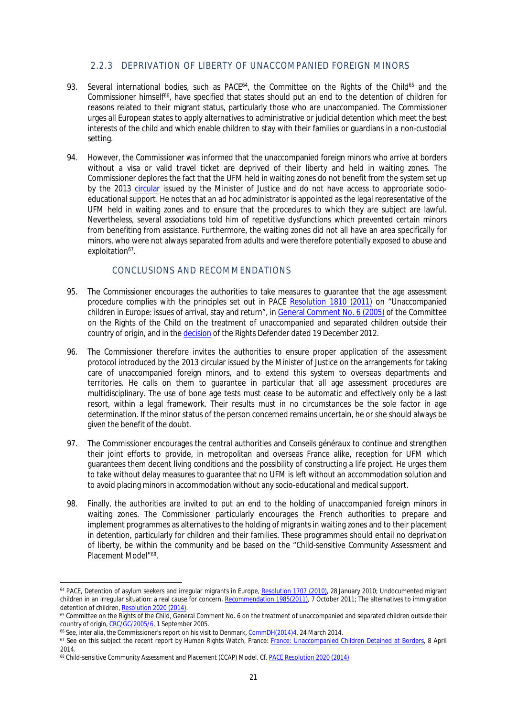## <span id="page-20-0"></span>2.2.3 DEPRIVATION OF LIBERTY OF UNACCOMPANIED FOREIGN MINORS

- 93. Several international bodies, such as PACE<sup>64</sup>, the Committee on the Rights of the Child<sup>65</sup> and the Commissioner himself<sup>66</sup>, have specified that states should put an end to the detention of children for reasons related to their migrant status, particularly those who are unaccompanied. The Commissioner urges all European states to apply alternatives to administrative or judicial detention which meet the best interests of the child and which enable children to stay with their families or guardians in a non-custodial setting.
- 94. However, the Commissioner was informed that the unaccompanied foreign minors who arrive at borders without a visa or valid travel ticket are deprived of their liberty and held in waiting zones. The Commissioner deplores the fact that the UFM held in waiting zones do not benefit from the system set up by the 2013 [circular](http://circulaire.legifrance.gouv.fr/pdf/2013/06/cir_37174.pdf) issued by the Minister of Justice and do not have access to appropriate socioeducational support. He notes that an ad hoc administrator is appointed as the legal representative of the UFM held in waiting zones and to ensure that the procedures to which they are subject are lawful. Nevertheless, several associations told him of repetitive dysfunctions which prevented certain minors from benefiting from assistance. Furthermore, the waiting zones did not all have an area specifically for minors, who were not always separated from adults and were therefore potentially exposed to abuse and exploitation<sup>67</sup>.

#### <span id="page-20-1"></span>CONCLUSIONS AND RECOMMENDATIONS

- 95. The Commissioner encourages the authorities to take measures to guarantee that the age assessment procedure complies with the principles set out in PACE [Resolution 1810 \(2011\)](http://assembly.coe.int/Main.asp?link=/Documents/AdoptedText/ta11/ERES1810.htm) on "Unaccompanied children in Europe: issues of arrival, stay and return", in [General Comment No. 6 \(2005\)](http://docstore.ohchr.org/SelfServices/FilesHandler.ashx?enc=6QkG1d%2fPPRiCAqhKb7yhsiQql8gX5Zxh0cQqSRzx6ZfXmRo9mdg35%2bm8BvAjgxjOPXPQUmY0uSJjNwpdL6bFpqljfu3aX2s6Yi1797MERXI29uw8wUJlTT3kCKSbL1T9) of the Committee on the Rights of the Child on the treatment of unaccompanied and separated children outside their country of origin, and in the [decision](http://www.defenseurdesdroits.fr/decisions/ddd/MDE-2012-179.pdf) of the Rights Defender dated 19 December 2012.
- 96. The Commissioner therefore invites the authorities to ensure proper application of the assessment protocol introduced by the 2013 circular issued by the Minister of Justice on the arrangements for taking care of unaccompanied foreign minors, and to extend this system to overseas departments and territories. He calls on them to guarantee in particular that all age assessment procedures are multidisciplinary. The use of bone age tests must cease to be automatic and effectively only be a last resort, within a legal framework. Their results must in no circumstances be the sole factor in age determination. If the minor status of the person concerned remains uncertain, he or she should always be given the benefit of the doubt.
- 97. The Commissioner encourages the central authorities and *Conseils généraux* to continue and strengthen their joint efforts to provide, in metropolitan and overseas France alike, reception for UFM which guarantees them decent living conditions and the possibility of constructing a life project. He urges them to take without delay measures to guarantee that no UFM is left without an accommodation solution and to avoid placing minors in accommodation without any socio-educational and medical support.
- 98. Finally, the authorities are invited to put an end to the holding of unaccompanied foreign minors in waiting zones. The Commissioner particularly encourages the French authorities to prepare and implement programmes as alternatives to the holding of migrants in waiting zones and to their placement in detention, particularly for children and their families. These programmes should entail no deprivation of liberty, be within the community and be based on the "Child-sensitive Community Assessment and Placement Model"<sup>68</sup>.

<sup>&</sup>lt;sup>64</sup> PACE, Detention of asylum seekers and irregular migrants in Europe, [Resolution 1707 \(2010\),](http://assembly.coe.int/Mainf.asp?link=/Documents/AdoptedText/ta10/ERES1707.htm) 28 January 2010; Undocumented migrant children in an irregular situation: a real cause for concern, [Recommendation 1985\(2011\),](http://assembly.coe.int/Mainf.asp?link=/Documents/AdoptedText/ta11/EREC1985.htm) 7 October 2011; The alternatives to immigration detention of children, [Resolution 2020 \(2014\).](http://assembly.coe.int/nw/xml/XRef/Xref-XML2HTML-EN.asp?fileid=21295&lang=en)

<sup>65</sup> Committee on the Rights of the Child, General Comment No. 6 on the treatment of unaccompanied and separated children outside their country of origin, [CRC/GC/2005/6](http://docstore.ohchr.org/SelfServices/FilesHandler.ashx?enc=6QkG1d%2fPPRiCAqhKb7yhsiQql8gX5Zxh0cQqSRzx6ZfXmRo9mdg35%2bm8BvAjgxjOPXPQUmY0uSJjNwpdL6bFpqljfu3aX2s6Yi1797MERXI29uw8wUJlTT3kCKSbL1T9), 1 September 2005.

<sup>&</sup>lt;sup>66</sup> See, inter alia, the Commissioner's report on his visit to Denmark, [CommDH\(2014\)4](http://www.coe.int/en/web/commissioner/-/better-protection-needed-for-migrant-children-in-denmark?redirect=http%3A%2F%2Fwww.coe.int%2Ffr%2Fweb%2Fcommissioner%2Fcountry-report%2Fdenmark%3Fp_p_id%3D101_INSTANCE_OTkb4RdsKEjJ%26p_p_lifecycle%3D0%26p_p_state%3Dnormal%26p_p_mode%3Dview%26p_p_col_id%3Dcolumn-1%26p_p_col_count%3D1), 24 March 2014.

<sup>67</sup> See on this subject the recent report by Human Rights Watch, France: [France: Unaccompanied Children Detained at Borders,](http://www.hrw.org/news/2014/04/08/france-unaccompanied-children-detained-borders) 8 April 2014.

<sup>68</sup> Child-sensitive Community Assessment and Placement (CCAP) Model. *Cf.* [PACE Resolution 2020 \(2014\)](http://assembly.coe.int/nw/xml/XRef/Xref-XML2HTML-EN.asp?fileid=21295&lang=en).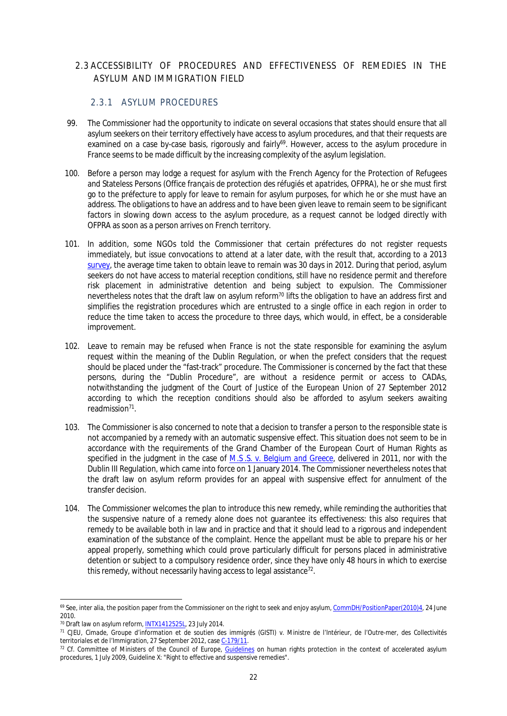# <span id="page-21-0"></span>2.3 ACCESSIBILITY OF PROCEDURES AND EFFECTIVENESS OF REMEDIES IN THE ASYLUM AND IMMIGRATION FIELD

## <span id="page-21-1"></span>2.3.1 ASYLUM PROCEDURES

- 99. The Commissioner had the opportunity to indicate on several occasions that states should ensure that all asylum seekers on their territory effectively have access to asylum procedures, and that their requests are examined on a case by-case basis, rigorously and fairly<sup>69</sup>. However, access to the asylum procedure in France seems to be made difficult by the increasing complexity of the asylum legislation.
- 100. Before a person may lodge a request for asylum with the French Agency for the Protection of Refugees and Stateless Persons (*Office français de protection des réfugiés et apatrides, OFPRA*), he or she must first go to the *préfecture* to apply for leave to remain for asylum purposes, for which he or she must have an address. The obligations to have an address and to have been given leave to remain seem to be significant factors in slowing down access to the asylum procedure, as a request cannot be lodged directly with OFPRA as soon as a person arrives on French territory.
- 101. In addition, some NGOs told the Commissioner that certain *préfectures* do not register requests immediately, but issue convocations to attend at a later date, with the result that, according to a 2013 [survey](http://cfda.rezo.net/Accueil/EDL%202013/EDL_CFDARapportwebversionfinale.pdf), the average time taken to obtain leave to remain was 30 days in 2012. During that period, asylum seekers do not have access to material reception conditions, still have no residence permit and therefore risk placement in administrative detention and being subject to expulsion. The Commissioner nevertheless notes that the draft law on asylum reform<sup>70</sup> lifts the obligation to have an address first and simplifies the registration procedures which are entrusted to a single office in each region in order to reduce the time taken to access the procedure to three days, which would, in effect, be a considerable improvement.
- 102. Leave to remain may be refused when France is not the state responsible for examining the asylum request within the meaning of the Dublin Regulation, or when the prefect considers that the request should be placed under the "fast-track" procedure. The Commissioner is concerned by the fact that these persons, during the "Dublin Procedure", are without a residence permit or access to CADAs, notwithstanding the judgment of the Court of Justice of the European Union of 27 September 2012 according to which the reception conditions should also be afforded to asylum seekers awaiting readmission<sup>71</sup>.
- 103. The Commissioner is also concerned to note that a decision to transfer a person to the responsible state is not accompanied by a remedy with an automatic suspensive effect. This situation does not seem to be in accordance with the requirements of the Grand Chamber of the European Court of Human Rights as specified in the judgment in the case of *[M.S .S. v. Belgium and Greece](http://hudoc.echr.coe.int/sites/fra/pages/search.aspx?i=001-103050)*, delivered in 2011, nor with the Dublin III Regulation, which came into force on 1 January 2014. The Commissioner nevertheless notes that the draft law on asylum reform provides for an appeal with suspensive effect for annulment of the transfer decision.
- 104. The Commissioner welcomes the plan to introduce this new remedy, while reminding the authorities that the suspensive nature of a remedy alone does not guarantee its effectiveness: this also requires that remedy to be available both in law and in practice and that it should lead to a rigorous and independent examination of the substance of the complaint. Hence the appellant must be able to prepare his or her appeal properly, something which could prove particularly difficult for persons placed in administrative detention or subject to a compulsory residence order, since they have only 48 hours in which to exercise this remedy, without necessarily having access to legal assistance<sup>72</sup>.

<sup>&</sup>lt;sup>69</sup> See, inter alia, the position paper from the Commissioner on the right to seek and enjoy asylum, [CommDH/PositionPaper\(2010\)4](https://wcd.coe.int/ViewDoc.jsp?Ref=CommDH/PositionPaper(2010)4&Language=lanEnglish&Ver=original&Site=COE&BackColorInternet=DBDCF2&BackColorIntranet=FDC864&BackColorLogged=FDC864), 24 June 2010.

<sup>&</sup>lt;sup>70</sup> Draft law on asylum reform, [INTX1412525L,](http://www.legifrance.gouv.fr/affichLoiPreparation.do;jsessionid=F99AEB73BE7C1A26646B85062E9A9189.tpdjo15v_1?idDocument=JORFDOLE000029287346&type=contenu&id=2&typeLoi=proj&legislature=14) 23 July 2014.

<sup>71</sup> CJEU, *Cimade, Groupe d'information et de soutien des immigrés (GISTI) v. Ministre de l'Intérieur, de l'Outre-mer, des Collectivités territoriales et de l'Immigration*, 27 September 2012, case [C-179/11](http://curia.europa.eu/juris/document/document.jsf?docid=127563&doclang=EN).

<sup>&</sup>lt;sup>72</sup> Cf. Committee of Ministers of the Council of Europe, [Guidelines](https://wcd.coe.int/ViewDoc.jsp?Ref=CM/Del/Dec(2009)1062/4.5&Language=lanEnglish&Ver=app6&Site=COE&BackColorInternet=C3C3C3&BackColorIntranet=EDB021&BackColorLogged=F5D383) on human rights protection in the context of accelerated asylum procedures, 1 July 2009, Guideline X: "Right to effective and suspensive remedies".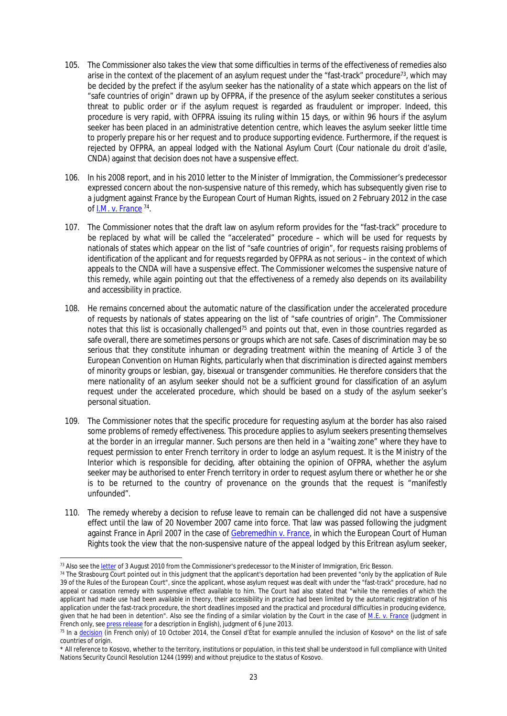- 105. The Commissioner also takes the view that some difficulties in terms of the effectiveness of remedies also arise in the context of the placement of an asylum request under the "fast-track" procedure<sup>73</sup>, which may be decided by the prefect if the asylum seeker has the nationality of a state which appears on the list of "safe countries of origin" drawn up by OFPRA, if the presence of the asylum seeker constitutes a serious threat to public order or if the asylum request is regarded as fraudulent or improper. Indeed, this procedure is very rapid, with OFPRA issuing its ruling within 15 days, or within 96 hours if the asylum seeker has been placed in an administrative detention centre, which leaves the asylum seeker little time to properly prepare his or her request and to produce supporting evidence. Furthermore, if the request is rejected by OFPRA, an appeal lodged with the National Asylum Court (*Cour nationale du droit d'asile, CNDA*) against that decision does not have a suspensive effect.
- 106. In his 2008 report, and in his 2010 letter to the Minister of Immigration, the Commissioner's predecessor expressed concern about the non-suspensive nature of this remedy, which has subsequently given rise to a judgment against France by the European Court of Human Rights, issued on 2 February 2012 in the case of *[I.M. v. France](http://hudoc.echr.coe.int/sites/eng/pages/search.aspx?i=001-108934)* <sup>74</sup> .
- 107. The Commissioner notes that the draft law on asylum reform provides for the "fast-track" procedure to be replaced by what will be called the "accelerated" procedure – which will be used for requests by nationals of states which appear on the list of "safe countries of origin", for requests raising problems of identification of the applicant and for requests regarded by OFPRA as not serious – in the context of which appeals to the CNDA will have a suspensive effect. The Commissioner welcomes the suspensive nature of this remedy, while again pointing out that the effectiveness of a remedy also depends on its availability and accessibility in practice.
- 108. He remains concerned about the automatic nature of the classification under the accelerated procedure of requests by nationals of states appearing on the list of "safe countries of origin". The Commissioner notes that this list is occasionally challenged<sup>75</sup> and points out that, even in those countries regarded as safe overall, there are sometimes persons or groups which are not safe. Cases of discrimination may be so serious that they constitute inhuman or degrading treatment within the meaning of Article 3 of the European Convention on Human Rights, particularly when that discrimination is directed against members of minority groups or lesbian, gay, bisexual or transgender communities. He therefore considers that the mere nationality of an asylum seeker should not be a sufficient ground for classification of an asylum request under the accelerated procedure, which should be based on a study of the asylum seeker's personal situation.
- 109. The Commissioner notes that the specific procedure for requesting asylum at the border has also raised some problems of remedy effectiveness. This procedure applies to asylum seekers presenting themselves at the border in an irregular manner. Such persons are then held in a "waiting zone" where they have to request permission to enter French territory in order to lodge an asylum request. It is the Ministry of the Interior which is responsible for deciding, after obtaining the opinion of OFPRA, whether the asylum seeker may be authorised to enter French territory in order to request asylum there or whether he or she is to be returned to the country of provenance on the grounds that the request is "manifestly unfounded".
- 110. The remedy whereby a decision to refuse leave to remain can be challenged did not have a suspensive effect until the law of 20 November 2007 came into force. That law was passed following the judgment against France in April 2007 in the case of *[Gebremedhin v. France](http://hudoc.echr.coe.int/sites/fra/pages/search.aspx?i=001-80333)*, in which the European Court of Human Rights took the view that the non-suspensive nature of the appeal lodged by this Eritrean asylum seeker,

<sup>73</sup> Also see the [letter](https://wcd.coe.int/com.instranet.InstraServlet?command=com.instranet.CmdBlobGet&InstranetImage=1964767&SecMode=1&DocId=1622312&Usage=2) of 3 August 2010 from the Commissioner's predecessor to the Minister of Immigration, Eric Besson.

<sup>74</sup> The Strasbourg Court pointed out in this judgment that the applicant's deportation had been prevented "only by the application of Rule 39 of the Rules of the European Court", since the applicant, whose asylum request was dealt with under the "fast-track" procedure, had no appeal or cassation remedy with suspensive effect available to him. The Court had also stated that "while the remedies of which the applicant had made use had been available in theory, their accessibility in practice had been limited by the automatic registration of his application under the fast-track procedure, the short deadlines imposed and the practical and procedural difficulties in producing evidence, given that he had been in detention". Also see the finding of a similar violation by the Court in the case of *[M.E. v. France](http://hudoc.echr.coe.int/sites/eng/pages/search.aspx?i=001-120072)* (judgment in French only, see [press release](http://hudoc.echr.coe.int/sites/eng/pages/search.aspx?i=003-4388596-5268973%7d) for a description in English), judgment of 6 June 2013.

<sup>75</sup> In a [decision](http://www.conseil-etat.fr/Decisions-Avis-Publications/Decisions/Selection-des-decisions-faisant-l-objet-d-une-communication-particuliere/CE-10-octobre-2014-Association-ELENA-et-autres-Association-FORUM-REFUGIES-COSI) (in French only) of 10 October 2014, the *Conseil d'État* for example annulled the inclusion of Kosovo\* on the list of safe countries of origin.

<sup>\*</sup> All reference to Kosovo, whether to the territory, institutions or population, in this text shall be understood in full compliance with United Nations Security Council Resolution 1244 (1999) and without prejudice to the status of Kosovo.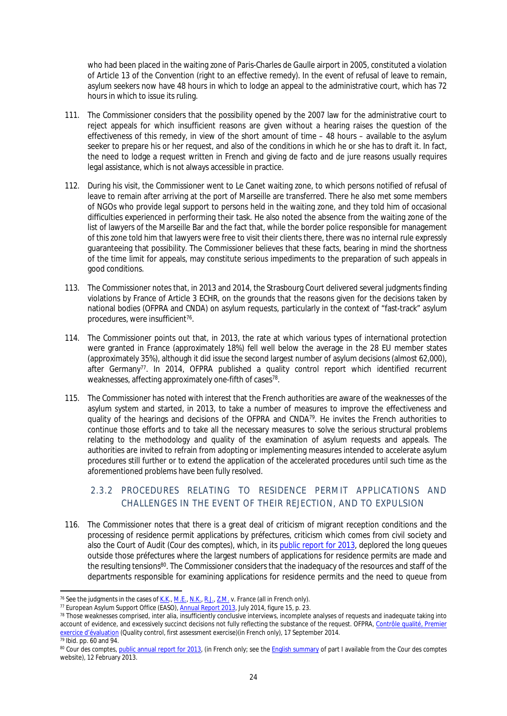who had been placed in the waiting zone of Paris-Charles de Gaulle airport in 2005, constituted a violation of Article 13 of the Convention (right to an effective remedy). In the event of refusal of leave to remain, asylum seekers now have 48 hours in which to lodge an appeal to the administrative court, which has 72 hours in which to issue its ruling.

- 111. The Commissioner considers that the possibility opened by the 2007 law for the administrative court to reject appeals for which insufficient reasons are given without a hearing raises the question of the effectiveness of this remedy, in view of the short amount of time – 48 hours – available to the asylum seeker to prepare his or her request, and also of the conditions in which he or she has to draft it. In fact, the need to lodge a request written in French and giving de facto and de jure reasons usually requires legal assistance, which is not always accessible in practice.
- 112. During his visit, the Commissioner went to Le Canet waiting zone, to which persons notified of refusal of leave to remain after arriving at the port of Marseille are transferred. There he also met some members of NGOs who provide legal support to persons held in the waiting zone, and they told him of occasional difficulties experienced in performing their task. He also noted the absence from the waiting zone of the list of lawyers of the Marseille Bar and the fact that, while the border police responsible for management of this zone told him that lawyers were free to visit their clients there, there was no internal rule expressly guaranteeing that possibility. The Commissioner believes that these facts, bearing in mind the shortness of the time limit for appeals, may constitute serious impediments to the preparation of such appeals in good conditions.
- 113. The Commissioner notes that, in 2013 and 2014, the Strasbourg Court delivered several judgments finding violations by France of Article 3 ECHR, on the grounds that the reasons given for the decisions taken by national bodies (OFPRA and CNDA) on asylum requests, particularly in the context of "fast-track" asylum procedures, were insufficient<sup>76</sup>.
- 114. The Commissioner points out that, in 2013, the rate at which various types of international protection were granted in France (approximately 18%) fell well below the average in the 28 EU member states (approximately 35%), although it did issue the second largest number of asylum decisions (almost 62,000), after Germany<sup>77</sup>. In 2014, OFPRA published a quality control report which identified recurrent weaknesses, affecting approximately one-fifth of cases<sup>78</sup>.
- 115. The Commissioner has noted with interest that the French authorities are aware of the weaknesses of the asylum system and started, in 2013, to take a number of measures to improve the effectiveness and quality of the hearings and decisions of the OFPRA and CNDA<sup>79</sup>. He invites the French authorities to continue those efforts and to take all the necessary measures to solve the serious structural problems relating to the methodology and quality of the examination of asylum requests and appeals. The authorities are invited to refrain from adopting or implementing measures intended to accelerate asylum procedures still further or to extend the application of the accelerated procedures until such time as the aforementioned problems have been fully resolved.

# <span id="page-23-0"></span>2.3.2 PROCEDURES RELATING TO RESIDENCE PERMIT APPLICATIONS AND CHALLENGES IN THE EVENT OF THEIR REJECTION, AND TO EXPULSION

116. The Commissioner notes that there is a great deal of criticism of migrant reception conditions and the processing of residence permit applications by *préfectures*, criticism which comes from civil society and also the Court of Audit (*Cour des comptes*), which, in its [public report for 2013,](http://www.ccomptes.fr/Publications/Publications/Rapport-public-annuel-2013) deplored the long queues outside those *préfectures* where the largest numbers of applications for residence permits are made and the resulting tensions<sup>80</sup>. The Commissioner considers that the inadequacy of the resources and staff of the departments responsible for examining applications for residence permits and the need to queue from

<sup>76</sup> See the judgments in the cases of *[K.K](http://hudoc.echr.coe.int/sites/eng/pages/search.aspx?i=001-126641).*, *[M.E.](http://hudoc.echr.coe.int/sites/eng/pages/search.aspx?i=001-120072)*, *[N.K.](http://hudoc.echr.coe.int/sites/eng/pages/search.aspx?i=001-139179)*, *[R.J.](http://hudoc.echr.coe.int/sites/eng/pages/search.aspx?i=001-126363)*, *[Z.M.](http://hudoc.echr.coe.int/sites/eng/pages/search.aspx?i=001-128054) v. France* (all in French only).

<sup>&</sup>lt;sup>77</sup> European Asylum Support Office (EASO), [Annual Report 2013](http://easo.europa.eu/wp-content/uploads/EASO-AR-final1.pdf), July 2014, figure 15, p. 23.

<sup>78</sup> Those weaknesses comprised, inter alia, insufficiently conclusive interviews, incomplete analyses of requests and inadequate taking into account of evidence, and excessively succinct decisions not fully reflecting the substance of the request. OFPRA, [Contrôle qualité, Premier](http://www.ofpra.gouv.fr/documents/Rapport_du_1er_controle_qualite_2014-09-17.pdf)  [exercice d'évaluation](http://www.ofpra.gouv.fr/documents/Rapport_du_1er_controle_qualite_2014-09-17.pdf) (Quality control, first assessment exercise)(in French only), 17 September 2014. <sup>79</sup> *Ibid*. pp. 60 and 94.

<sup>80</sup> *Cour des comptes*, [public annual report for 2013](http://www.ccomptes.fr/Publications/Publications/Rapport-public-annuel-2013), (in French only; see the [English summary](http://www.ccomptes.fr/Publications/Publications/Rapport-public-annuel-2013) of part I available from the *Cour des comptes* website), 12 February 2013.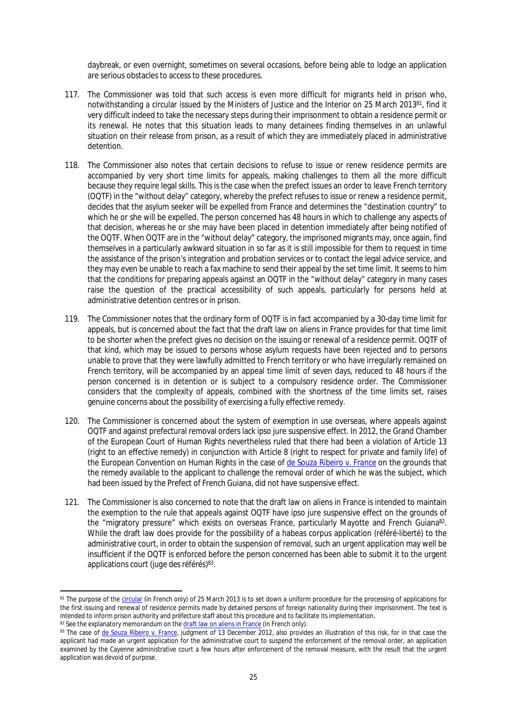daybreak, or even overnight, sometimes on several occasions, before being able to lodge an application are serious obstacles to access to these procedures.

- 117. The Commissioner was told that such access is even more difficult for migrants held in prison who, notwithstanding a circular issued by the Ministers of Justice and the Interior on 25 March 2013<sup>81</sup>, find it very difficult indeed to take the necessary steps during their imprisonment to obtain a residence permit or its renewal. He notes that this situation leads to many detainees finding themselves in an unlawful situation on their release from prison, as a result of which they are immediately placed in administrative detention.
- 118. The Commissioner also notes that certain decisions to refuse to issue or renew residence permits are accompanied by very short time limits for appeals, making challenges to them all the more difficult because they require legal skills. This is the case when the prefect issues an order to leave French territory (OQTF) in the "without delay" category, whereby the prefect refuses to issue or renew a residence permit, decides that the asylum seeker will be expelled from France and determines the "destination country" to which he or she will be expelled. The person concerned has 48 hours in which to challenge any aspects of that decision, whereas he or she may have been placed in detention immediately after being notified of the OQTF. When OQTF are in the "without delay" category, the imprisoned migrants may, once again, find themselves in a particularly awkward situation in so far as it is still impossible for them to request in time the assistance of the prison's integration and probation services or to contact the legal advice service, and they may even be unable to reach a fax machine to send their appeal by the set time limit. It seems to him that the conditions for preparing appeals against an OQTF in the "without delay" category in many cases raise the question of the practical accessibility of such appeals, particularly for persons held at administrative detention centres or in prison.
- 119. The Commissioner notes that the ordinary form of OQTF is in fact accompanied by a 30-day time limit for appeals, but is concerned about the fact that the draft law on aliens in France provides for that time limit to be shorter when the prefect gives no decision on the issuing or renewal of a residence permit. OQTF of that kind, which may be issued to persons whose asylum requests have been rejected and to persons unable to prove that they were lawfully admitted to French territory or who have irregularly remained on French territory, will be accompanied by an appeal time limit of seven days, reduced to 48 hours if the person concerned is in detention or is subject to a compulsory residence order. The Commissioner considers that the complexity of appeals, combined with the shortness of the time limits set, raises genuine concerns about the possibility of exercising a fully effective remedy.
- 120. The Commissioner is concerned about the system of exemption in use overseas, where appeals against OQTF and against prefectural removal orders lack ipso jure suspensive effect. In 2012, the Grand Chamber of the European Court of Human Rights nevertheless ruled that there had been a violation of Article 13 (right to an effective remedy) in conjunction with Article 8 (right to respect for private and family life) of the European Convention on Human Rights in the case of *[de Souza Ribeiro v. France](http://hudoc.echr.coe.int/sites/fra/pages/search.aspx?i=001-115498)* on the grounds that the remedy available to the applicant to challenge the removal order of which he was the subject, which had been issued by the Prefect of French Guiana, did not have suspensive effect.
- 121. The Commissioner is also concerned to note that the draft law on aliens in France is intended to maintain the exemption to the rule that appeals against OQTF have ipso jure suspensive effect on the grounds of the "migratory pressure" which exists on overseas France, particularly Mayotte and French Guiana<sup>82</sup>. While the draft law does provide for the possibility of a habeas corpus application (*référé-liberté*) to the administrative court, in order to obtain the suspension of removal, such an urgent application may well be insufficient if the OQTF is enforced before the person concerned has been able to submit it to the urgent applications court (*juge des référés*) 83 .

<sup>&</sup>lt;sup>81</sup> The purpose of the [circular](http://circulaire.legifrance.gouv.fr/pdf/2013/03/cir_36707.pdf) (in French only) of 25 March 2013 is to set down a uniform procedure for the processing of applications for the first issuing and renewal of residence permits made by detained persons of foreign nationality during their imprisonment. The text is intended to inform prison authority and *préfecture* staff about this procedure and to facilitate its implementation. 82 See the explanatory memorandum on the [draft law on aliens](http://www.assemblee-nationale.fr/14/projets/pl2183.asp) in France (in French only).

<sup>83</sup> The case of *[de Souza Ribeiro v. France](http://hudoc.echr.coe.int/sites/fra/pages/search.aspx?i=001-115498)*, judgment of 13 December 2012, also provides an illustration of this risk, for in that case the applicant had made an urgent application for the administrative court to suspend the enforcement of the removal order, an application examined by the Cayenne administrative court a few hours after enforcement of the removal measure, with the result that the urgent application was devoid of purpose.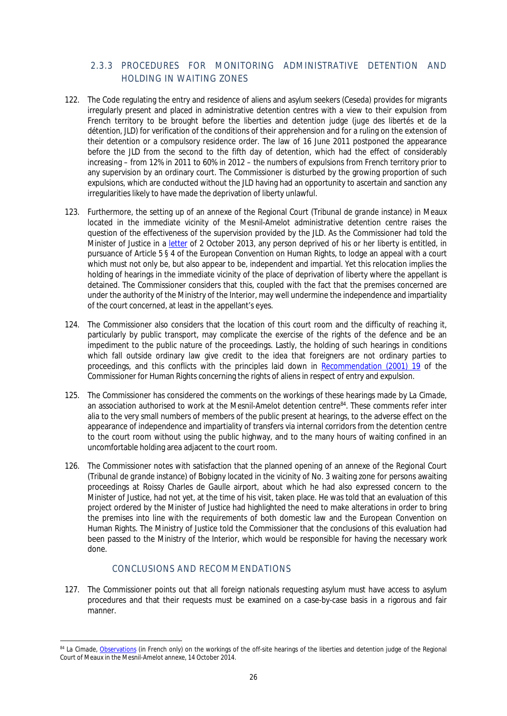# <span id="page-25-0"></span>2.3.3 PROCEDURES FOR MONITORING ADMINISTRATIVE DETENTION AND HOLDING IN WAITING ZONES

- 122. The Code regulating the entry and residence of aliens and asylum seekers (Ceseda) provides for migrants irregularly present and placed in administrative detention centres with a view to their expulsion from French territory to be brought before the liberties and detention judge (*juge des libertés et de la détention, JLD*) for verification of the conditions of their apprehension and for a ruling on the extension of their detention or a compulsory residence order. The law of 16 June 2011 postponed the appearance before the JLD from the second to the fifth day of detention, which had the effect of considerably increasing – from 12% in 2011 to 60% in 2012 – the numbers of expulsions from French territory prior to any supervision by an ordinary court. The Commissioner is disturbed by the growing proportion of such expulsions, which are conducted without the JLD having had an opportunity to ascertain and sanction any irregularities likely to have made the deprivation of liberty unlawful.
- 123. Furthermore, the setting up of an annexe of the Regional Court (*Tribunal de grande instance*) in Meaux located in the immediate vicinity of the Mesnil-Amelot administrative detention centre raises the question of the effectiveness of the supervision provided by the JLD. As the Commissioner had told the Minister of Justice in a [letter](https://wcd.coe.int/com.instranet.InstraServlet?command=com.instranet.CmdBlobGet&InstranetImage=2364907&SecMode=1&DocId=2062096&Usage=2) of 2 October 2013, any person deprived of his or her liberty is entitled, in pursuance of Article 5 § 4 of the European Convention on Human Rights, to lodge an appeal with a court which must not only be, but also appear to be, independent and impartial. Yet this relocation implies the holding of hearings in the immediate vicinity of the place of deprivation of liberty where the appellant is detained. The Commissioner considers that this, coupled with the fact that the premises concerned are under the authority of the Ministry of the Interior, may well undermine the independence and impartiality of the court concerned, at least in the appellant's eyes.
- 124. The Commissioner also considers that the location of this court room and the difficulty of reaching it, particularly by public transport, may complicate the exercise of the rights of the defence and be an impediment to the public nature of the proceedings. Lastly, the holding of such hearings in conditions which fall outside ordinary law give credit to the idea that foreigners are not ordinary parties to proceedings, and this conflicts with the principles laid down in [Recommendation \(2001\) 19](https://wcd.coe.int/ViewDoc.jsp?Ref=CommDH(2001)19&Language=lanEnglish&Ver=original&Site=COE&BackColorInternet=DBDCF2&BackColorIntranet=FDC864&BackColorLogged=FDC864) of the Commissioner for Human Rights concerning the rights of aliens in respect of entry and expulsion.
- 125. The Commissioner has considered the comments on the workings of these hearings made by *La Cimade*, an association authorised to work at the Mesnil-Amelot detention centre<sup>84</sup>. These comments refer inter alia to the very small numbers of members of the public present at hearings, to the adverse effect on the appearance of independence and impartiality of transfers via internal corridors from the detention centre to the court room without using the public highway, and to the many hours of waiting confined in an uncomfortable holding area adjacent to the court room.
- 126. The Commissioner notes with satisfaction that the planned opening of an annexe of the Regional Court (*Tribunal de grande instance*) of Bobigny located in the vicinity of No. 3 waiting zone for persons awaiting proceedings at Roissy Charles de Gaulle airport, about which he had also expressed concern to the Minister of Justice, had not yet, at the time of his visit, taken place. He was told that an evaluation of this project ordered by the Minister of Justice had highlighted the need to make alterations in order to bring the premises into line with the requirements of both domestic law and the European Convention on Human Rights. The Ministry of Justice told the Commissioner that the conclusions of this evaluation had been passed to the Ministry of the Interior, which would be responsible for having the necessary work done.

## <span id="page-25-1"></span>CONCLUSIONS AND RECOMMENDATIONS

127. The Commissioner points out that all foreign nationals requesting asylum must have access to asylum procedures and that their requests must be examined on a case-by-case basis in a rigorous and fair manner.

<sup>&</sup>lt;sup>84</sup> *La Cimade*, [Observations](http://www.lacimade.org/uploads/File/Actus%20PDF/Note%20Globale%20def%20D%C3%A9localisation%20JLD%20Mesnil-Amelot.pdf) (in French only) on the workings of the off-site hearings of the liberties and detention judge of the Regional Court of Meaux in the Mesnil-Amelot annexe, 14 October 2014.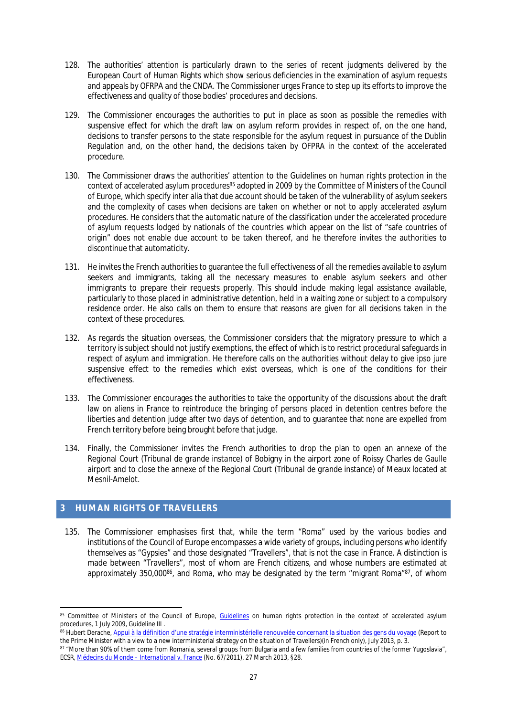- 128. The authorities' attention is particularly drawn to the series of recent judgments delivered by the European Court of Human Rights which show serious deficiencies in the examination of asylum requests and appeals by OFRPA and the CNDA. The Commissioner urges France to step up its efforts to improve the effectiveness and quality of those bodies' procedures and decisions.
- 129. The Commissioner encourages the authorities to put in place as soon as possible the remedies with suspensive effect for which the draft law on asylum reform provides in respect of, on the one hand, decisions to transfer persons to the state responsible for the asylum request in pursuance of the Dublin Regulation and, on the other hand, the decisions taken by OFPRA in the context of the accelerated procedure.
- 130. The Commissioner draws the authorities' attention to the Guidelines on human rights protection in the context of accelerated asylum procedures<sup>85</sup> adopted in 2009 by the Committee of Ministers of the Council of Europe, which specify inter alia that due account should be taken of the vulnerability of asylum seekers and the complexity of cases when decisions are taken on whether or not to apply accelerated asylum procedures. He considers that the automatic nature of the classification under the accelerated procedure of asylum requests lodged by nationals of the countries which appear on the list of "safe countries of origin" does not enable due account to be taken thereof, and he therefore invites the authorities to discontinue that automaticity.
- 131. He invites the French authorities to guarantee the full effectiveness of all the remedies available to asylum seekers and immigrants, taking all the necessary measures to enable asylum seekers and other immigrants to prepare their requests properly. This should include making legal assistance available, particularly to those placed in administrative detention, held in a waiting zone or subject to a compulsory residence order. He also calls on them to ensure that reasons are given for all decisions taken in the context of these procedures.
- 132. As regards the situation overseas, the Commissioner considers that the migratory pressure to which a territory is subject should not justify exemptions, the effect of which is to restrict procedural safeguards in respect of asylum and immigration. He therefore calls on the authorities without delay to give ipso jure suspensive effect to the remedies which exist overseas, which is one of the conditions for their effectiveness.
- 133. The Commissioner encourages the authorities to take the opportunity of the discussions about the draft law on aliens in France to reintroduce the bringing of persons placed in detention centres before the liberties and detention judge after two days of detention, and to guarantee that none are expelled from French territory before being brought before that judge.
- 134. Finally, the Commissioner invites the French authorities to drop the plan to open an annexe of the Regional Court (*Tribunal de grande instance*) of Bobigny in the airport zone of Roissy Charles de Gaulle airport and to close the annexe of the Regional Court (*Tribunal de grande instance*) of Meaux located at Mesnil-Amelot.

## <span id="page-26-0"></span>**3 HUMAN RIGHTS OF TRAVELLERS**

135. The Commissioner emphasises first that, while the term "Roma" used by the various bodies and institutions of the Council of Europe encompasses a wide variety of groups, including persons who identify themselves as "Gypsies" and those designated "Travellers", that is not the case in France. A distinction is made between "Travellers", most of whom are French citizens, and whose numbers are estimated at approximately 350,000<sup>86</sup>, and Roma, who may be designated by the term "migrant Roma"<sup>87</sup>, of whom

<sup>85</sup> Committee of Ministers of the Council of Europe, [Guidelines](https://wcd.coe.int/ViewDoc.jsp?Ref=CM/Del/Dec(2009)1062/4.5&Language=lanEnglish&Ver=app6&Site=COE&BackColorInternet=C3C3C3&BackColorIntranet=EDB021&BackColorLogged=F5D383) on human rights protection in the context of accelerated asylum procedures, 1 July 2009, Guideline III .

<sup>86</sup> Hubert Derache, [Appui à la définition d'une stratégie interministérielle renouvelée concernant la situation des gens du voyage](http://www.ladocumentationfrancaise.fr/rapports-publics/134000433/index.shtml) (Report to the Prime Minister with a view to a new interministerial strategy on the situation of Travellers)(in French only), July 2013, p. 3.

<sup>87 &</sup>quot;More than 90% of them come from Romania, several groups from Bulgaria and a few families from countries of the former Yugoslavia", ECSR, *[Médecins du Monde – International v. France](http://www.coe.int/t/dghl/monitoring/socialcharter/Complaints/CC67Merits_en.pdf)* (No. 67/2011), 27 March 2013, §28.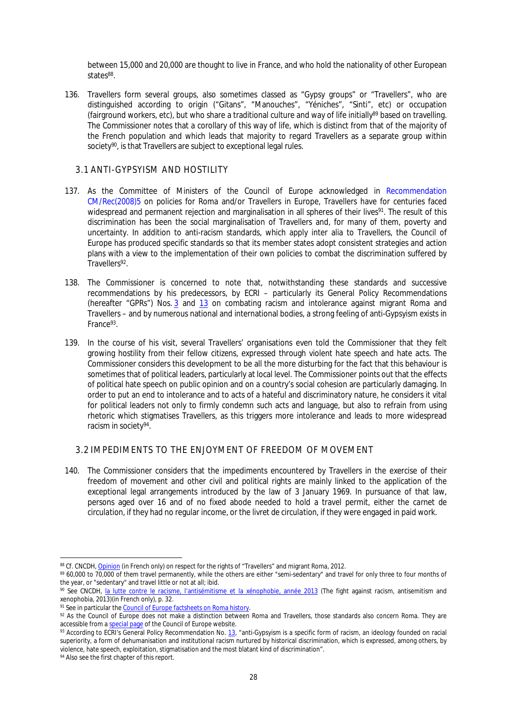between 15,000 and 20,000 are thought to live in France, and who hold the nationality of other European states<sup>88</sup>.

136. Travellers form several groups, also sometimes classed as "Gypsy groups" or "Travellers", who are distinguished according to origin ("Gitans", "Manouches", "Yéniches", "Sinti", etc) or occupation (fairground workers, etc), but who share a traditional culture and way of life initially<sup>89</sup> based on travelling. The Commissioner notes that a corollary of this way of life, which is distinct from that of the majority of the French population and which leads that majority to regard Travellers as a separate group within society<sup>90</sup>, is that Travellers are subject to exceptional legal rules.

### <span id="page-27-0"></span>3.1 ANTI-GYPSYISM AND HOSTILITY

- 137. As the Committee of Ministers of the Council of Europe acknowledged in [Recommendation](https://wcd.coe.int/ViewDoc.jsp?id=1253509&Site=CM&BackColorInternet=C3C3C3&BackColorIntranet=EDB021&BackColorLogged=F5D383)  [CM/Rec\(2008\)5](https://wcd.coe.int/ViewDoc.jsp?id=1253509&Site=CM&BackColorInternet=C3C3C3&BackColorIntranet=EDB021&BackColorLogged=F5D383) on policies for Roma and/or Travellers in Europe, Travellers have for centuries faced widespread and permanent rejection and marginalisation in all spheres of their lives<sup>91</sup>. The result of this discrimination has been the social marginalisation of Travellers and, for many of them, poverty and uncertainty. In addition to anti-racism standards, which apply inter alia to Travellers, the Council of Europe has produced specific standards so that its member states adopt consistent strategies and action plans with a view to the implementation of their own policies to combat the discrimination suffered by Travellers<sup>92</sup>.
- 138. The Commissioner is concerned to note that, notwithstanding these standards and successive recommendations by his predecessors, by ECRI – particularly its General Policy Recommendations (hereafter "GPRs") Nos. [3](http://www.coe.int/t/dghl/monitoring/ecri/activities/GPR/EN/Recommendation_N3/Recommendation_3_en.asp) and [13](http://www.coe.int/t/dghl/monitoring/ecri/activities/GPR/EN/Recommendation_N13/default_en.asp) on combating racism and intolerance against migrant Roma and Travellers – and by numerous national and international bodies, a strong feeling of anti-Gypsyism exists in France<sup>93</sup>.
- 139. In the course of his visit, several Travellers' organisations even told the Commissioner that they felt growing hostility from their fellow citizens, expressed through violent hate speech and hate acts. The Commissioner considers this development to be all the more disturbing for the fact that this behaviour is sometimes that of political leaders, particularly at local level. The Commissioner points out that the effects of political hate speech on public opinion and on a country's social cohesion are particularly damaging. In order to put an end to intolerance and to acts of a hateful and discriminatory nature, he considers it vital for political leaders not only to firmly condemn such acts and language, but also to refrain from using rhetoric which stigmatises Travellers, as this triggers more intolerance and leads to more widespread racism in society<sup>94</sup>.

#### <span id="page-27-1"></span>3.2 IMPEDIMENTS TO THE ENJOYMENT OF FREEDOM OF MOVEMENT

140. The Commissioner considers that the impediments encountered by Travellers in the exercise of their freedom of movement and other civil and political rights are mainly linked to the application of the exceptional legal arrangements introduced by the law of 3 January 1969. In pursuance of that law, persons aged over 16 and of no fixed abode needed to hold a travel permit, either the *carnet de circulation*, if they had no regular income, or the *livret de circulation*, if they were engaged in paid work.

<sup>88</sup> *Cf.* CNCDH, [Opinion](Ohttp://www.cncdh.fr/sites/default/files/12.03.22_avis_gens_du_voyage_et_roms_migrants.pdf) (in French only) on respect for the rights of "Travellers" and migrant Roma, 2012.

<sup>89 60,000</sup> to 70,000 of them travel permanently, while the others are either "semi-sedentary" and travel for only three to four months of the year, or "sedentary" and travel little or not at all; ibid.

<sup>90</sup> See CNCDH, [la lutte contre le racisme, l'antisémitisme et la xénophobie, année 2013](http://www.ladocumentationfrancaise.fr/rapports-publics/144000199-la-lutte-contre-le-racisme-l-antisemitisme-et-la-xenophobie-annee-2013) (The fight against racism, antisemitism and xenophobia, 2013)(in French only), p. 32.

<sup>91</sup> See in particular the [Council of Europe factsheets on Roma history.](http://romafacts.uni-graz.at/index.php/history/general-introduction/general-introduction)

 $92$  As the Council of Europe does not make a distinction between Roma and Travellers, those standards also concern Roma. They are accessible from a [special page](http://www.coe.int/en/web/portal/roma-related-texts) of the Council of Europe website.

<sup>93</sup> According to ECRI's General Policy Recommendation No. [13](http://www.coe.int/t/dghl/monitoring/ecri/activities/GPR/EN/Recommendation_N13/default_en.asp), "anti-Gypsyism is a specific form of racism, an ideology founded on racial superiority, a form of dehumanisation and institutional racism nurtured by historical discrimination, which is expressed, among others, by violence, hate speech, exploitation, stigmatisation and the most blatant kind of discrimination".

<sup>&</sup>lt;sup>94</sup> Also see the first chapter of this report.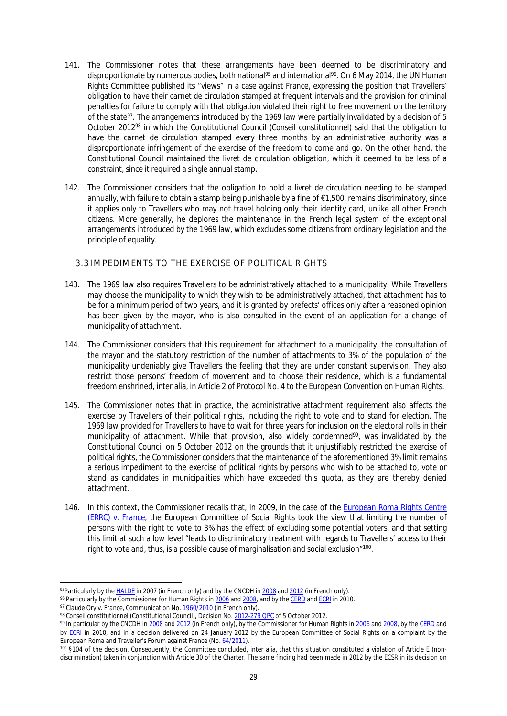- 141. The Commissioner notes that these arrangements have been deemed to be discriminatory and disproportionate by numerous bodies, both national<sup>95</sup> and international<sup>96</sup>. On 6 May 2014, the UN Human Rights Committee published its "views" in a case against France, expressing the position that Travellers' obligation to have their *carnet de circulation* stamped at frequent intervals and the provision for criminal penalties for failure to comply with that obligation violated their right to free movement on the territory of the state<sup>97</sup>. The arrangements introduced by the 1969 law were partially invalidated by a decision of 5 October 2012<sup>98</sup> in which the Constitutional Council (*Conseil constitutionnel*) said that the obligation to have the *carnet de circulation* stamped every three months by an administrative authority was a disproportionate infringement of the exercise of the freedom to come and go. On the other hand, the Constitutional Council maintained the *livret de circulation* obligation, which it deemed to be less of a constraint, since it required a single annual stamp.
- 142. The Commissioner considers that the obligation to hold a *livret de circulation* needing to be stamped annually, with failure to obtain a stamp being punishable by a fine of  $\epsilon$ 1,500, remains discriminatory, since it applies only to Travellers who may not travel holding only their identity card, unlike all other French citizens. More generally, he deplores the maintenance in the French legal system of the exceptional arrangements introduced by the 1969 law, which excludes some citizens from ordinary legislation and the principle of equality.

## <span id="page-28-0"></span>3.3 IMPEDIMENTS TO THE EXERCISE OF POLITICAL RIGHTS

- 143. The 1969 law also requires Travellers to be administratively attached to a municipality. While Travellers may choose the municipality to which they wish to be administratively attached, that attachment has to be for a minimum period of two years, and it is granted by prefects' offices only after a reasoned opinion has been given by the mayor, who is also consulted in the event of an application for a change of municipality of attachment.
- 144. The Commissioner considers that this requirement for attachment to a municipality, the consultation of the mayor and the statutory restriction of the number of attachments to 3% of the population of the municipality undeniably give Travellers the feeling that they are under constant supervision. They also restrict those persons' freedom of movement and to choose their residence, which is a fundamental freedom enshrined, inter alia, in Article 2 of Protocol No. 4 to the European Convention on Human Rights.
- 145. The Commissioner notes that in practice, the administrative attachment requirement also affects the exercise by Travellers of their political rights, including the right to vote and to stand for election. The 1969 law provided for Travellers to have to wait for three years for inclusion on the electoral rolls in their municipality of attachment. While that provision, also widely condemned<sup>99</sup>, was invalidated by the Constitutional Council on 5 October 2012 on the grounds that it unjustifiably restricted the exercise of political rights, the Commissioner considers that the maintenance of the aforementioned 3% limit remains a serious impediment to the exercise of political rights by persons who wish to be attached to, vote or stand as candidates in municipalities which have exceeded this quota, as they are thereby denied attachment.
- 146. In this context, the Commissioner recalls that, in 2009, in the case of the *[European Roma Rights Centre](http://www.coe.int/t/dghl/monitoring/socialcharter/complaints/CC51Merits_en.pdf)  [\(ERRC\) v. France](http://www.coe.int/t/dghl/monitoring/socialcharter/complaints/CC51Merits_en.pdf)*, the European Committee of Social Rights took the view that limiting the number of persons with the right to vote to 3% has the effect of excluding some potential voters, and that setting this limit at such a low level "leads to discriminatory treatment with regards to Travellers' access to their right to vote and, thus, is a possible cause of marginalisation and social exclusion"<sup>100</sup>.

<sup>95</sup>Particularly by the [HALDE](http://www.fnasat.asso.fr/polejuridique/docs/halde/DelibHALDE_20071217_2007-372.pdf) in 2007 (in French only) and by the CNCDH in [2008](http://www.cncdh.fr/sites/default/files/08.02.07_etude_sur_la_situation_des_roms_et_des_gens_du_voyage_en_france.pdf) and [2012](http://www.cncdh.fr/sites/default/files/12.03.22_avis_gens_du_voyage_et_roms_migrants.pdf) (in French only).

<sup>&</sup>lt;sup>96</sup> Particularly by the Commissioner for Human Rights in [2006](https://wcd.coe.int/ViewDoc.jsp?Ref=CommDH(2006)2&Language=lanEnglish&Ver=final&Site=CommDH&BackColorInternet=FEC65B&BackColorIntranet=FEC65B&BackColorLogged=FFC6799) and [2008](https://wcd.coe.int/ViewDoc.jsp?Ref=CommDH(2008)34&Language=lanEnglish&Ver=original&Site=CommDH&BackColorInternet=FEC65B&BackColorIntranet=FEC65B&BackColorLogged=FFC679), and by the [CERD](http://www2.ohchr.org/english/bodies/cerd/docs/co/CERD-C-FRA-CO-17_19.doc) and [ECRI](http://www.coe.int/t/dghl/monitoring/ecri/Country-by-country/France/FRA-CbC-IV-2010-016-FRE.pdf) in 2010.

<sup>97</sup> *Claude Ory v. France*, Communication No. [1960/2010](http://www.fnasat.asso.fr/dossiers%20docs/condamnation%20ONU/Docs/ComOnu_20140506_CCPR.pdf) (in French only).

<sup>98</sup> *Conseil constitutionnel* (Constitutional Council), Decision No. [2012-279 QPC](http://www.conseil-constitutionnel.fr/conseil-constitutionnel/english/priority-preliminary-rulings-on-the-issue-of-constitutionality/decisions-of-the-constitutional-council-qpc/2012/decision-no-2012-279-qpc-of-5-october-2012.115932.html) of 5 October 2012.

<sup>&</sup>lt;sup>99</sup> In particular by the CNCDH in [2008](http://www.cncdh.fr/sites/default/files/08.02.07_etude_sur_la_situation_des_roms_et_des_gens_du_voyage_en_france.pdf) and [2012](http://www.cncdh.fr/sites/default/files/12.03.22_avis_gens_du_voyage_et_roms_migrants.pdf) (in French only), by the Commissioner for Human Rights in [2006](https://wcd.coe.int/ViewDoc.jsp?Ref=CommDH(2006)2&Language=lanEnglish&Ver=final&Site=CommDH&BackColorInternet=FEC65B&BackColorIntranet=FEC65B&BackColorLogged=FFC679) and [2008,](https://wcd.coe.int/ViewDoc.jsp?Ref=CommDH(2008)34&Language=lanEnglish&Ver=original&Site=CommDH&BackColorInternet=FEC65B&BackColorIntranet=FEC65B&BackColorLogged=FFC679) by the [CERD](http://www2.ohchr.org/english/bodies/cerd/docs/co/CERD-C-FRA-CO-17_19.doc) and by [ECRI](http://www.coe.int/t/dghl/monitoring/ecri/Country-by-country/France/FRA-CbC-IV-2010-016-FRE.pdf) in 2010, and in a decision delivered on 24 January 2012 by the European Committee of Social Rights on a complaint by the European Roma and Traveller's Forum against France (No. [64/2011\)](http://www.coe.int/t/dghl/monitoring/socialcharter/complaints/CC64Merits_en.pdf).

<sup>&</sup>lt;sup>100</sup> §104 of the decision. Consequently, the Committee concluded, inter alia, that this situation constituted a violation of Article E (nondiscrimination) taken in conjunction with Article 30 of the Charter. The same finding had been made in 2012 by the ECSR in its decision on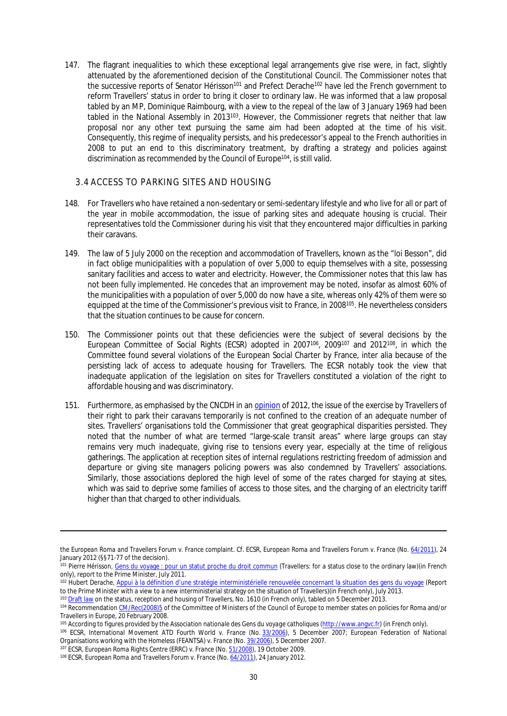147. The flagrant inequalities to which these exceptional legal arrangements give rise were, in fact, slightly attenuated by the aforementioned decision of the Constitutional Council. The Commissioner notes that the successive reports of Senator Hérisson<sup>101</sup> and Prefect Derache<sup>102</sup> have led the French government to reform Travellers' status in order to bring it closer to ordinary law. He was informed that a law proposal tabled by an MP, Dominique Raimbourg, with a view to the repeal of the law of 3 January 1969 had been tabled in the National Assembly in 2013<sup>103</sup>. However, the Commissioner regrets that neither that law proposal nor any other text pursuing the same aim had been adopted at the time of his visit. Consequently, this regime of inequality persists, and his predecessor's appeal to the French authorities in 2008 to put an end to this discriminatory treatment, by drafting a strategy and policies against discrimination as recommended by the Council of Europe<sup>104</sup>, is still valid.

#### <span id="page-29-0"></span>3.4 ACCESS TO PARKING SITES AND HOUSING

- 148. For Travellers who have retained a non-sedentary or semi-sedentary lifestyle and who live for all or part of the year in mobile accommodation, the issue of parking sites and adequate housing is crucial. Their representatives told the Commissioner during his visit that they encountered major difficulties in parking their caravans.
- 149. The law of 5 July 2000 on the reception and accommodation of Travellers, known as the "loi Besson", did in fact oblige municipalities with a population of over 5,000 to equip themselves with a site, possessing sanitary facilities and access to water and electricity. However, the Commissioner notes that this law has not been fully implemented. He concedes that an improvement may be noted, insofar as almost 60% of the municipalities with a population of over 5,000 do now have a site, whereas only 42% of them were so equipped at the time of the Commissioner's previous visit to France, in 2008<sup>105</sup>. He nevertheless considers that the situation continues to be cause for concern.
- 150. The Commissioner points out that these deficiencies were the subject of several decisions by the European Committee of Social Rights (ECSR) adopted in 2007<sup>106</sup>, 2009<sup>107</sup> and 2012<sup>108</sup>, in which the Committee found several violations of the European Social Charter by France, inter alia because of the persisting lack of access to adequate housing for Travellers. The ECSR notably took the view that inadequate application of the legislation on sites for Travellers constituted a violation of the right to affordable housing and was discriminatory.
- 151. Furthermore, as emphasised by the CNCDH in an [opinion](http://www.cncdh.fr/sites/default/files/12.03.22_avis_gens_du_voyage_et_roms_migrants.pdf) of 2012, the issue of the exercise by Travellers of their right to park their caravans temporarily is not confined to the creation of an adequate number of sites. Travellers' organisations told the Commissioner that great geographical disparities persisted. They noted that the number of what are termed "large-scale transit areas" where large groups can stay remains very much inadequate, giving rise to tensions every year, especially at the time of religious gatherings. The application at reception sites of internal regulations restricting freedom of admission and departure or giving site managers policing powers was also condemned by Travellers' associations. Similarly, those associations deplored the high level of some of the rates charged for staying at sites, which was said to deprive some families of access to those sites, and the charging of an electricity tariff higher than that charged to other individuals.

the *European Roma and Travellers Forum v. France* complaint. Cf. ECSR, *European Roma and Travellers Forum v. France* (No. [64/2011\)](http://www.coe.int/t/dghl/monitoring/socialcharter/complaints/CC64Merits_en.pdf), 24 January 2012 (§§71-77 of the decision).

<sup>101</sup> Pierre Hérisson, [Gens du voyage : pour un statut proche du droit commun](http://www.depechestsiganes.fr/wp-content/uploads/2011/07/Rapport-H%C3%A9risson-Juillet-2011light.pdf) (Travellers: for a status close to the ordinary law)(in French only), report to the Prime Minister, July 2011.

<sup>102</sup> Hubert Derache, [Appui à la définition d'une stratégie interministérielle renouvelée concernant la situation des gens du voyage](http://www.ladocumentationfrancaise.fr/rapports-publics/134000433/index.shtml) (Report to the Prime Minister with a view to a new interministerial strategy on the situation of Travellers)(in French only), July 2013.

<sup>103</sup> [Draft law](http://www.assemblee-nationale.fr/14/propositions/pion1610.asp) on the status, reception and housing of Travellers, No. 1610 (in French only), tabled on 5 December 2013.

<sup>104</sup> Recommendation [CM/Rec\(2008\)5](https://wcd.coe.int/ViewDoc.jsp?Ref=CM/Rec%282008%295&Language=lanEnglish&Site=CommDH&BackColorInternet=FEC65B&BackColorIntranet=FEC65B&BackColorLogged=FFC679) of the Committee of Ministers of the Council of Europe to member states on policies for Roma and/or Travellers in Europe, 20 February 2008.

<sup>105</sup> According to figures provided by the *Association nationale des Gens du voyage catholiques* ([http://www.angvc.fr\)](http://www.angvc.fr/) (in French only).

<sup>106</sup> ECSR, *International Movement ATD Fourth World v. France* (No. [33/2006](http://www.coe.int/t/dghl/monitoring/socialcharter/Complaints/CC33Merits_en.pdf)), 5 December 2007; *European Federation of National Organisations working with the Homeless (FEANTSA) v. France* (No. [39/2006](http://www.coe.int/t/dghl/monitoring/socialcharter/Complaints/CC39Merits_en.pdf)), 5 December 2007.

<sup>107</sup> ECSR, *European Roma Rights Centre (ERRC) v. France* (No. [51/2008](http://www.coe.int/t/dghl/monitoring/socialcharter/complaints/CC51Merits_en.pdf)), 19 October 2009.

<sup>108</sup> ECSR, *European Roma and Travellers Forum v. France* (No. [64/2011\)](http://www.coe.int/t/dghl/monitoring/socialcharter/complaints/CC64Merits_en.pdf), 24 January 2012.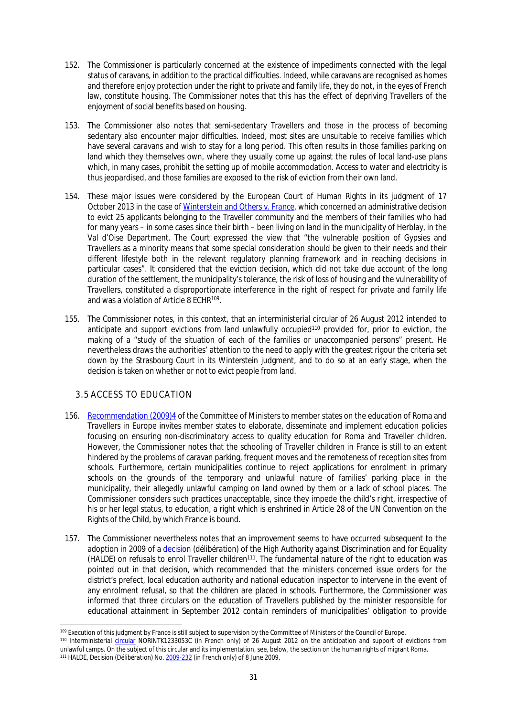- 152. The Commissioner is particularly concerned at the existence of impediments connected with the legal status of caravans, in addition to the practical difficulties. Indeed, while caravans are recognised as homes and therefore enjoy protection under the right to private and family life, they do not, in the eyes of French law, constitute housing. The Commissioner notes that this has the effect of depriving Travellers of the enjoyment of social benefits based on housing.
- 153. The Commissioner also notes that semi-sedentary Travellers and those in the process of becoming sedentary also encounter major difficulties. Indeed, most sites are unsuitable to receive families which have several caravans and wish to stay for a long period. This often results in those families parking on land which they themselves own, where they usually come up against the rules of local land-use plans which, in many cases, prohibit the setting up of mobile accommodation. Access to water and electricity is thus jeopardised, and those families are exposed to the risk of eviction from their own land.
- 154. These major issues were considered by the European Court of Human Rights in its judgment of 17 October 2013 in the case of *[Winterstein and Others v. France](http://hudoc.echr.coe.int/sites/fra/pages/search.aspx?i=001-127539)*, which concerned an administrative decision to evict 25 applicants belonging to the Traveller community and the members of their families who had for many years – in some cases since their birth – been living on land in the municipality of Herblay, in the Val d'Oise Department. The Court expressed the view that "the vulnerable position of Gypsies and Travellers as a minority means that some special consideration should be given to their needs and their different lifestyle both in the relevant regulatory planning framework and in reaching decisions in particular cases". It considered that the eviction decision, which did not take due account of the long duration of the settlement, the municipality's tolerance, the risk of loss of housing and the vulnerability of Travellers, constituted a disproportionate interference in the right of respect for private and family life and was a violation of Article 8 ECHR<sup>109</sup> .
- 155. The Commissioner notes, in this context, that an interministerial circular of 26 August 2012 intended to anticipate and support evictions from land unlawfully occupied<sup>110</sup> provided for, prior to eviction, the making of a "study of the situation of each of the families or unaccompanied persons" present. He nevertheless draws the authorities' attention to the need to apply with the greatest rigour the criteria set down by the Strasbourg Court in its *Winterstein* judgment, and to do so at an early stage, when the decision is taken on whether or not to evict people from land.

## <span id="page-30-0"></span>3.5 ACCESS TO EDUCATION

- 156. [Recommendation \(2009\)4](https://wcd.coe.int/ViewDoc.jsp?Ref=CM/Rec(2009)4&Language=lanEnglish&Ver=original&Site=COE&BackColorInternet=DBDCF2&BackColorIntranet=FDC864&BackColorLogged=FDC864) of the Committee of Ministers to member states on the education of Roma and Travellers in Europe invites member states to elaborate, disseminate and implement education policies focusing on ensuring non-discriminatory access to quality education for Roma and Traveller children. However, the Commissioner notes that the schooling of Traveller children in France is still to an extent hindered by the problems of caravan parking, frequent moves and the remoteness of reception sites from schools. Furthermore, certain municipalities continue to reject applications for enrolment in primary schools on the grounds of the temporary and unlawful nature of families' parking place in the municipality, their allegedly unlawful camping on land owned by them or a lack of school places. The Commissioner considers such practices unacceptable, since they impede the child's right, irrespective of his or her legal status, to education, a right which is enshrined in Article 28 of the UN Convention on the Rights of the Child, by which France is bound.
- 157. The Commissioner nevertheless notes that an improvement seems to have occurred subsequent to the adoption in 2009 of a [decision](http://www.halde.fr/IMG/alexandrie/4643.PDF) (*délibération*) of the High Authority against Discrimination and for Equality (HALDE) on refusals to enrol Traveller children<sup>111</sup>. The fundamental nature of the right to education was pointed out in that decision, which recommended that the ministers concerned issue orders for the district's prefect, local education authority and national education inspector to intervene in the event of any enrolment refusal, so that the children are placed in schools. Furthermore, the Commissioner was informed that three circulars on the education of Travellers published by the minister responsible for educational attainment in September 2012 contain reminders of municipalities' obligation to provide

<sup>109</sup> Execution of this judgment by France is still subject to supervision by the Committee of Ministers of the Council of Europe.

<sup>110</sup> Interministerial [circular](http://circulaire.legifrance.gouv.fr/pdf/2012/08/cir_35737.pdf) NORINTK1233053C (in French only) of 26 August 2012 on the anticipation and support of evictions from unlawful camps. On the subject of this circular and its implementation, see, below, the section on the human rights of migrant Roma. 111 HALDE, Decision (*Délibération*) No. [2009-232](http://www.halde.fr/IMG/alexandrie/4643.PDF) (in French only) of 8 June 2009.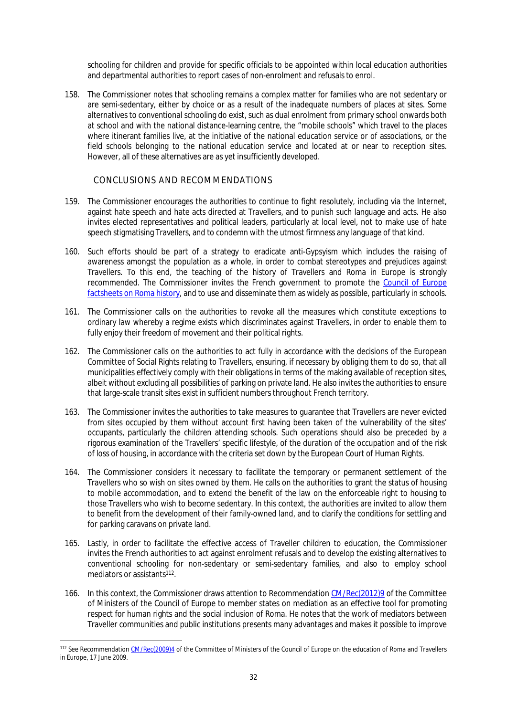schooling for children and provide for specific officials to be appointed within local education authorities and departmental authorities to report cases of non-enrolment and refusals to enrol.

158. The Commissioner notes that schooling remains a complex matter for families who are not sedentary or are semi-sedentary, either by choice or as a result of the inadequate numbers of places at sites. Some alternatives to conventional schooling do exist, such as dual enrolment from primary school onwards both at school and with the national distance-learning centre, the "mobile schools" which travel to the places where itinerant families live, at the initiative of the national education service or of associations, or the field schools belonging to the national education service and located at or near to reception sites. However, all of these alternatives are as yet insufficiently developed.

#### <span id="page-31-0"></span>CONCLUSIONS AND RECOMMENDATIONS

- 159. The Commissioner encourages the authorities to continue to fight resolutely, including via the Internet, against hate speech and hate acts directed at Travellers, and to punish such language and acts. He also invites elected representatives and political leaders, particularly at local level, not to make use of hate speech stigmatising Travellers, and to condemn with the utmost firmness any language of that kind.
- 160. Such efforts should be part of a strategy to eradicate anti-Gypsyism which includes the raising of awareness amongst the population as a whole, in order to combat stereotypes and prejudices against Travellers. To this end, the teaching of the history of Travellers and Roma in Europe is strongly recommended. The Commissioner invites the French government to promote the [Council of Europe](http://romafacts.uni-graz.at/index.php/history/general-introduction/general-introduction)  [factsheets on Roma history](http://romafacts.uni-graz.at/index.php/history/general-introduction/general-introduction), and to use and disseminate them as widely as possible, particularly in schools.
- 161. The Commissioner calls on the authorities to revoke all the measures which constitute exceptions to ordinary law whereby a regime exists which discriminates against Travellers, in order to enable them to fully enjoy their freedom of movement and their political rights.
- 162. The Commissioner calls on the authorities to act fully in accordance with the decisions of the European Committee of Social Rights relating to Travellers, ensuring, if necessary by obliging them to do so, that all municipalities effectively comply with their obligations in terms of the making available of reception sites, albeit without excluding all possibilities of parking on private land. He also invites the authorities to ensure that large-scale transit sites exist in sufficient numbers throughout French territory.
- 163. The Commissioner invites the authorities to take measures to guarantee that Travellers are never evicted from sites occupied by them without account first having been taken of the vulnerability of the sites' occupants, particularly the children attending schools. Such operations should also be preceded by a rigorous examination of the Travellers' specific lifestyle, of the duration of the occupation and of the risk of loss of housing, in accordance with the criteria set down by the European Court of Human Rights.
- 164. The Commissioner considers it necessary to facilitate the temporary or permanent settlement of the Travellers who so wish on sites owned by them. He calls on the authorities to grant the status of housing to mobile accommodation, and to extend the benefit of the law on the enforceable right to housing to those Travellers who wish to become sedentary. In this context, the authorities are invited to allow them to benefit from the development of their family-owned land, and to clarify the conditions for settling and for parking caravans on private land.
- 165. Lastly, in order to facilitate the effective access of Traveller children to education, the Commissioner invites the French authorities to act against enrolment refusals and to develop the existing alternatives to conventional schooling for non-sedentary or semi-sedentary families, and also to employ school mediators or assistants<sup>112</sup>.
- 166. In this context, the Commissioner draws attention to Recommendation [CM/Rec\(2012\)9](https://wcd.coe.int/ViewDoc.jsp?Ref=CM/Rec(2012)9&Language=lanEnglish&Ver=original&Site=CM&BackColorInternet=DBDCF2&BackColorIntranet=FDC864&BackColorLogged=FDC864) of the Committee of Ministers of the Council of Europe to member states on mediation as an effective tool for promoting respect for human rights and the social inclusion of Roma. He notes that the work of mediators between Traveller communities and public institutions presents many advantages and makes it possible to improve

<sup>112</sup> See Recommendation [CM/Rec\(2009\)4](https://wcd.coe.int/ViewDoc.jsp?Ref=CM/Rec(2009)4&Language=lanEnglish&Ver=original&Site=CM&BackColorInternet=C3C3C3&BackColorIntranet=EDB021&BackColorLogged=F5D383) of the Committee of Ministers of the Council of Europe on the education of Roma and Travellers in Europe, 17 June 2009.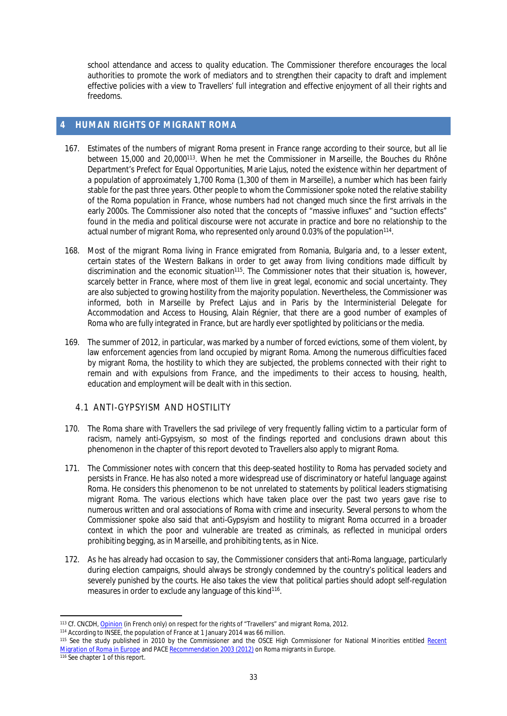school attendance and access to quality education. The Commissioner therefore encourages the local authorities to promote the work of mediators and to strengthen their capacity to draft and implement effective policies with a view to Travellers' full integration and effective enjoyment of all their rights and freedoms.

## <span id="page-32-0"></span>**4 HUMAN RIGHTS OF MIGRANT ROMA**

- 167. Estimates of the numbers of migrant Roma present in France range according to their source, but all lie between 15,000 and 20,000<sup>113</sup>. When he met the Commissioner in Marseille, the Bouches du Rhône Department's Prefect for Equal Opportunities, Marie Lajus, noted the existence within her department of a population of approximately 1,700 Roma (1,300 of them in Marseille), a number which has been fairly stable for the past three years. Other people to whom the Commissioner spoke noted the relative stability of the Roma population in France, whose numbers had not changed much since the first arrivals in the early 2000s. The Commissioner also noted that the concepts of "massive influxes" and "suction effects" found in the media and political discourse were not accurate in practice and bore no relationship to the actual number of migrant Roma, who represented only around 0.03% of the population<sup>114</sup>.
- 168. Most of the migrant Roma living in France emigrated from Romania, Bulgaria and, to a lesser extent, certain states of the Western Balkans in order to get away from living conditions made difficult by discrimination and the economic situation<sup>115</sup>. The Commissioner notes that their situation is, however, scarcely better in France, where most of them live in great legal, economic and social uncertainty. They are also subjected to growing hostility from the majority population. Nevertheless, the Commissioner was informed, both in Marseille by Prefect Lajus and in Paris by the Interministerial Delegate for Accommodation and Access to Housing, Alain Régnier, that there are a good number of examples of Roma who are fully integrated in France, but are hardly ever spotlighted by politicians or the media.
- 169. The summer of 2012, in particular, was marked by a number of forced evictions, some of them violent, by law enforcement agencies from land occupied by migrant Roma. Among the numerous difficulties faced by migrant Roma, the hostility to which they are subjected, the problems connected with their right to remain and with expulsions from France, and the impediments to their access to housing, health, education and employment will be dealt with in this section.

## <span id="page-32-1"></span>4.1 ANTI-GYPSYISM AND HOSTILITY

- 170. The Roma share with Travellers the sad privilege of very frequently falling victim to a particular form of racism, namely anti-Gypsyism, so most of the findings reported and conclusions drawn about this phenomenon in the chapter of this report devoted to Travellers also apply to migrant Roma.
- 171. The Commissioner notes with concern that this deep-seated hostility to Roma has pervaded society and persists in France. He has also noted a more widespread use of discriminatory or hateful language against Roma. He considers this phenomenon to be not unrelated to statements by political leaders stigmatising migrant Roma. The various elections which have taken place over the past two years gave rise to numerous written and oral associations of Roma with crime and insecurity. Several persons to whom the Commissioner spoke also said that anti-Gypsyism and hostility to migrant Roma occurred in a broader context in which the poor and vulnerable are treated as criminals, as reflected in municipal orders prohibiting begging, as in Marseille, and prohibiting tents, as in Nice.
- 172. As he has already had occasion to say, the Commissioner considers that anti-Roma language, particularly during election campaigns, should always be strongly condemned by the country's political leaders and severely punished by the courts. He also takes the view that political parties should adopt self-regulation measures in order to exclude any language of this kind<sup>116</sup>.

<sup>113</sup> Cf. CNCDH, [Opinion](Ohttp://www.cncdh.fr/sites/default/files/12.03.22_avis_gens_du_voyage_et_roms_migrants.pdf) (in French only) on respect for the rights of "Travellers" and migrant Roma, 2012.

<sup>114</sup> According to INSEE, the population of France at 1 January 2014 was 66 million.

<sup>115</sup> See the study published in 2010 by the Commissioner and the OSCE High Commissioner for National Minorities entitled Recent [Migration of Roma in Europe](https://wcd.coe.int/com.instranet.InstraServlet?command=com.instranet.CmdBlobGet&InstranetImage=1672771&SecMode=1&DocId=1639906&Usage=2) and PACE [Recommendation 2003 \(2012\)](http://assembly.coe.int/ASP/XRef/X2H-DW-XSL.asp?fileid=18957&lang=EN) on Roma migrants in Europe.

<sup>116</sup> See chapter 1 of this report.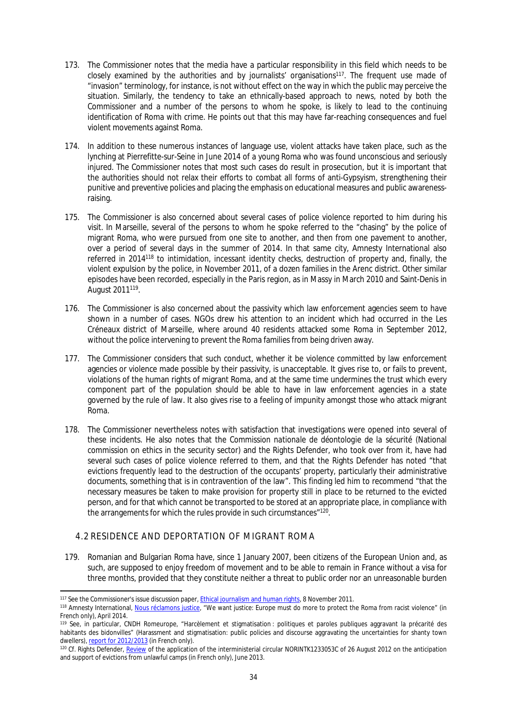- 173. The Commissioner notes that the media have a particular responsibility in this field which needs to be closely examined by the authorities and by journalists' organisations<sup>117</sup>. The frequent use made of "invasion" terminology, for instance, is not without effect on the way in which the public may perceive the situation. Similarly, the tendency to take an ethnically-based approach to news, noted by both the Commissioner and a number of the persons to whom he spoke, is likely to lead to the continuing identification of Roma with crime. He points out that this may have far-reaching consequences and fuel violent movements against Roma.
- 174. In addition to these numerous instances of language use, violent attacks have taken place, such as the lynching at Pierrefitte-sur-Seine in June 2014 of a young Roma who was found unconscious and seriously injured. The Commissioner notes that most such cases do result in prosecution, but it is important that the authorities should not relax their efforts to combat all forms of anti-Gypsyism, strengthening their punitive and preventive policies and placing the emphasis on educational measures and public awarenessraising.
- 175. The Commissioner is also concerned about several cases of police violence reported to him during his visit. In Marseille, several of the persons to whom he spoke referred to the "chasing" by the police of migrant Roma, who were pursued from one site to another, and then from one pavement to another, over a period of several days in the summer of 2014. In that same city, Amnesty International also referred in 2014<sup>118</sup> to intimidation, incessant identity checks, destruction of property and, finally, the violent expulsion by the police, in November 2011, of a dozen families in the Arenc district. Other similar episodes have been recorded, especially in the Paris region, as in Massy in March 2010 and Saint-Denis in August 2011<sup>119</sup>.
- 176. The Commissioner is also concerned about the passivity which law enforcement agencies seem to have shown in a number of cases. NGOs drew his attention to an incident which had occurred in the Les Créneaux district of Marseille, where around 40 residents attacked some Roma in September 2012, without the police intervening to prevent the Roma families from being driven away.
- 177. The Commissioner considers that such conduct, whether it be violence committed by law enforcement agencies or violence made possible by their passivity, is unacceptable. It gives rise to, or fails to prevent, violations of the human rights of migrant Roma, and at the same time undermines the trust which every component part of the population should be able to have in law enforcement agencies in a state governed by the rule of law. It also gives rise to a feeling of impunity amongst those who attack migrant Roma.
- 178. The Commissioner nevertheless notes with satisfaction that investigations were opened into several of these incidents. He also notes that the *Commission nationale de déontologie de la sécurité* (National commission on ethics in the security sector) and the Rights Defender, who took over from it, have had several such cases of police violence referred to them, and that the Rights Defender has noted "that evictions frequently lead to the destruction of the occupants' property, particularly their administrative documents, something that is in contravention of the law". This finding led him to recommend "that the necessary measures be taken to make provision for property still in place to be returned to the evicted person, and for that which cannot be transported to be stored at an appropriate place, in compliance with the arrangements for which the rules provide in such circumstances"<sup>120</sup>.

## <span id="page-33-0"></span>4.2 RESIDENCE AND DEPORTATION OF MIGRANT ROMA

179. Romanian and Bulgarian Roma have, since 1 January 2007, been citizens of the European Union and, as such, are supposed to enjoy freedom of movement and to be able to remain in France without a visa for three months, provided that they constitute neither a threat to public order nor an unreasonable burden

<sup>117</sup> See the Commissioner's issue discussion paper, [Ethical journalism and human rights,](https://wcd.coe.int/ViewDoc.jsp?id=1863637) 8 November 2011.

<sup>118</sup> Amnesty International, [Nous réclamons justice,](http://www.amnesty.org/fr/library/asset/EUR01/007/2014/fr/753a582d-ec5e-4572-8cd2-aef1e2db3a54/eur010072014fr.pdf) "We want justice: Europe must do more to protect the Roma from racist violence" (in French only), April 2014.

<sup>119</sup> See, in particular, CNDH Romeurope, "Harcèlement et stigmatisation : politiques et paroles publiques aggravant la précarité des habitants des bidonvilles" (Harassment and stigmatisation: public policies and discourse aggravating the uncertainties for shanty town dwellers), [report for 2012/2013](http://romeurope.org/IMG/pdf/rapport_2012_2013_cndh_romeurope.pdf) (in French only).

<sup>&</sup>lt;sup>120</sup> Cf. Rights Defender, [Review](http://www.defenseurdesdroits.fr/sites/default/files/upload/rapport-roms-2013-06-25.pdf) of the application of the interministerial circular NORINTK1233053C of 26 August 2012 on the anticipation and support of evictions from unlawful camps (in French only), June 2013.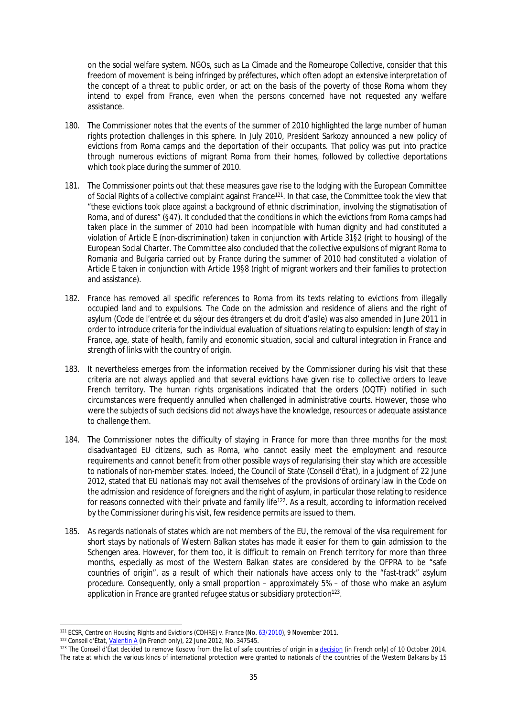on the social welfare system. NGOs, such as *La Cimade* and the *Romeurope Collective*, consider that this freedom of movement is being infringed by *préfectures*, which often adopt an extensive interpretation of the concept of a threat to public order, or act on the basis of the poverty of those Roma whom they intend to expel from France, even when the persons concerned have not requested any welfare assistance.

- 180. The Commissioner notes that the events of the summer of 2010 highlighted the large number of human rights protection challenges in this sphere. In July 2010, President Sarkozy announced a new policy of evictions from Roma camps and the deportation of their occupants. That policy was put into practice through numerous evictions of migrant Roma from their homes, followed by collective deportations which took place during the summer of 2010.
- 181. The Commissioner points out that these measures gave rise to the lodging with the European Committee of Social Rights of a collective complaint against France<sup>121</sup>. In that case, the Committee took the view that "these evictions took place against a background of ethnic discrimination, involving the stigmatisation of Roma, and of duress" (§47). It concluded that the conditions in which the evictions from Roma camps had taken place in the summer of 2010 had been incompatible with human dignity and had constituted a violation of Article E (non-discrimination) taken in conjunction with Article 31§2 (right to housing) of the European Social Charter. The Committee also concluded that the collective expulsions of migrant Roma to Romania and Bulgaria carried out by France during the summer of 2010 had constituted a violation of Article E taken in conjunction with Article 19§8 (right of migrant workers and their families to protection and assistance).
- 182. France has removed all specific references to Roma from its texts relating to evictions from illegally occupied land and to expulsions. The Code on the admission and residence of aliens and the right of asylum (*Code de l'entrée et du séjour des étrangers et du droit d'asile*) was also amended in June 2011 in order to introduce criteria for the individual evaluation of situations relating to expulsion: length of stay in France, age, state of health, family and economic situation, social and cultural integration in France and strength of links with the country of origin.
- 183. It nevertheless emerges from the information received by the Commissioner during his visit that these criteria are not always applied and that several evictions have given rise to collective orders to leave French territory. The human rights organisations indicated that the orders (OQTF) notified in such circumstances were frequently annulled when challenged in administrative courts. However, those who were the subjects of such decisions did not always have the knowledge, resources or adequate assistance to challenge them.
- 184. The Commissioner notes the difficulty of staying in France for more than three months for the most disadvantaged EU citizens, such as Roma, who cannot easily meet the employment and resource requirements and cannot benefit from other possible ways of regularising their stay which are accessible to nationals of non-member states. Indeed, the Council of State (*Conseil d'État*), in a judgment of 22 June 2012, stated that EU nationals may not avail themselves of the provisions of ordinary law in the Code on the admission and residence of foreigners and the right of asylum, in particular those relating to residence for reasons connected with their private and family life<sup>122</sup>. As a result, according to information received by the Commissioner during his visit, few residence permits are issued to them.
- 185. As regards nationals of states which are not members of the EU, the removal of the visa requirement for short stays by nationals of Western Balkan states has made it easier for them to gain admission to the Schengen area. However, for them too, it is difficult to remain on French territory for more than three months, especially as most of the Western Balkan states are considered by the OFPRA to be "safe countries of origin", as a result of which their nationals have access only to the "fast-track" asylum procedure. Consequently, only a small proportion – approximately 5% – of those who make an asylum application in France are granted refugee status or subsidiary protection<sup>123</sup>.

<sup>121</sup> ECSR, *Centre on Housing Rights and Evictions (COHRE) v. France* (No. [63/2010](http://www.coe.int/t/dghl/monitoring/socialcharter/Complaints/CC63Merits_en.pdf)), 9 November 2011.

<sup>122</sup> *Conseil d'État*, [Valentin A](http://www.legifrance.gouv.fr/affichJuriAdmin.do?oldAction=rechJuriAdmin&idTexte=CETATEXT000026052828&fastReqId=508309533&fastPos=1) (in French only), 22 June 2012, No. 347545.

<sup>123</sup> The *Conseil d'État* decided to remove Kosovo from the list of safe countries of origin in a [decision](http://www.conseil-etat.fr/Decisions-Avis-Publications/Decisions/Selection-des-decisions-faisant-l-objet-d-une-communication-particuliere/CE-10-octobre-2014-Association-ELENA-et-autres-Association-FORUM-REFUGIES-COSI) (in French only) of 10 October 2014. The rate at which the various kinds of international protection were granted to nationals of the countries of the Western Balkans by 15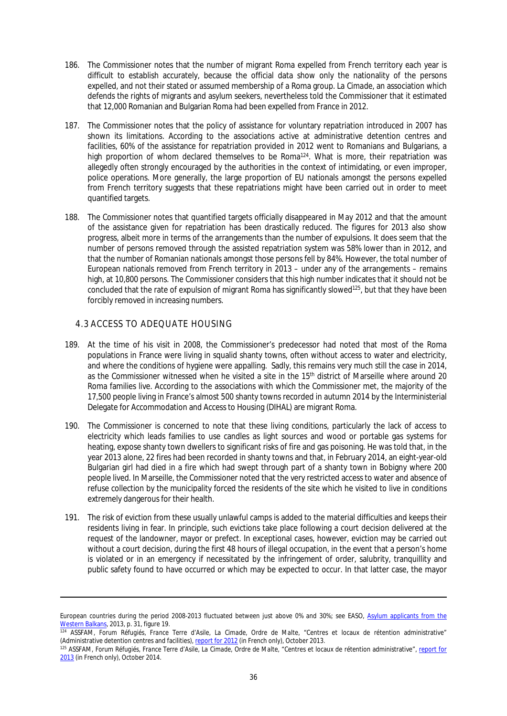- 186. The Commissioner notes that the number of migrant Roma expelled from French territory each year is difficult to establish accurately, because the official data show only the nationality of the persons expelled, and not their stated or assumed membership of a Roma group. *La Cimade*, an association which defends the rights of migrants and asylum seekers, nevertheless told the Commissioner that it estimated that 12,000 Romanian and Bulgarian Roma had been expelled from France in 2012.
- 187. The Commissioner notes that the policy of assistance for voluntary repatriation introduced in 2007 has shown its limitations. According to the associations active at administrative detention centres and facilities, 60% of the assistance for repatriation provided in 2012 went to Romanians and Bulgarians, a high proportion of whom declared themselves to be Roma<sup>124</sup>. What is more, their repatriation was allegedly often strongly encouraged by the authorities in the context of intimidating, or even improper, police operations. More generally, the large proportion of EU nationals amongst the persons expelled from French territory suggests that these repatriations might have been carried out in order to meet quantified targets.
- 188. The Commissioner notes that quantified targets officially disappeared in May 2012 and that the amount of the assistance given for repatriation has been drastically reduced. The figures for 2013 also show progress, albeit more in terms of the arrangements than the number of expulsions. It does seem that the number of persons removed through the assisted repatriation system was 58% lower than in 2012, and that the number of Romanian nationals amongst those persons fell by 84%. However, the total number of European nationals removed from French territory in 2013 – under any of the arrangements – remains high, at 10,800 persons. The Commissioner considers that this high number indicates that it should not be concluded that the rate of expulsion of migrant Roma has significantly slowed<sup>125</sup>, but that they have been forcibly removed in increasing numbers.

## <span id="page-35-0"></span>4.3 ACCESS TO ADEQUATE HOUSING

- <span id="page-35-1"></span>189. At the time of his visit in 2008, the Commissioner's predecessor had noted that most of the Roma populations in France were living in squalid shanty towns, often without access to water and electricity, and where the conditions of hygiene were appalling. Sadly, this remains very much still the case in 2014, as the Commissioner witnessed when he visited a site in the 15<sup>th</sup> district of Marseille where around 20 Roma families live. According to the associations with which the Commissioner met, the majority of the 17,500 people living in France's almost 500 shanty towns recorded in autumn 2014 by the Interministerial Delegate for Accommodation and Access to Housing (DIHAL) are migrant Roma.
- 190. The Commissioner is concerned to note that these living conditions, particularly the lack of access to electricity which leads families to use candles as light sources and wood or portable gas systems for heating, expose shanty town dwellers to significant risks of fire and gas poisoning. He was told that, in the year 2013 alone, 22 fires had been recorded in shanty towns and that, in February 2014, an eight-year-old Bulgarian girl had died in a fire which had swept through part of a shanty town in Bobigny where 200 people lived. In Marseille, the Commissioner noted that the very restricted access to water and absence of refuse collection by the municipality forced the residents of the site which he visited to live in conditions extremely dangerous for their health.
- 191. The risk of eviction from these usually unlawful camps is added to the material difficulties and keeps their residents living in fear. In principle, such evictions take place following a court decision delivered at the request of the landowner, mayor or prefect. In exceptional cases, however, eviction may be carried out without a court decision, during the first 48 hours of illegal occupation, in the event that a person's home is violated or in an emergency if necessitated by the infringement of order, salubrity, tranquillity and public safety found to have occurred or which may be expected to occur. In that latter case, the mayor

European countries during the period 2008-2013 fluctuated between just above 0% and 30%; see EASO, Asylum applicants from the [Western Balkans](http://easo.europa.eu/wp-content/uploads/WB-report-final-version.pdf), 2013, p. 31, figure 19.

<sup>124</sup> ASSFAM, *Forum Réfugiés*, *France Terre d'Asile*, *La Cimade*, *Ordre de Malte*, "Centres et locaux de rétention administrative" (Administrative detention centres and facilities), [report for 2012](http://cimade-production.s3.amazonaws.com/publications/documents/83/original/Rapport_Retention_2012_bdef.pdf?1386155347) (in French only), October 2013.

<sup>125</sup> ASSFAM, *Forum Réfugiés*, *France Terre d'Asile*, *La Cimade*, *Ordre de Malte*, "Centres et locaux de rétention administrative", [report for](http://www.lacimade.org/publications/95)  [2013](http://www.lacimade.org/publications/95) (in French only), October 2014.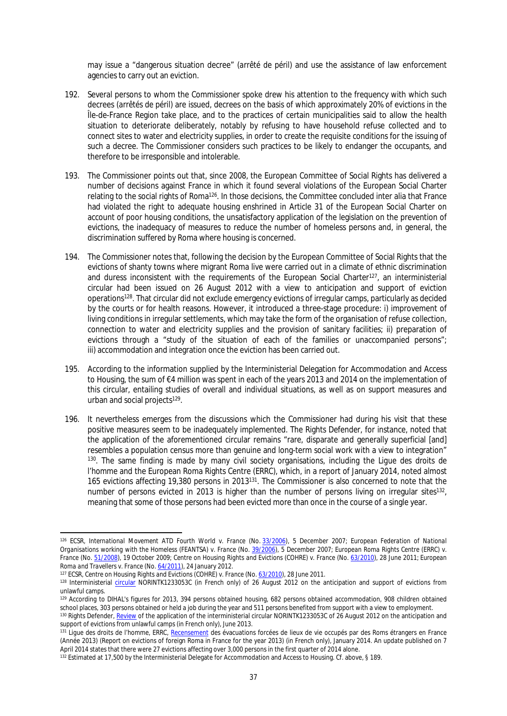may issue a "dangerous situation decree" (*arrêté de péril*) and use the assistance of law enforcement agencies to carry out an eviction.

- 192. Several persons to whom the Commissioner spoke drew his attention to the frequency with which such decrees (*arrêtés de péril*) are issued, decrees on the basis of which approximately 20% of evictions in the Île-de-France Region take place, and to the practices of certain municipalities said to allow the health situation to deteriorate deliberately, notably by refusing to have household refuse collected and to connect sites to water and electricity supplies, in order to create the requisite conditions for the issuing of such a decree. The Commissioner considers such practices to be likely to endanger the occupants, and therefore to be irresponsible and intolerable.
- 193. The Commissioner points out that, since 2008, the European Committee of Social Rights has delivered a number of decisions against France in which it found several violations of the European Social Charter relating to the social rights of Roma<sup>126</sup>. In those decisions, the Committee concluded inter alia that France had violated the right to adequate housing enshrined in Article 31 of the European Social Charter on account of poor housing conditions, the unsatisfactory application of the legislation on the prevention of evictions, the inadequacy of measures to reduce the number of homeless persons and, in general, the discrimination suffered by Roma where housing is concerned.
- 194. The Commissioner notes that, following the decision by the European Committee of Social Rights that the evictions of shanty towns where migrant Roma live were carried out in a climate of ethnic discrimination and duress inconsistent with the requirements of the European Social Charter<sup>127</sup>, an interministerial circular had been issued on 26 August 2012 with a view to anticipation and support of eviction operations<sup>128</sup>. That circular did not exclude emergency evictions of irregular camps, particularly as decided by the courts or for health reasons. However, it introduced a three-stage procedure: i) improvement of living conditions in irregular settlements, which may take the form of the organisation of refuse collection, connection to water and electricity supplies and the provision of sanitary facilities; ii) preparation of evictions through a "study of the situation of each of the families or unaccompanied persons"; iii) accommodation and integration once the eviction has been carried out.
- 195. According to the information supplied by the Interministerial Delegation for Accommodation and Access to Housing, the sum of €4 million was spent in each of the years 2013 and 2014 on the implementation of this circular, entailing studies of overall and individual situations, as well as on support measures and urban and social projects<sup>129</sup>.
- 196. It nevertheless emerges from the discussions which the Commissioner had during his visit that these positive measures seem to be inadequately implemented. The Rights Defender, for instance, noted that the application of the aforementioned circular remains "rare, disparate and generally superficial [and] resembles a population census more than genuine and long-term social work with a view to integration" <sup>130</sup>. The same finding is made by many civil society organisations, including the *Ligue des droits de l'homme* and the European Roma Rights Centre (ERRC), which, in a report of January 2014, noted almost 165 evictions affecting 19,380 persons in 2013<sup>131</sup>. The Commissioner is also concerned to note that the number of persons evicted in 2013 is higher than the number of persons living on irregular sites<sup>132</sup>, meaning that some of those persons had been evicted more than once in the course of a single year.

<sup>126</sup> ECSR, *International Movement ATD Fourth World v. France* (No. [33/2006](http://www.coe.int/t/dghl/monitoring/socialcharter/Complaints/CC33Merits_en.pdf)), 5 December 2007; *European Federation of National Organisations working with the Homeless (FEANTSA) v. France* (No. [39/2006](http://www.coe.int/t/dghl/monitoring/socialcharter/Complaints/CC39Merits_en.pdf)), 5 December 2007; *European Roma Rights Centre (ERRC) v. France* (No. [51/2008](http://www.coe.int/t/dghl/monitoring/socialcharter/complaints/CC51Merits_en.pdf)), 19 October 2009; *Centre on Housing Rights and Evictions (COHRE) v. France* (No. [63/2010](http://www.coe.int/t/dghl/monitoring/socialcharter/Complaints/CC63Merits_en.pdf)), 28 June 2011; *European Roma and Travellers v. France* (No. [64/2011\)](http://www.coe.int/t/dghl/monitoring/socialcharter/complaints/CC64Merits_en.pdf), 24 January 2012.

<sup>&</sup>lt;sup>127</sup> ECSR, *Centre on Housing Rights and Evictions (COHRE) v. France* (No. [63/2010](http://www.coe.int/t/dghl/monitoring/socialcharter/Complaints/CC63Merits_en.pdf)), 28 June 2011.

<sup>&</sup>lt;sup>128</sup> Interministerial [circular](http://circulaire.legifrance.gouv.fr/pdf/2012/08/cir_35737.pdf) NORINTK1233053C (in French only) of 26 August 2012 on the anticipation and support of evictions from unlawful camps.

<sup>&</sup>lt;sup>129</sup> According to DIHAL's figures for 2013, 394 persons obtained housing, 682 persons obtained accommodation, 908 children obtained school places, 303 persons obtained or held a job during the year and 511 persons benefited from support with a view to employment.

<sup>130</sup> Rights Defender, [Review](http://www.defenseurdesdroits.fr/sites/default/files/upload/rapport-roms-2013-06-25.pdf) of the application of the interministerial circular NORINTK1233053C of 26 August 2012 on the anticipation and support of evictions from unlawful camps (in French only), June 2013.

<sup>131</sup> *Ligue des droits de l'homme*, ERRC, [Recensement](http://www.ldh-france.org/IMG/pdf/evacuations_forcees_2013.pdf) des évacuations forcées de lieux de vie occupés par des Roms étrangers en France (Année 2013) (Report on evictions of foreign Roma in France for the year 2013) (in French only), January 2014. An update published on 7 April 2014 states that there were 27 evictions affecting over 3,000 persons in the first quarter of 2014 alone.

<sup>132</sup> Estimated at 17,500 by the Interministerial Delegate for Accommodation and Access to Housing. Cf. above, § [189.](#page-35-1)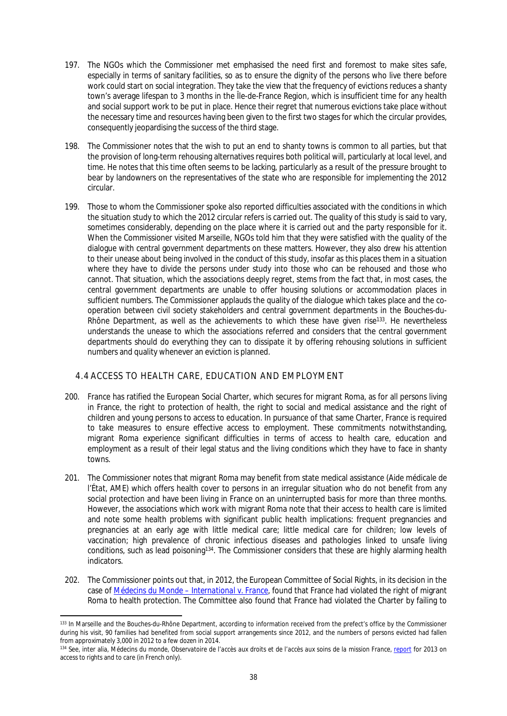- 197. The NGOs which the Commissioner met emphasised the need first and foremost to make sites safe, especially in terms of sanitary facilities, so as to ensure the dignity of the persons who live there before work could start on social integration. They take the view that the frequency of evictions reduces a shanty town's average lifespan to 3 months in the Île-de-France Region, which is insufficient time for any health and social support work to be put in place. Hence their regret that numerous evictions take place without the necessary time and resources having been given to the first two stages for which the circular provides, consequently jeopardising the success of the third stage.
- 198. The Commissioner notes that the wish to put an end to shanty towns is common to all parties, but that the provision of long-term rehousing alternatives requires both political will, particularly at local level, and time. He notes that this time often seems to be lacking, particularly as a result of the pressure brought to bear by landowners on the representatives of the state who are responsible for implementing the 2012 circular.
- 199. Those to whom the Commissioner spoke also reported difficulties associated with the conditions in which the situation study to which the 2012 circular refers is carried out. The quality of this study is said to vary, sometimes considerably, depending on the place where it is carried out and the party responsible for it. When the Commissioner visited Marseille, NGOs told him that they were satisfied with the quality of the dialogue with central government departments on these matters. However, they also drew his attention to their unease about being involved in the conduct of this study, insofar as this places them in a situation where they have to divide the persons under study into those who can be rehoused and those who cannot. That situation, which the associations deeply regret, stems from the fact that, in most cases, the central government departments are unable to offer housing solutions or accommodation places in sufficient numbers. The Commissioner applauds the quality of the dialogue which takes place and the cooperation between civil society stakeholders and central government departments in the Bouches-du-Rhône Department, as well as the achievements to which these have given rise<sup>133</sup>. He nevertheless understands the unease to which the associations referred and considers that the central government departments should do everything they can to dissipate it by offering rehousing solutions in sufficient numbers and quality whenever an eviction is planned.

## <span id="page-37-0"></span>4.4 ACCESS TO HEALTH CARE, EDUCATION AND EMPLOYMENT

- 200. France has ratified the European Social Charter, which secures for migrant Roma, as for all persons living in France, the right to protection of health, the right to social and medical assistance and the right of children and young persons to access to education. In pursuance of that same Charter, France is required to take measures to ensure effective access to employment. These commitments notwithstanding, migrant Roma experience significant difficulties in terms of access to health care, education and employment as a result of their legal status and the living conditions which they have to face in shanty towns.
- 201. The Commissioner notes that migrant Roma may benefit from state medical assistance (*Aide médicale de l'État, AME*) which offers health cover to persons in an irregular situation who do not benefit from any social protection and have been living in France on an uninterrupted basis for more than three months. However, the associations which work with migrant Roma note that their access to health care is limited and note some health problems with significant public health implications: frequent pregnancies and pregnancies at an early age with little medical care; little medical care for children; low levels of vaccination; high prevalence of chronic infectious diseases and pathologies linked to unsafe living conditions, such as lead poisoning<sup>134</sup>. The Commissioner considers that these are highly alarming health indicators.
- 202. The Commissioner points out that, in 2012, the European Committee of Social Rights, in its decision in the case of *[Médecins du Monde – International v. France](http://www.coe.int/t/dghl/monitoring/socialcharter/complaints/CC67Merits_en.pdf)*, found that France had violated the right of migrant Roma to health protection. The Committee also found that France had violated the Charter by failing to

<sup>133</sup> In Marseille and the Bouches-du-Rhône Department, according to information received from the prefect's office by the Commissioner during his visit, 90 families had benefited from social support arrangements since 2012, and the numbers of persons evicted had fallen from approximately 3,000 in 2012 to a few dozen in 2014.

<sup>134</sup> See, inter alia, *Médecins du monde*, *Observatoire de l'accès aux droits et de l'accès aux soins de la mission France*, [report](http://www.medecinsdumonde.org/content/download/16557/192165/file/RAPPORT+de+l%27observatoire+France+2014.pdf) for 2013 on access to rights and to care (in French only).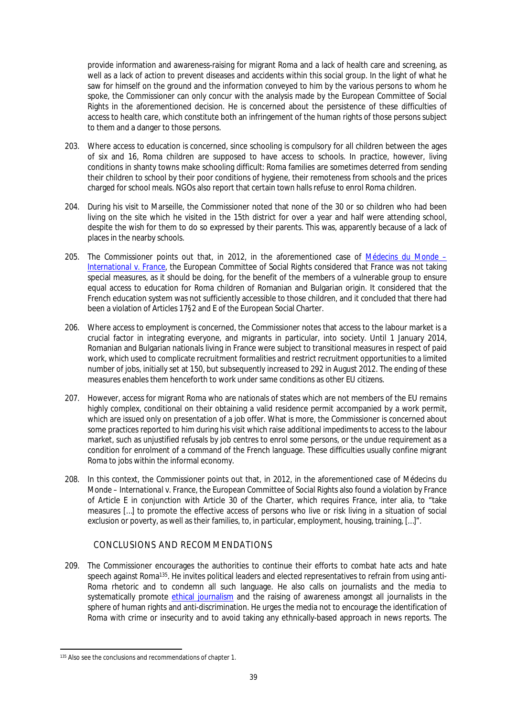provide information and awareness-raising for migrant Roma and a lack of health care and screening, as well as a lack of action to prevent diseases and accidents within this social group. In the light of what he saw for himself on the ground and the information conveyed to him by the various persons to whom he spoke, the Commissioner can only concur with the analysis made by the European Committee of Social Rights in the aforementioned decision. He is concerned about the persistence of these difficulties of access to health care, which constitute both an infringement of the human rights of those persons subject to them and a danger to those persons.

- 203. Where access to education is concerned, since schooling is compulsory for all children between the ages of six and 16, Roma children are supposed to have access to schools. In practice, however, living conditions in shanty towns make schooling difficult: Roma families are sometimes deterred from sending their children to school by their poor conditions of hygiene, their remoteness from schools and the prices charged for school meals. NGOs also report that certain town halls refuse to enrol Roma children.
- 204. During his visit to Marseille, the Commissioner noted that none of the 30 or so children who had been living on the site which he visited in the 15th district for over a year and half were attending school, despite the wish for them to do so expressed by their parents. This was, apparently because of a lack of places in the nearby schools.
- 205. The Commissioner points out that, in 2012, in the aforementioned case of *[Médecins du Monde](http://www.coe.int/t/dghl/monitoring/socialcharter/complaints/CC67Merits_en.pdf)  [International v. France](http://www.coe.int/t/dghl/monitoring/socialcharter/complaints/CC67Merits_en.pdf)*, the European Committee of Social Rights considered that France was not taking special measures, as it should be doing, for the benefit of the members of a vulnerable group to ensure equal access to education for Roma children of Romanian and Bulgarian origin. It considered that the French education system was not sufficiently accessible to those children, and it concluded that there had been a violation of Articles 17§2 and E of the European Social Charter.
- 206. Where access to employment is concerned, the Commissioner notes that access to the labour market is a crucial factor in integrating everyone, and migrants in particular, into society. Until 1 January 2014, Romanian and Bulgarian nationals living in France were subject to transitional measures in respect of paid work, which used to complicate recruitment formalities and restrict recruitment opportunities to a limited number of jobs, initially set at 150, but subsequently increased to 292 in August 2012. The ending of these measures enables them henceforth to work under same conditions as other EU citizens.
- 207. However, access for migrant Roma who are nationals of states which are not members of the EU remains highly complex, conditional on their obtaining a valid residence permit accompanied by a work permit, which are issued only on presentation of a job offer. What is more, the Commissioner is concerned about some practices reported to him during his visit which raise additional impediments to access to the labour market, such as unjustified refusals by job centres to enrol some persons, or the undue requirement as a condition for enrolment of a command of the French language. These difficulties usually confine migrant Roma to jobs within the informal economy.
- 208. In this context, the Commissioner points out that, in 2012, in the aforementioned case of *Médecins du Monde – International v. France*, the European Committee of Social Rights also found a violation by France of Article E in conjunction with Article 30 of the Charter, which requires France, inter alia, to "take measures […] to promote the effective access of persons who live or risk living in a situation of social exclusion or poverty, as well as their families, to, in particular, employment, housing, training, [...]".

## <span id="page-38-0"></span>CONCLUSIONS AND RECOMMENDATIONS

209. The Commissioner encourages the authorities to continue their efforts to combat hate acts and hate speech against Roma<sup>135</sup>. He invites political leaders and elected representatives to refrain from using anti-Roma rhetoric and to condemn all such language. He also calls on journalists and the media to systematically promote [ethical journalism](https://wcd.coe.int/ViewDoc.jsp?id=1863637) and the raising of awareness amongst all journalists in the sphere of human rights and anti-discrimination. He urges the media not to encourage the identification of Roma with crime or insecurity and to avoid taking any ethnically-based approach in news reports. The

<sup>&</sup>lt;sup>135</sup> Also see the conclusions and recommendations of chapter 1.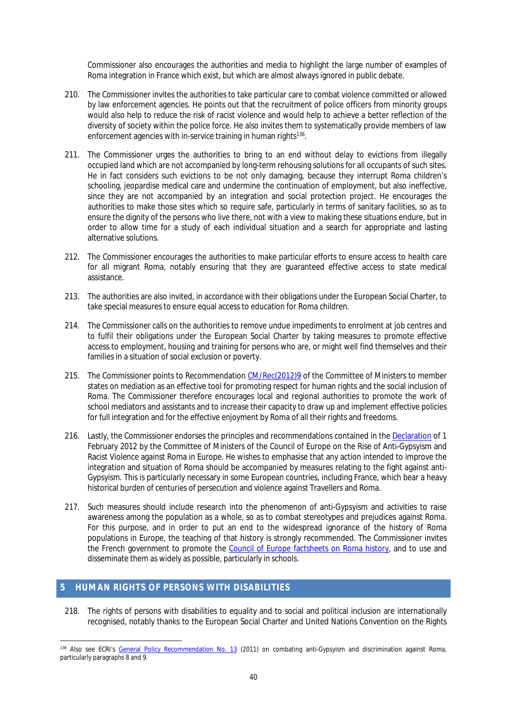Commissioner also encourages the authorities and media to highlight the large number of examples of Roma integration in France which exist, but which are almost always ignored in public debate.

- 210. The Commissioner invites the authorities to take particular care to combat violence committed or allowed by law enforcement agencies. He points out that the recruitment of police officers from minority groups would also help to reduce the risk of racist violence and would help to achieve a better reflection of the diversity of society within the police force. He also invites them to systematically provide members of law enforcement agencies with in-service training in human rights<sup>136</sup>.
- 211. The Commissioner urges the authorities to bring to an end without delay to evictions from illegally occupied land which are not accompanied by long-term rehousing solutions for all occupants of such sites. He in fact considers such evictions to be not only damaging, because they interrupt Roma children's schooling, jeopardise medical care and undermine the continuation of employment, but also ineffective, since they are not accompanied by an integration and social protection project. He encourages the authorities to make those sites which so require safe, particularly in terms of sanitary facilities, so as to ensure the dignity of the persons who live there, not with a view to making these situations endure, but in order to allow time for a study of each individual situation and a search for appropriate and lasting alternative solutions.
- 212. The Commissioner encourages the authorities to make particular efforts to ensure access to health care for all migrant Roma, notably ensuring that they are guaranteed effective access to state medical assistance.
- 213. The authorities are also invited, in accordance with their obligations under the European Social Charter, to take special measures to ensure equal access to education for Roma children.
- 214. The Commissioner calls on the authorities to remove undue impediments to enrolment at job centres and to fulfil their obligations under the European Social Charter by taking measures to promote effective access to employment, housing and training for persons who are, or might well find themselves and their families in a situation of social exclusion or poverty.
- 215. The Commissioner points to Recommendation [CM/Rec\(2012\)9](https://wcd.coe.int/ViewDoc.jsp?Ref=CM/Rec(2012)9&Language=lanEnglish&Ver=original&Site=CM&BackColorInternet=DBDCF2&BackColorIntranet=FDC864&BackColorLogged=FDC864) of the Committee of Ministers to member states on mediation as an effective tool for promoting respect for human rights and the social inclusion of Roma. The Commissioner therefore encourages local and regional authorities to promote the work of school mediators and assistants and to increase their capacity to draw up and implement effective policies for full integration and for the effective enjoyment by Roma of all their rights and freedoms.
- 216. Lastly, the Commissioner endorses the principles and recommendations contained in the [Declaration](https://wcd.coe.int/ViewDoc.jsp?Ref=Decl(01.02.2012)&Language=lanEnglish&Ver=original&BackColorInternet=C3C3C3&BackColorIntranet=EDB021&BackColorLogged=F5D383) of 1 February 2012 by the Committee of Ministers of the Council of Europe on the Rise of Anti-Gypsyism and Racist Violence against Roma in Europe. He wishes to emphasise that any action intended to improve the integration and situation of Roma should be accompanied by measures relating to the fight against anti-Gypsyism. This is particularly necessary in some European countries, including France, which bear a heavy historical burden of centuries of persecution and violence against Travellers and Roma.
- 217. Such measures should include research into the phenomenon of anti-Gypsyism and activities to raise awareness among the population as a whole, so as to combat stereotypes and prejudices against Roma. For this purpose, and in order to put an end to the widespread ignorance of the history of Roma populations in Europe, the teaching of that history is strongly recommended. The Commissioner invites the French government to promote the [Council of Europe factsheets on Roma history,](http://romafacts.uni-graz.at/index.php/history/general-introduction/general-introduction) and to use and disseminate them as widely as possible, particularly in schools.

#### <span id="page-39-0"></span>**5 HUMAN RIGHTS OF PERSONS WITH DISABILITIES**

218. The rights of persons with disabilities to equality and to social and political inclusion are internationally recognised, notably thanks to the European Social Charter and United Nations Convention on the Rights

<sup>136</sup> Also see ECRI's [General Policy Recommendation No. 13](http://www.coe.int/t/dghl/monitoring/ecri/activities/GPR/EN/Recommendation_N13/default_en.asp) (2011) on combating anti-Gypsyism and discrimination against Roma, particularly paragraphs 8 and 9.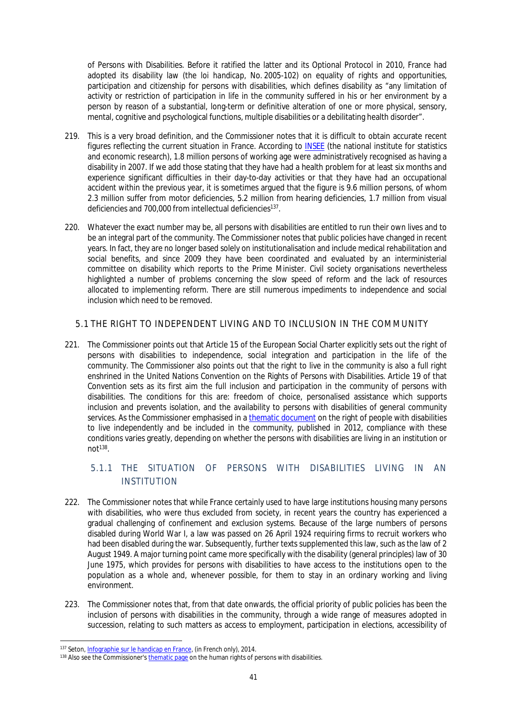of Persons with Disabilities. Before it ratified the latter and its Optional Protocol in 2010, France had adopted its disability law (the *loi handicap*, No. 2005-102) on equality of rights and opportunities, participation and citizenship for persons with disabilities, which defines disability as "any limitation of activity or restriction of participation in life in the community suffered in his or her environment by a person by reason of a substantial, long-term or definitive alteration of one or more physical, sensory, mental, cognitive and psychological functions, multiple disabilities or a debilitating health disorder".

- 219. This is a very broad definition, and the Commissioner notes that it is difficult to obtain accurate recent figures reflecting the current situation in France. According to [INSEE](http://www.insee.fr/fr/themes/document.asp?ref_id=T11F037) (the national institute for statistics and economic research), 1.8 million persons of working age were administratively recognised as having a disability in 2007. If we add those stating that they have had a health problem for at least six months and experience significant difficulties in their day-to-day activities or that they have had an occupational accident within the previous year, it is sometimes argued that the figure is 9.6 million persons, of whom 2.3 million suffer from motor deficiencies, 5.2 million from hearing deficiencies, 1.7 million from visual deficiencies and 700,000 from intellectual deficiencies<sup>137</sup>.
- 220. Whatever the exact number may be, all persons with disabilities are entitled to run their own lives and to be an integral part of the community. The Commissioner notes that public policies have changed in recent years. In fact, they are no longer based solely on institutionalisation and include medical rehabilitation and social benefits, and since 2009 they have been coordinated and evaluated by an interministerial committee on disability which reports to the Prime Minister. Civil society organisations nevertheless highlighted a number of problems concerning the slow speed of reform and the lack of resources allocated to implementing reform. There are still numerous impediments to independence and social inclusion which need to be removed.

### <span id="page-40-0"></span>5.1 THE RIGHT TO INDEPENDENT LIVING AND TO INCLUSION IN THE COMMUNITY

221. The Commissioner points out that Article 15 of the European Social Charter explicitly sets out the right of persons with disabilities to independence, social integration and participation in the life of the community. The Commissioner also points out that the right to live in the community is also a full right enshrined in the United Nations Convention on the Rights of Persons with Disabilities. Article 19 of that Convention sets as its first aim the full inclusion and participation in the community of persons with disabilities. The conditions for this are: freedom of choice, personalised assistance which supports inclusion and prevents isolation, and the availability to persons with disabilities of general community services. As the Commissioner emphasised in a [thematic document](https://wcd.coe.int/ViewDoc.jsp?Ref=CommDH/IssuePaper%282012%293&Language=lanEnglish&Ver=original&Site=COE&BackColorInternet=DBDCF2&BackColorIntranet=FDC864&BackColorLogged=FDC864) on the right of people with disabilities to live independently and be included in the community, published in 2012, compliance with these conditions varies greatly, depending on whether the persons with disabilities are living in an institution or  $not^{138}$ .

# <span id="page-40-1"></span>5.1.1 THE SITUATION OF PERSONS WITH DISABILITIES LIVING IN AN INSTITUTION

- 222. The Commissioner notes that while France certainly used to have large institutions housing many persons with disabilities, who were thus excluded from society, in recent years the country has experienced a gradual challenging of confinement and exclusion systems. Because of the large numbers of persons disabled during World War I, a law was passed on 26 April 1924 requiring firms to recruit workers who had been disabled during the war. Subsequently, further texts supplemented this law, such as the law of 2 August 1949. A major turning point came more specifically with the disability (general principles) law of 30 June 1975, which provides for persons with disabilities to have access to the institutions open to the population as a whole and, whenever possible, for them to stay in an ordinary working and living environment.
- 223. The Commissioner notes that, from that date onwards, the official priority of public policies has been the inclusion of persons with disabilities in the community, through a wide range of measures adopted in succession, relating to such matters as access to employment, participation in elections, accessibility of

<sup>137</sup> Seton, [Infographie sur le handicap en France,](http://www.seton.fr/infographie-handicap-france.html) (in French only), 2014.

<sup>&</sup>lt;sup>138</sup> Also see the Commissioner's [thematic page](http://www.coe.int/en/web/commissioner/thematic-work/persons-with-disabilities) on the human rights of persons with disabilities.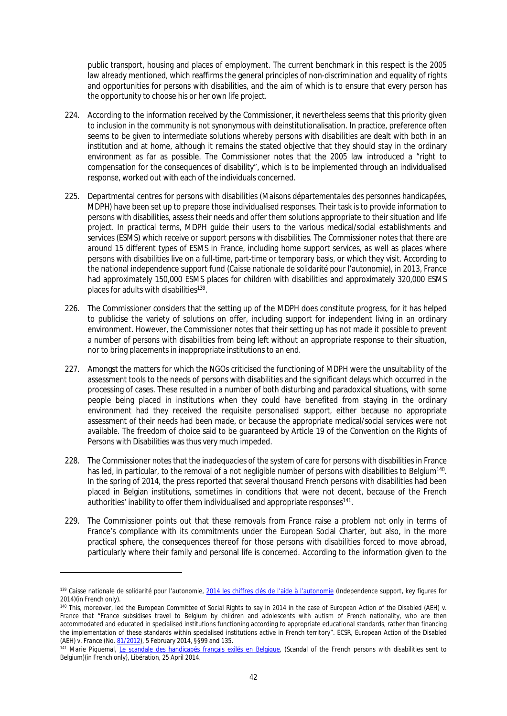public transport, housing and places of employment. The current benchmark in this respect is the 2005 law already mentioned, which reaffirms the general principles of non-discrimination and equality of rights and opportunities for persons with disabilities, and the aim of which is to ensure that every person has the opportunity to choose his or her own life project.

- 224. According to the information received by the Commissioner, it nevertheless seems that this priority given to inclusion in the community is not synonymous with deinstitutionalisation. In practice, preference often seems to be given to intermediate solutions whereby persons with disabilities are dealt with both in an institution and at home, although it remains the stated objective that they should stay in the ordinary environment as far as possible. The Commissioner notes that the 2005 law introduced a "right to compensation for the consequences of disability", which is to be implemented through an individualised response, worked out with each of the individuals concerned.
- 225. Departmental centres for persons with disabilities (*Maisons départementales des personnes handicapées, MDPH*) have been set up to prepare those individualised responses. Their task is to provide information to persons with disabilities, assess their needs and offer them solutions appropriate to their situation and life project. In practical terms, MDPH guide their users to the various medical/social establishments and services (ESMS) which receive or support persons with disabilities. The Commissioner notes that there are around 15 different types of ESMS in France, including home support services, as well as places where persons with disabilities live on a full-time, part-time or temporary basis, or which they visit. According to the national independence support fund (*Caisse nationale de solidarité pour l'autonomie*), in 2013, France had approximately 150,000 ESMS places for children with disabilities and approximately 320,000 ESMS places for adults with disabilities<sup>139</sup>.
- 226. The Commissioner considers that the setting up of the MDPH does constitute progress, for it has helped to publicise the variety of solutions on offer, including support for independent living in an ordinary environment. However, the Commissioner notes that their setting up has not made it possible to prevent a number of persons with disabilities from being left without an appropriate response to their situation, nor to bring placements in inappropriate institutions to an end.
- 227. Amongst the matters for which the NGOs criticised the functioning of MDPH were the unsuitability of the assessment tools to the needs of persons with disabilities and the significant delays which occurred in the processing of cases. These resulted in a number of both disturbing and paradoxical situations, with some people being placed in institutions when they could have benefited from staying in the ordinary environment had they received the requisite personalised support, either because no appropriate assessment of their needs had been made, or because the appropriate medical/social services were not available. The freedom of choice said to be guaranteed by Article 19 of the Convention on the Rights of Persons with Disabilities was thus very much impeded.
- 228. The Commissioner notes that the inadequacies of the system of care for persons with disabilities in France has led, in particular, to the removal of a not negligible number of persons with disabilities to Belgium<sup>140</sup>. In the spring of 2014, the press reported that several thousand French persons with disabilities had been placed in Belgian institutions, sometimes in conditions that were not decent, because of the French authorities' inability to offer them individualised and appropriate responses<sup>141</sup>.
- 229. The Commissioner points out that these removals from France raise a problem not only in terms of France's compliance with its commitments under the European Social Charter, but also, in the more practical sphere, the consequences thereof for those persons with disabilities forced to move abroad, particularly where their family and personal life is concerned. According to the information given to the

<sup>139</sup> *Caisse nationale de solidarité pour l'autonomie*, [2014 les chiffres clés de l'aide à l'autonomie](http://www.cnsa.fr/IMG/pdf/CNSA-Chiffres-cles-18-06-2014-2.pdf) (Independence support, key figures for 2014)(in French only).

<sup>140</sup> This, moreover, led the European Committee of Social Rights to say in 2014 in the case of *European Action of the Disabled (AEH) v. France* that "France subsidises travel to Belgium by children and adolescents with autism of French nationality, who are then accommodated and educated in specialised institutions functioning according to appropriate educational standards, rather than financing the implementation of these standards within specialised institutions active in French territory". ECSR, *European Action of the Disabled (AEH) v. France* (No. [81/2012\)](https://wcd.coe.int/ViewDoc.jsp?Ref=CEDS(2012)81&Language=lanEnglish&Ver=original&Site=COE&BackColorInternet=DBDCF2&BackColorIntranet=FDC864&BackColorLogged=FDC864), 5 February 2014, §§99 and 135.

<sup>&</sup>lt;sup>141</sup> Marie Piquemal, [Le scandale des handicapés français exilés en Belgique,](http://www.liberation.fr/societe/2014/04/25/le-scandale-des-handicapes-francais-exiles-en-belgique_1004251) (Scandal of the French persons with disabilities sent to Belgium)(in French only), Libération, 25 April 2014.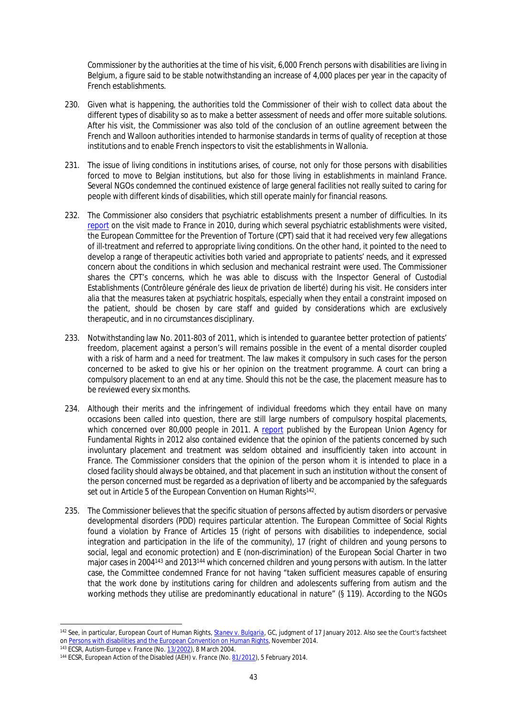Commissioner by the authorities at the time of his visit, 6,000 French persons with disabilities are living in Belgium, a figure said to be stable notwithstanding an increase of 4,000 places per year in the capacity of French establishments.

- 230. Given what is happening, the authorities told the Commissioner of their wish to collect data about the different types of disability so as to make a better assessment of needs and offer more suitable solutions. After his visit, the Commissioner was also told of the conclusion of an outline agreement between the French and Walloon authorities intended to harmonise standards in terms of quality of reception at those institutions and to enable French inspectors to visit the establishments in Wallonia.
- 231. The issue of living conditions in institutions arises, of course, not only for those persons with disabilities forced to move to Belgian institutions, but also for those living in establishments in mainland France. Several NGOs condemned the continued existence of large general facilities not really suited to caring for people with different kinds of disabilities, which still operate mainly for financial reasons.
- 232. The Commissioner also considers that psychiatric establishments present a number of difficulties. In its [report](http://www.cpt.coe.int/documents/fra/2012-13-inf-fra.pdf) on the visit made to France in 2010, during which several psychiatric establishments were visited, the European Committee for the Prevention of Torture (CPT) said that it had received very few allegations of ill-treatment and referred to appropriate living conditions. On the other hand, it pointed to the need to develop a range of therapeutic activities both varied and appropriate to patients' needs, and it expressed concern about the conditions in which seclusion and mechanical restraint were used. The Commissioner shares the CPT's concerns, which he was able to discuss with the Inspector General of Custodial Establishments (*Contrôleure générale des lieux de privation de liberté*) during his visit. He considers inter alia that the measures taken at psychiatric hospitals, especially when they entail a constraint imposed on the patient, should be chosen by care staff and guided by considerations which are exclusively therapeutic, and in no circumstances disciplinary.
- 233. Notwithstanding law No. 2011-803 of 2011, which is intended to guarantee better protection of patients' freedom, placement against a person's will remains possible in the event of a mental disorder coupled with a risk of harm and a need for treatment. The law makes it compulsory in such cases for the person concerned to be asked to give his or her opinion on the treatment programme. A court can bring a compulsory placement to an end at any time. Should this not be the case, the placement measure has to be reviewed every six months.
- 234. Although their merits and the infringement of individual freedoms which they entail have on many occasions been called into question, there are still large numbers of compulsory hospital placements, which concerned over 80,000 people in 2011. A [report](http://fra.europa.eu/sites/default/files/fra_uploads/2130-FRA-2012-involuntary-placement-treatment_EN.pdf) published by the European Union Agency for Fundamental Rights in 2012 also contained evidence that the opinion of the patients concerned by such involuntary placement and treatment was seldom obtained and insufficiently taken into account in France. The Commissioner considers that the opinion of the person whom it is intended to place in a closed facility should always be obtained, and that placement in such an institution without the consent of the person concerned must be regarded as a deprivation of liberty and be accompanied by the safeguards set out in Article 5 of the European Convention on Human Rights<sup>142</sup>.
- 235. The Commissioner believes that the specific situation of persons affected by autism disorders or pervasive developmental disorders (PDD) requires particular attention. The European Committee of Social Rights found a violation by France of Articles 15 (right of persons with disabilities to independence, social integration and participation in the life of the community), 17 (right of children and young persons to social, legal and economic protection) and E (non-discrimination) of the European Social Charter in two major cases in 2004<sup>143</sup> and 2013<sup>144</sup> which concerned children and young persons with autism. In the latter case, the Committee condemned France for not having "taken sufficient measures capable of ensuring that the work done by institutions caring for children and adolescents suffering from autism and the working methods they utilise are predominantly educational in nature" (§ 119). According to the NGOs

<sup>142</sup> See, in particular, European Court of Human Rights, *[Stanev v. Bulgaria](http://hudoc.echr.coe.int/sites/eng/pages/search.aspx?i=001-108690)*, GC, judgment of 17 January 2012. Also see the Court's factsheet on [Persons with disabilities and the European Convention on Human Rights](http://www.echr.coe.int/Documents/FS_Disabled_ENG.pdf), November 2014.

<sup>143</sup> ECSR, *Autism-Europe v. France* (No. [13/2002\)](http://www.coe.int/t/dghl/monitoring/socialcharter/Complaints/CC13Merits_en.pdf), 8 March 2004.

<sup>144</sup> ECSR, *European Action of the Disabled (AEH) v. France* (No. [81/2012](https://wcd.coe.int/ViewDoc.jsp?Ref=CEDS(2012)81&Language=lanEnglish&Ver=original&Site=COE&BackColorInternet=DBDCF2&BackColorIntranet=FDC864&BackColorLogged=FDC864)), 5 February 2014.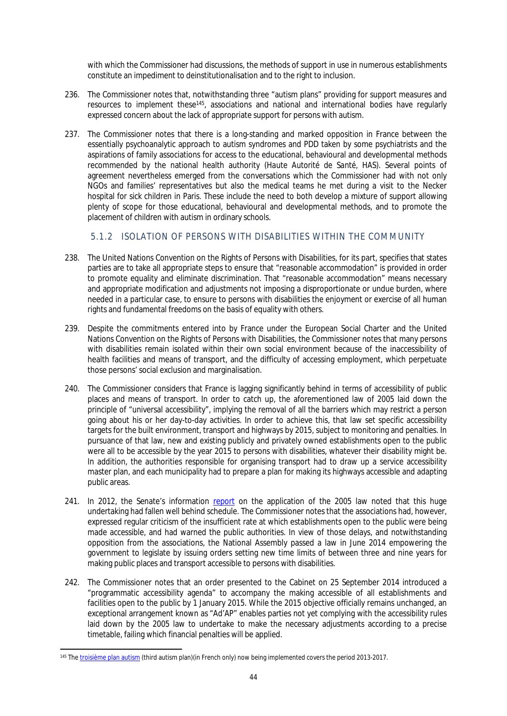with which the Commissioner had discussions, the methods of support in use in numerous establishments constitute an impediment to deinstitutionalisation and to the right to inclusion.

- 236. The Commissioner notes that, notwithstanding three "autism plans" providing for support measures and resources to implement these<sup>145</sup>, associations and national and international bodies have regularly expressed concern about the lack of appropriate support for persons with autism.
- 237. The Commissioner notes that there is a long-standing and marked opposition in France between the essentially psychoanalytic approach to autism syndromes and PDD taken by some psychiatrists and the aspirations of family associations for access to the educational, behavioural and developmental methods recommended by the national health authority (*Haute Autorité de Santé, HAS*). Several points of agreement nevertheless emerged from the conversations which the Commissioner had with not only NGOs and families' representatives but also the medical teams he met during a visit to the Necker hospital for sick children in Paris. These include the need to both develop a mixture of support allowing plenty of scope for those educational, behavioural and developmental methods, and to promote the placement of children with autism in ordinary schools.

<span id="page-43-0"></span>5.1.2 ISOLATION OF PERSONS WITH DISABILITIES WITHIN THE COMMUNITY

- 238. The United Nations Convention on the Rights of Persons with Disabilities, for its part, specifies that states parties are to take all appropriate steps to ensure that "reasonable accommodation" is provided in order to promote equality and eliminate discrimination. That "reasonable accommodation" means necessary and appropriate modification and adjustments not imposing a disproportionate or undue burden, where needed in a particular case, to ensure to persons with disabilities the enjoyment or exercise of all human rights and fundamental freedoms on the basis of equality with others.
- 239. Despite the commitments entered into by France under the European Social Charter and the United Nations Convention on the Rights of Persons with Disabilities, the Commissioner notes that many persons with disabilities remain isolated within their own social environment because of the inaccessibility of health facilities and means of transport, and the difficulty of accessing employment, which perpetuate those persons' social exclusion and marginalisation.
- 240. The Commissioner considers that France is lagging significantly behind in terms of accessibility of public places and means of transport. In order to catch up, the aforementioned law of 2005 laid down the principle of "universal accessibility", implying the removal of all the barriers which may restrict a person going about his or her day-to-day activities. In order to achieve this, that law set specific accessibility targets for the built environment, transport and highways by 2015, subject to monitoring and penalties. In pursuance of that law, new and existing publicly and privately owned establishments open to the public were all to be accessible by the year 2015 to persons with disabilities, whatever their disability might be. In addition, the authorities responsible for organising transport had to draw up a service accessibility master plan, and each municipality had to prepare a plan for making its highways accessible and adapting public areas.
- 241. In 2012, the Senate's information [report](http://www.social-sante.gouv.fr/IMG/pdf/2012_CAMPION_et_DEBRE_application_loi_fevrier_2005.pdf) on the application of the 2005 law noted that this huge undertaking had fallen well behind schedule. The Commissioner notes that the associations had, however, expressed regular criticism of the insufficient rate at which establishments open to the public were being made accessible, and had warned the public authorities. In view of those delays, and notwithstanding opposition from the associations, the National Assembly passed a law in June 2014 empowering the government to legislate by issuing orders setting new time limits of between three and nine years for making public places and transport accessible to persons with disabilities.
- 242. The Commissioner notes that an order presented to the Cabinet on 25 September 2014 introduced a "programmatic accessibility agenda" to accompany the making accessible of all establishments and facilities open to the public by 1 January 2015. While the 2015 objective officially remains unchanged, an exceptional arrangement known as "Ad'AP" enables parties not yet complying with the accessibility rules laid down by the 2005 law to undertake to make the necessary adjustments according to a precise timetable, failing which financial penalties will be applied.

<sup>145</sup> The [troisième plan autism](http://www.social-sante.gouv.fr/IMG/pdf/synthese-3planAutisme.pdf) (third autism plan)(in French only) now being implemented covers the period 2013-2017.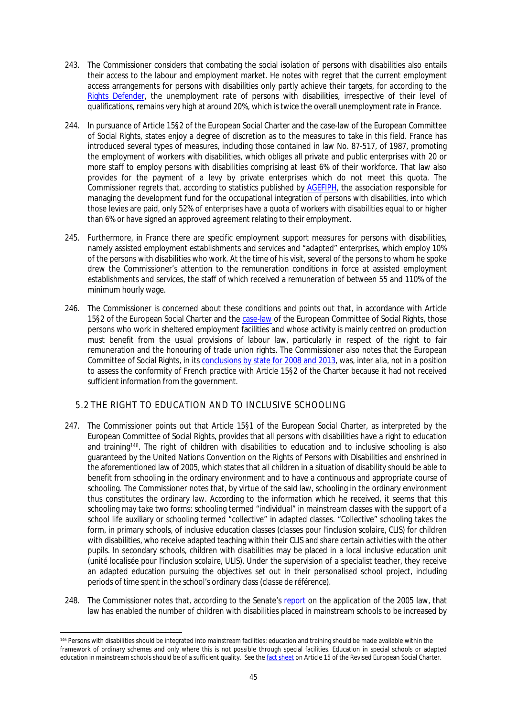- 243. The Commissioner considers that combating the social isolation of persons with disabilities also entails their access to the labour and employment market. He notes with regret that the current employment access arrangements for persons with disabilities only partly achieve their targets, for according to the [Rights Defender,](http://www.defenseurdesdroits.fr/sites/default/files/upload/fiches-thematiques/discri-handicap-sante.pdf) the unemployment rate of persons with disabilities, irrespective of their level of qualifications, remains very high at around 20%, which is twice the overall unemployment rate in France.
- 244. In pursuance of Article 15§2 of the European Social Charter and the case-law of the European Committee of Social Rights, states enjoy a degree of discretion as to the measures to take in this field. France has introduced several types of measures, including those contained in law No. 87-517, of 1987, promoting the employment of workers with disabilities, which obliges all private and public enterprises with 20 or more staff to employ persons with disabilities comprising at least 6% of their workforce. That law also provides for the payment of a levy by private enterprises which do not meet this quota. The Commissioner regrets that, according to statistics published by [AGEFIPH](http://www.agefiph.fr/Actus-Publications/Publications-et-etudes), the association responsible for managing the development fund for the occupational integration of persons with disabilities, into which those levies are paid, only 52% of enterprises have a quota of workers with disabilities equal to or higher than 6% or have signed an approved agreement relating to their employment.
- 245. Furthermore, in France there are specific employment support measures for persons with disabilities, namely assisted employment establishments and services and "adapted" enterprises, which employ 10% of the persons with disabilities who work. At the time of his visit, several of the persons to whom he spoke drew the Commissioner's attention to the remuneration conditions in force at assisted employment establishments and services, the staff of which received a remuneration of between 55 and 110% of the minimum hourly wage.
- 246. The Commissioner is concerned about these conditions and points out that, in accordance with Article 15§2 of the European Social Charter and the [case-law](http://www.coe.int/t/dghl/monitoring/socialcharter/Digest/DigestSept2008_en.pdf) of the European Committee of Social Rights, those persons who work in sheltered employment facilities and whose activity is mainly centred on production must benefit from the usual provisions of labour law, particularly in respect of the right to fair remuneration and the honouring of trade union rights. The Commissioner also notes that the European Committee of Social Rights, in its [conclusions by state for 2008 and 2013,](http://www.coe.int/t/dghl/monitoring/socialcharter/conclusions/conclusionsindex_EN.asp?) was, inter alia, not in a position to assess the conformity of French practice with Article 15§2 of the Charter because it had not received sufficient information from the government.

## <span id="page-44-0"></span>5.2 THE RIGHT TO EDUCATION AND TO INCLUSIVE SCHOOLING

- 247. The Commissioner points out that Article 15§1 of the European Social Charter, as interpreted by the European Committee of Social Rights, provides that all persons with disabilities have a right to education and training<sup>146</sup>. The right of children with disabilities to education and to inclusive schooling is also guaranteed by the United Nations Convention on the Rights of Persons with Disabilities and enshrined in the aforementioned law of 2005, which states that all children in a situation of disability should be able to benefit from schooling in the ordinary environment and to have a continuous and appropriate course of schooling. The Commissioner notes that, by virtue of the said law, schooling in the ordinary environment thus constitutes the ordinary law. According to the information which he received, it seems that this schooling may take two forms: schooling termed "individual" in mainstream classes with the support of a school life auxiliary or schooling termed "collective" in adapted classes. "Collective" schooling takes the form, in primary schools, of inclusive education classes (*classes pour l'inclusion scolaire, CLIS*) for children with disabilities, who receive adapted teaching within their CLIS and share certain activities with the other pupils. In secondary schools, children with disabilities may be placed in a local inclusive education unit (*unité localisée pour l'inclusion scolaire, ULIS*). Under the supervision of a specialist teacher, they receive an adapted education pursuing the objectives set out in their personalised school project, including periods of time spent in the school's ordinary class (*classe de référence*).
- 248. The Commissioner notes that, according to the Senate's [report](http://www.social-sante.gouv.fr/IMG/pdf/2012_CAMPION_et_DEBRE_application_loi_fevrier_2005.pdf) on the application of the 2005 law, that law has enabled the number of children with disabilities placed in mainstream schools to be increased by

<sup>146</sup> Persons with disabilities should be integrated into mainstream facilities; education and training should be made available within the framework of ordinary schemes and only where this is not possible through special facilities. Education in special schools or adapted education in mainstream schools should be of a sufficient quality. See the [fact sheet](http://www.coe.int/t/dghl/monitoring/socialcharter/Theme%20factsheets/FactsheetDisabled_en.pdf) on Article 15 of the Revised European Social Charter.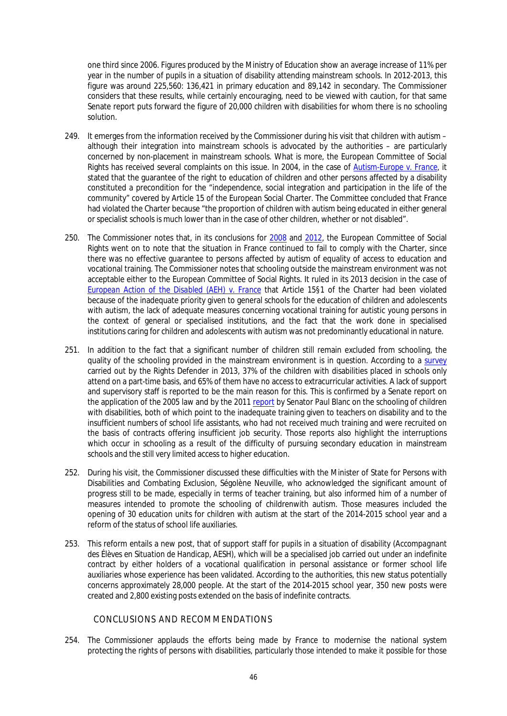one third since 2006. Figures produced by the Ministry of Education show an average increase of 11% per year in the number of pupils in a situation of disability attending mainstream schools. In 2012-2013, this figure was around 225,560: 136,421 in primary education and 89,142 in secondary. The Commissioner considers that these results, while certainly encouraging, need to be viewed with caution, for that same Senate report puts forward the figure of 20,000 children with disabilities for whom there is no schooling solution.

- 249. It emerges from the information received by the Commissioner during his visit that children with autism although their integration into mainstream schools is advocated by the authorities – are particularly concerned by non-placement in mainstream schools. What is more, the European Committee of Social Rights has received several complaints on this issue. In 2004, in the case of *[Autism-Europe v. France](http://www.coe.int/t/dghl/monitoring/socialcharter/Complaints/CC13Merits_en.pdf)*, it stated that the guarantee of the right to education of children and other persons affected by a disability constituted a precondition for the "independence, social integration and participation in the life of the community" covered by Article 15 of the European Social Charter. The Committee concluded that France had violated the Charter because "the proportion of children with autism being educated in either general or specialist schools is much lower than in the case of other children, whether or not disabled".
- 250. The Commissioner notes that, in its conclusions for [2008](http://www.coe.int/t/dghl/monitoring/socialcharter/Conclusions/State/France2008_EN.pdf) and [2012](http://www.coe.int/t/dghl/monitoring/socialcharter/Conclusions/State/France2012_EN.pdf), the European Committee of Social Rights went on to note that the situation in France continued to fail to comply with the Charter, since there was no effective guarantee to persons affected by autism of equality of access to education and vocational training. The Commissioner notes that schooling outside the mainstream environment was not acceptable either to the European Committee of Social Rights. It ruled in its 2013 decision in the case of *[European Action of the Disabled \(AEH\) v. France](https://wcd.coe.int/ViewDoc.jsp?Ref=CEDS(2012)81&Language=lanEnglish&Ver=original&Site=COE&BackColorInternet=DBDCF2&BackColorIntranet=FDC864&BackColorLogged=FDC864)* that Article 15§1 of the Charter had been violated because of the inadequate priority given to general schools for the education of children and adolescents with autism, the lack of adequate measures concerning vocational training for autistic young persons in the context of general or specialised institutions, and the fact that the work done in specialised institutions caring for children and adolescents with autism was not predominantly educational in nature.
- 251. In addition to the fact that a significant number of children still remain excluded from schooling, the quality of the schooling provided in the mainstream environment is in question. According to a [survey](http://www.defenseurdesdroits.fr/sites/default/files/upload/rapport_annuel_2013.pdf) carried out by the Rights Defender in 2013, 37% of the children with disabilities placed in schools only attend on a part-time basis, and 65% of them have no access to extracurricular activities. A lack of support and supervisory staff is reported to be the main reason for this. This is confirmed by a Senate report on the application of the 2005 law and by the 2011 [report](http://www.social-sante.gouv.fr/IMG/pdf/2011_scolarisation_des_enfants_handicapes.pdf) by Senator Paul Blanc on the schooling of children with disabilities, both of which point to the inadequate training given to teachers on disability and to the insufficient numbers of school life assistants, who had not received much training and were recruited on the basis of contracts offering insufficient job security. Those reports also highlight the interruptions which occur in schooling as a result of the difficulty of pursuing secondary education in mainstream schools and the still very limited access to higher education.
- 252. During his visit, the Commissioner discussed these difficulties with the Minister of State for Persons with Disabilities and Combating Exclusion, Ségolène Neuville, who acknowledged the significant amount of progress still to be made, especially in terms of teacher training, but also informed him of a number of measures intended to promote the schooling of childrenwith autism. Those measures included the opening of 30 education units for children with autism at the start of the 2014-2015 school year and a reform of the status of school life auxiliaries.
- 253. This reform entails a new post, that of support staff for pupils in a situation of disability (*Accompagnant des Élèves en Situation de Handicap, AESH*), which will be a specialised job carried out under an indefinite contract by either holders of a vocational qualification in personal assistance or former school life auxiliaries whose experience has been validated. According to the authorities, this new status potentially concerns approximately 28,000 people. At the start of the 2014-2015 school year, 350 new posts were created and 2,800 existing posts extended on the basis of indefinite contracts.

## <span id="page-45-0"></span>CONCLUSIONS AND RECOMMENDATIONS

254. The Commissioner applauds the efforts being made by France to modernise the national system protecting the rights of persons with disabilities, particularly those intended to make it possible for those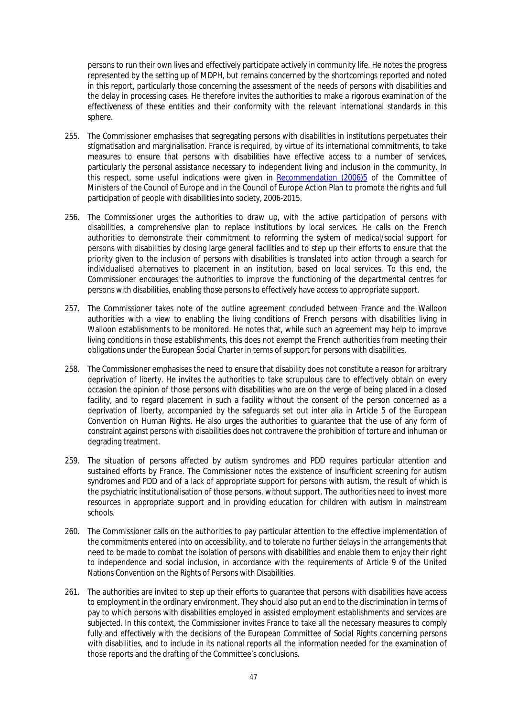persons to run their own lives and effectively participate actively in community life. He notes the progress represented by the setting up of MDPH, but remains concerned by the shortcomings reported and noted in this report, particularly those concerning the assessment of the needs of persons with disabilities and the delay in processing cases. He therefore invites the authorities to make a rigorous examination of the effectiveness of these entities and their conformity with the relevant international standards in this sphere.

- 255. The Commissioner emphasises that segregating persons with disabilities in institutions perpetuates their stigmatisation and marginalisation. France is required, by virtue of its international commitments, to take measures to ensure that persons with disabilities have effective access to a number of services, particularly the personal assistance necessary to independent living and inclusion in the community. In this respect, some useful indications were given in [Recommendation \(2006\)5](https://wcd.coe.int/ViewDoc.jsp?Ref=Rec(2006)5&Language=lanEnglish&Ver=original&Site=COE&BackColorInternet=9999CC&BackColorIntranet=FFBB55&BackColorLogged=FFAC75) of the Committee of Ministers of the Council of Europe and in the Council of Europe Action Plan to promote the rights and full participation of people with disabilities into society, 2006-2015.
- 256. The Commissioner urges the authorities to draw up, with the active participation of persons with disabilities, a comprehensive plan to replace institutions by local services. He calls on the French authorities to demonstrate their commitment to reforming the system of medical/social support for persons with disabilities by closing large general facilities and to step up their efforts to ensure that the priority given to the inclusion of persons with disabilities is translated into action through a search for individualised alternatives to placement in an institution, based on local services. To this end, the Commissioner encourages the authorities to improve the functioning of the departmental centres for persons with disabilities, enabling those persons to effectively have access to appropriate support.
- 257. The Commissioner takes note of the outline agreement concluded between France and the Walloon authorities with a view to enabling the living conditions of French persons with disabilities living in Walloon establishments to be monitored. He notes that, while such an agreement may help to improve living conditions in those establishments, this does not exempt the French authorities from meeting their obligations under the European Social Charter in terms of support for persons with disabilities.
- 258. The Commissioner emphasises the need to ensure that disability does not constitute a reason for arbitrary deprivation of liberty. He invites the authorities to take scrupulous care to effectively obtain on every occasion the opinion of those persons with disabilities who are on the verge of being placed in a closed facility, and to regard placement in such a facility without the consent of the person concerned as a deprivation of liberty, accompanied by the safeguards set out inter alia in Article 5 of the European Convention on Human Rights. He also urges the authorities to guarantee that the use of any form of constraint against persons with disabilities does not contravene the prohibition of torture and inhuman or degrading treatment.
- 259. The situation of persons affected by autism syndromes and PDD requires particular attention and sustained efforts by France. The Commissioner notes the existence of insufficient screening for autism syndromes and PDD and of a lack of appropriate support for persons with autism, the result of which is the psychiatric institutionalisation of those persons, without support. The authorities need to invest more resources in appropriate support and in providing education for children with autism in mainstream schools.
- 260. The Commissioner calls on the authorities to pay particular attention to the effective implementation of the commitments entered into on accessibility, and to tolerate no further delays in the arrangements that need to be made to combat the isolation of persons with disabilities and enable them to enjoy their right to independence and social inclusion, in accordance with the requirements of Article 9 of the United Nations Convention on the Rights of Persons with Disabilities.
- 261. The authorities are invited to step up their efforts to guarantee that persons with disabilities have access to employment in the ordinary environment. They should also put an end to the discrimination in terms of pay to which persons with disabilities employed in assisted employment establishments and services are subjected. In this context, the Commissioner invites France to take all the necessary measures to comply fully and effectively with the decisions of the European Committee of Social Rights concerning persons with disabilities, and to include in its national reports all the information needed for the examination of those reports and the drafting of the Committee's conclusions.